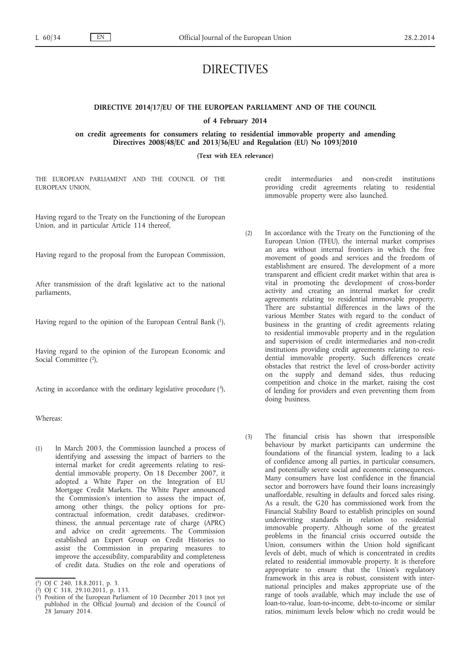# DIRECTIVES

# **DIRECTIVE 2014/17/EU OF THE EUROPEAN PARLIAMENT AND OF THE COUNCIL**

# **of 4 February 2014**

**on credit agreements for consumers relating to residential immovable property and amending Directives 2008/48/EC and 2013/36/EU and Regulation (EU) No 1093/2010**

**(Text with EEA relevance)**

THE EUROPEAN PARLIAMENT AND THE COUNCIL OF THE EUROPEAN UNION,

Having regard to the Treaty on the Functioning of the European Union, and in particular Article 114 thereof,

Having regard to the proposal from the European Commission,

After transmission of the draft legislative act to the national parliaments,

Having regard to the opinion of the European Central Bank (1),

Having regard to the opinion of the European Economic and Social Committee (2),

Acting in accordance with the ordinary legislative procedure  $(3)$ ,

### Whereas:

(1) In March 2003, the Commission launched a process of identifying and assessing the impact of barriers to the internal market for credit agreements relating to residential immovable property. On 18 December 2007, it adopted a White Paper on the Integration of EU Mortgage Credit Markets. The White Paper announced the Commission's intention to assess the impact of, among other things, the policy options for precontractual information, credit databases, creditworthiness, the annual percentage rate of charge (APRC) and advice on credit agreements. The Commission established an Expert Group on Credit Histories to assist the Commission in preparing measures to improve the accessibility, comparability and completeness of credit data. Studies on the role and operations of credit intermediaries and non-credit institutions providing credit agreements relating to residential immovable property were also launched.

- (2) In accordance with the Treaty on the Functioning of the European Union (TFEU), the internal market comprises an area without internal frontiers in which the free movement of goods and services and the freedom of establishment are ensured. The development of a more transparent and efficient credit market within that area is vital in promoting the development of cross-border activity and creating an internal market for credit agreements relating to residential immovable property. There are substantial differences in the laws of the various Member States with regard to the conduct of business in the granting of credit agreements relating to residential immovable property and in the regulation and supervision of credit intermediaries and non-credit institutions providing credit agreements relating to residential immovable property. Such differences create obstacles that restrict the level of cross-border activity on the supply and demand sides, thus reducing competition and choice in the market, raising the cost of lending for providers and even preventing them from doing business.
- (3) The financial crisis has shown that irresponsible behaviour by market participants can undermine the foundations of the financial system, leading to a lack of confidence among all parties, in particular consumers, and potentially severe social and economic consequences. Many consumers have lost confidence in the financial sector and borrowers have found their loans increasingly unaffordable, resulting in defaults and forced sales rising. As a result, the G20 has commissioned work from the Financial Stability Board to establish principles on sound underwriting standards in relation to residential immovable property. Although some of the greatest problems in the financial crisis occurred outside the Union, consumers within the Union hold significant levels of debt, much of which is concentrated in credits related to residential immovable property. It is therefore appropriate to ensure that the Union's regulatory framework in this area is robust, consistent with international principles and makes appropriate use of the range of tools available, which may include the use of loan-to-value, loan-to-income, debt-to-income or similar ratios, minimum levels below which no credit would be

<sup>(</sup> 1) OJ C 240, 18.8.2011, p. 3.

<sup>(</sup> 2) OJ C 318, 29.10.2011, p. 133.

<sup>(</sup> 3) Position of the European Parliament of 10 December 2013 (not yet published in the Official Journal) and decision of the Council of 28 January 2014.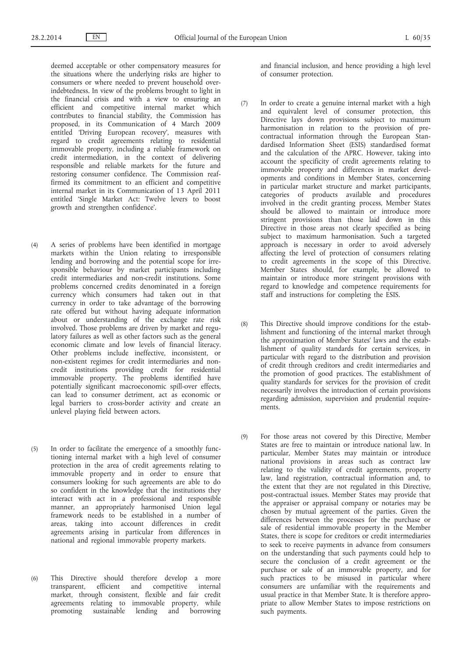deemed acceptable or other compensatory measures for the situations where the underlying risks are higher to consumers or where needed to prevent household overindebtedness. In view of the problems brought to light in the financial crisis and with a view to ensuring an efficient and competitive internal market which contributes to financial stability, the Commission has proposed, in its Communication of 4 March 2009 entitled 'Driving European recovery', measures with regard to credit agreements relating to residential immovable property, including a reliable framework on credit intermediation, in the context of delivering responsible and reliable markets for the future and restoring consumer confidence. The Commission reaffirmed its commitment to an efficient and competitive internal market in its Communication of 13 April 2011 entitled 'Single Market Act: Twelve levers to boost growth and strengthen confidence'.

- (4) A series of problems have been identified in mortgage markets within the Union relating to irresponsible lending and borrowing and the potential scope for irresponsible behaviour by market participants including credit intermediaries and non-credit institutions. Some problems concerned credits denominated in a foreign currency which consumers had taken out in that currency in order to take advantage of the borrowing rate offered but without having adequate information about or understanding of the exchange rate risk involved. Those problems are driven by market and regulatory failures as well as other factors such as the general economic climate and low levels of financial literacy. Other problems include ineffective, inconsistent, or non-existent regimes for credit intermediaries and noncredit institutions providing credit for residential immovable property. The problems identified have potentially significant macroeconomic spill-over effects, can lead to consumer detriment, act as economic or legal barriers to cross-border activity and create an unlevel playing field between actors.
- (5) In order to facilitate the emergence of a smoothly functioning internal market with a high level of consumer protection in the area of credit agreements relating to immovable property and in order to ensure that consumers looking for such agreements are able to do so confident in the knowledge that the institutions they interact with act in a professional and responsible manner, an appropriately harmonised Union legal framework needs to be established in a number of areas, taking into account differences in credit agreements arising in particular from differences in national and regional immovable property markets.
- (6) This Directive should therefore develop a more transparent, efficient and competitive internal market, through consistent, flexible and fair credit agreements relating to immovable property, while promoting sustainable lending and borrowing

and financial inclusion, and hence providing a high level of consumer protection.

- (7) In order to create a genuine internal market with a high and equivalent level of consumer protection, this Directive lays down provisions subject to maximum harmonisation in relation to the provision of precontractual information through the European Standardised Information Sheet (ESIS) standardised format and the calculation of the APRC. However, taking into account the specificity of credit agreements relating to immovable property and differences in market developments and conditions in Member States, concerning in particular market structure and market participants, categories of products available and procedures involved in the credit granting process, Member States should be allowed to maintain or introduce more stringent provisions than those laid down in this Directive in those areas not clearly specified as being subject to maximum harmonisation. Such a targeted approach is necessary in order to avoid adversely affecting the level of protection of consumers relating to credit agreements in the scope of this Directive. Member States should, for example, be allowed to maintain or introduce more stringent provisions with regard to knowledge and competence requirements for staff and instructions for completing the ESIS.
- (8) This Directive should improve conditions for the establishment and functioning of the internal market through the approximation of Member States' laws and the establishment of quality standards for certain services, in particular with regard to the distribution and provision of credit through creditors and credit intermediaries and the promotion of good practices. The establishment of quality standards for services for the provision of credit necessarily involves the introduction of certain provisions regarding admission, supervision and prudential requirements.
- (9) For those areas not covered by this Directive, Member States are free to maintain or introduce national law. In particular, Member States may maintain or introduce national provisions in areas such as contract law relating to the validity of credit agreements, property law, land registration, contractual information and, to the extent that they are not regulated in this Directive, post-contractual issues. Member States may provide that the appraiser or appraisal company or notaries may be chosen by mutual agreement of the parties. Given the differences between the processes for the purchase or sale of residential immovable property in the Member States, there is scope for creditors or credit intermediaries to seek to receive payments in advance from consumers on the understanding that such payments could help to secure the conclusion of a credit agreement or the purchase or sale of an immovable property, and for such practices to be misused in particular where consumers are unfamiliar with the requirements and usual practice in that Member State. It is therefore appropriate to allow Member States to impose restrictions on such payments.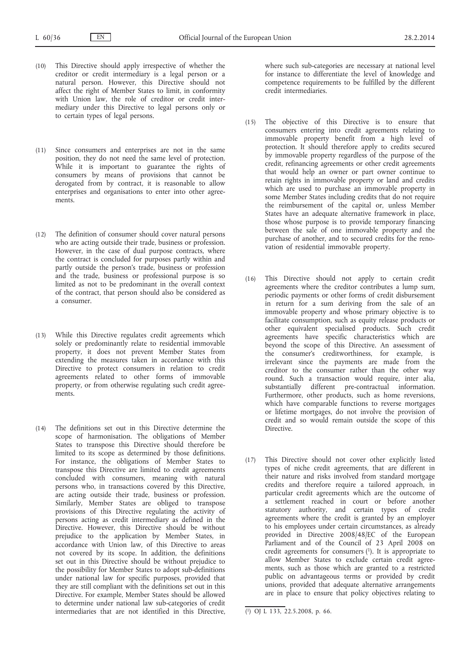- (10) This Directive should apply irrespective of whether the creditor or credit intermediary is a legal person or a natural person. However, this Directive should not affect the right of Member States to limit, in conformity with Union law, the role of creditor or credit intermediary under this Directive to legal persons only or to certain types of legal persons.
- (11) Since consumers and enterprises are not in the same position, they do not need the same level of protection. While it is important to guarantee the rights of consumers by means of provisions that cannot be derogated from by contract, it is reasonable to allow enterprises and organisations to enter into other agreements.
- (12) The definition of consumer should cover natural persons who are acting outside their trade, business or profession. However, in the case of dual purpose contracts, where the contract is concluded for purposes partly within and partly outside the person's trade, business or profession and the trade, business or professional purpose is so limited as not to be predominant in the overall context of the contract, that person should also be considered as a consumer.
- (13) While this Directive regulates credit agreements which solely or predominantly relate to residential immovable property, it does not prevent Member States from extending the measures taken in accordance with this Directive to protect consumers in relation to credit agreements related to other forms of immovable property, or from otherwise regulating such credit agreements.
- (14) The definitions set out in this Directive determine the scope of harmonisation. The obligations of Member States to transpose this Directive should therefore be limited to its scope as determined by those definitions. For instance, the obligations of Member States to transpose this Directive are limited to credit agreements concluded with consumers, meaning with natural persons who, in transactions covered by this Directive, are acting outside their trade, business or profession. Similarly, Member States are obliged to transpose provisions of this Directive regulating the activity of persons acting as credit intermediary as defined in the Directive. However, this Directive should be without prejudice to the application by Member States, in accordance with Union law, of this Directive to areas not covered by its scope. In addition, the definitions set out in this Directive should be without prejudice to the possibility for Member States to adopt sub-definitions under national law for specific purposes, provided that they are still compliant with the definitions set out in this Directive. For example, Member States should be allowed to determine under national law sub-categories of credit intermediaries that are not identified in this Directive,

where such sub-categories are necessary at national level for instance to differentiate the level of knowledge and competence requirements to be fulfilled by the different credit intermediaries.

- (15) The objective of this Directive is to ensure that consumers entering into credit agreements relating to immovable property benefit from a high level of protection. It should therefore apply to credits secured by immovable property regardless of the purpose of the credit, refinancing agreements or other credit agreements that would help an owner or part owner continue to retain rights in immovable property or land and credits which are used to purchase an immovable property in some Member States including credits that do not require the reimbursement of the capital or, unless Member States have an adequate alternative framework in place, those whose purpose is to provide temporary financing between the sale of one immovable property and the purchase of another, and to secured credits for the renovation of residential immovable property.
- (16) This Directive should not apply to certain credit agreements where the creditor contributes a lump sum, periodic payments or other forms of credit disbursement in return for a sum deriving from the sale of an immovable property and whose primary objective is to facilitate consumption, such as equity release products or other equivalent specialised products. Such credit agreements have specific characteristics which are beyond the scope of this Directive. An assessment of the consumer's creditworthiness, for example, is irrelevant since the payments are made from the creditor to the consumer rather than the other way round. Such a transaction would require, inter alia, substantially different pre-contractual information. Furthermore, other products, such as home reversions, which have comparable functions to reverse mortgages or lifetime mortgages, do not involve the provision of credit and so would remain outside the scope of this Directive.
- (17) This Directive should not cover other explicitly listed types of niche credit agreements, that are different in their nature and risks involved from standard mortgage credits and therefore require a tailored approach, in particular credit agreements which are the outcome of a settlement reached in court or before another statutory authority, and certain types of credit agreements where the credit is granted by an employer to his employees under certain circumstances, as already provided in Directive 2008/48/EC of the European Parliament and of the Council of 23 April 2008 on credit agreements for consumers  $(1)$ . It is appropriate to allow Member States to exclude certain credit agreements, such as those which are granted to a restricted public on advantageous terms or provided by credit unions, provided that adequate alternative arrangements are in place to ensure that policy objectives relating to

<sup>(</sup> 1) OJ L 133, 22.5.2008, p. 66.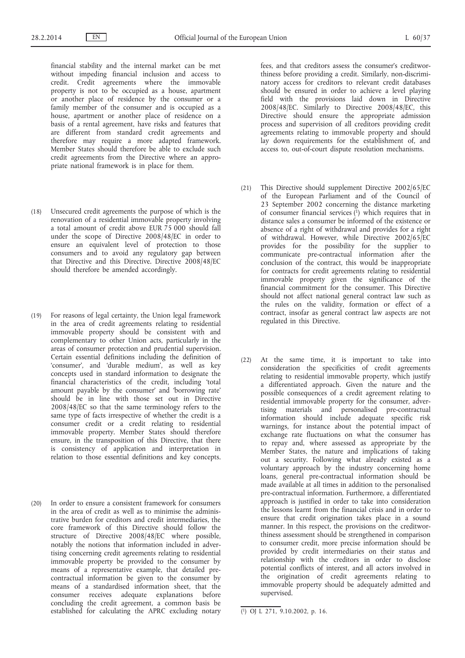financial stability and the internal market can be met without impeding financial inclusion and access to credit. Credit agreements where the immovable property is not to be occupied as a house, apartment or another place of residence by the consumer or a family member of the consumer and is occupied as a house, apartment or another place of residence on a basis of a rental agreement, have risks and features that are different from standard credit agreements and therefore may require a more adapted framework. Member States should therefore be able to exclude such credit agreements from the Directive where an appropriate national framework is in place for them.

- (18) Unsecured credit agreements the purpose of which is the renovation of a residential immovable property involving a total amount of credit above EUR  $\bar{7}5\,000$  should fall under the scope of Directive 2008/48/EC in order to ensure an equivalent level of protection to those consumers and to avoid any regulatory gap between that Directive and this Directive. Directive 2008/48/EC should therefore be amended accordingly.
- (19) For reasons of legal certainty, the Union legal framework in the area of credit agreements relating to residential immovable property should be consistent with and complementary to other Union acts, particularly in the areas of consumer protection and prudential supervision. Certain essential definitions including the definition of 'consumer', and 'durable medium', as well as key concepts used in standard information to designate the financial characteristics of the credit, including 'total amount payable by the consumer' and 'borrowing rate' should be in line with those set out in Directive 2008/48/EC so that the same terminology refers to the same type of facts irrespective of whether the credit is a consumer credit or a credit relating to residential immovable property. Member States should therefore ensure, in the transposition of this Directive, that there is consistency of application and interpretation in relation to those essential definitions and key concepts.
- (20) In order to ensure a consistent framework for consumers in the area of credit as well as to minimise the administrative burden for creditors and credit intermediaries, the core framework of this Directive should follow the structure of Directive 2008/48/EC where possible, notably the notions that information included in advertising concerning credit agreements relating to residential immovable property be provided to the consumer by means of a representative example, that detailed precontractual information be given to the consumer by means of a standardised information sheet, that the consumer receives adequate explanations before concluding the credit agreement, a common basis be established for calculating the APRC excluding notary

fees, and that creditors assess the consumer's creditworthiness before providing a credit. Similarly, non-discriminatory access for creditors to relevant credit databases should be ensured in order to achieve a level playing field with the provisions laid down in Directive 2008/48/EC. Similarly to Directive 2008/48/EC, this Directive should ensure the appropriate admission process and supervision of all creditors providing credit agreements relating to immovable property and should lay down requirements for the establishment of, and access to, out-of-court dispute resolution mechanisms.

- (21) This Directive should supplement Directive 2002/65/EC of the European Parliament and of the Council of 23 September 2002 concerning the distance marketing of consumer financial services  $(1)$  which requires that in distance sales a consumer be informed of the existence or absence of a right of withdrawal and provides for a right of withdrawal. However, while Directive 2002/65/EC provides for the possibility for the supplier to communicate pre-contractual information after the conclusion of the contract, this would be inappropriate for contracts for credit agreements relating to residential immovable property given the significance of the financial commitment for the consumer. This Directive should not affect national general contract law such as the rules on the validity, formation or effect of a contract, insofar as general contract law aspects are not regulated in this Directive.
- (22) At the same time, it is important to take into  $\cos$ consideration the specificities of credit agreements relating to residential immovable property, which justify a differentiated approach. Given the nature and the possible consequences of a credit agreement relating to residential immovable property for the consumer, advertising materials and personalised pre-contractual information should include adequate specific risk warnings, for instance about the potential impact of exchange rate fluctuations on what the consumer has to repay and, where assessed as appropriate by the Member States, the nature and implications of taking out a security. Following what already existed as a voluntary approach by the industry concerning home loans, general pre-contractual information should be made available at all times in addition to the personalised pre-contractual information. Furthermore, a differentiated approach is justified in order to take into consideration the lessons learnt from the financial crisis and in order to ensure that credit origination takes place in a sound manner. In this respect, the provisions on the creditworthiness assessment should be strengthened in comparison to consumer credit, more precise information should be provided by credit intermediaries on their status and relationship with the creditors in order to disclose potential conflicts of interest, and all actors involved in the origination of credit agreements relating to immovable property should be adequately admitted and supervised.

<sup>(</sup> 1) OJ L 271, 9.10.2002, p. 16.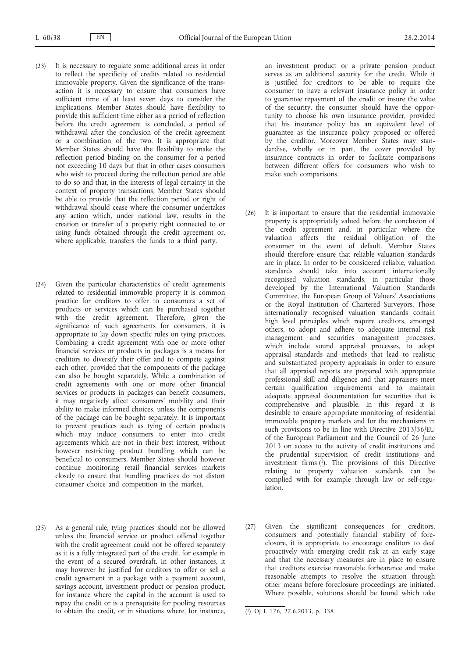- (23) It is necessary to regulate some additional areas in order to reflect the specificity of credits related to residential immovable property. Given the significance of the transaction it is necessary to ensure that consumers have sufficient time of at least seven days to consider the implications. Member States should have flexibility to provide this sufficient time either as a period of reflection before the credit agreement is concluded, a period of withdrawal after the conclusion of the credit agreement or a combination of the two. It is appropriate that Member States should have the flexibility to make the reflection period binding on the consumer for a period not exceeding 10 days but that in other cases consumers who wish to proceed during the reflection period are able to do so and that, in the interests of legal certainty in the context of property transactions, Member States should be able to provide that the reflection period or right of withdrawal should cease where the consumer undertakes any action which, under national law, results in the creation or transfer of a property right connected to or using funds obtained through the credit agreement or, where applicable, transfers the funds to a third party.
- (24) Given the particular characteristics of credit agreements related to residential immovable property it is common practice for creditors to offer to consumers a set of products or services which can be purchased together with the credit agreement. Therefore, given the significance of such agreements for consumers, it is appropriate to lay down specific rules on tying practices. Combining a credit agreement with one or more other financial services or products in packages is a means for creditors to diversify their offer and to compete against each other, provided that the components of the package can also be bought separately. While a combination of credit agreements with one or more other financial services or products in packages can benefit consumers, it may negatively affect consumers' mobility and their ability to make informed choices, unless the components of the package can be bought separately. It is important to prevent practices such as tying of certain products which may induce consumers to enter into credit agreements which are not in their best interest, without however restricting product bundling which can be beneficial to consumers. Member States should however continue monitoring retail financial services markets closely to ensure that bundling practices do not distort consumer choice and competition in the market.
- (25) As a general rule, tying practices should not be allowed unless the financial service or product offered together with the credit agreement could not be offered separately as it is a fully integrated part of the credit, for example in the event of a secured overdraft. In other instances, it may however be justified for creditors to offer or sell a credit agreement in a package with a payment account, savings account, investment product or pension product, for instance where the capital in the account is used to repay the credit or is a prerequisite for pooling resources to obtain the credit, or in situations where, for instance,

an investment product or a private pension product serves as an additional security for the credit. While it is justified for creditors to be able to require the consumer to have a relevant insurance policy in order to guarantee repayment of the credit or insure the value of the security, the consumer should have the opportunity to choose his own insurance provider, provided that his insurance policy has an equivalent level of guarantee as the insurance policy proposed or offered by the creditor. Moreover Member States may standardise, wholly or in part, the cover provided by insurance contracts in order to facilitate comparisons between different offers for consumers who wish to make such comparisons.

- (26) It is important to ensure that the residential immovable property is appropriately valued before the conclusion of the credit agreement and, in particular where the valuation affects the residual obligation of the consumer in the event of default. Member States should therefore ensure that reliable valuation standards are in place. In order to be considered reliable, valuation standards should take into account internationally recognised valuation standards, in particular those developed by the International Valuation Standards Committee, the European Group of Valuers' Associations or the Royal Institution of Chartered Surveyors. Those internationally recognised valuation standards contain high level principles which require creditors, amongst others, to adopt and adhere to adequate internal risk management and securities management processes, which include sound appraisal processes, to adopt appraisal standards and methods that lead to realistic and substantiated property appraisals in order to ensure that all appraisal reports are prepared with appropriate professional skill and diligence and that appraisers meet certain qualification requirements and to maintain adequate appraisal documentation for securities that is comprehensive and plausible. In this regard it is desirable to ensure appropriate monitoring of residential immovable property markets and for the mechanisms in such provisions to be in line with Directive 2013/36/EU of the European Parliament and the Council of 26 June 2013 on access to the activity of credit institutions and the prudential supervision of credit institutions and investment firms  $(1)$ . The provisions of this Directive relating to property valuation standards can be complied with for example through law or self-regulation.
- (27) Given the significant consequences for creditors, consumers and potentially financial stability of foreclosure, it is appropriate to encourage creditors to deal proactively with emerging credit risk at an early stage and that the necessary measures are in place to ensure that creditors exercise reasonable forbearance and make reasonable attempts to resolve the situation through other means before foreclosure proceedings are initiated. Where possible, solutions should be found which take

<sup>(</sup> 1) OJ L 176, 27.6.2013, p. 338.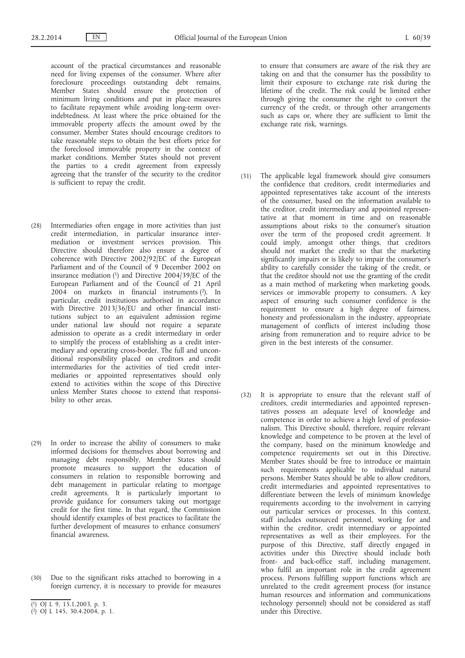account of the practical circumstances and reasonable need for living expenses of the consumer. Where after foreclosure proceedings outstanding debt remains, Member States should ensure the protection of minimum living conditions and put in place measures to facilitate repayment while avoiding long-term overindebtedness. At least where the price obtained for the immovable property affects the amount owed by the consumer, Member States should encourage creditors to take reasonable steps to obtain the best efforts price for the foreclosed immovable property in the context of market conditions. Member States should not prevent the parties to a credit agreement from expressly agreeing that the transfer of the security to the creditor is sufficient to repay the credit.

- (28) Intermediaries often engage in more activities than just credit intermediation, in particular insurance intermediation or investment services provision. This Directive should therefore also ensure a degree of coherence with Directive 2002/92/EC of the European Parliament and of the Council of 9 December 2002 on insurance mediation (1) and Directive 2004/39/EC of the European Parliament and of the Council of 21 April  $200\hat{4}$  on markets in financial instruments  $(2)$ . In particular, credit institutions authorised in accordance with Directive 2013/36/EU and other financial institutions subject to an equivalent admission regime under national law should not require a separate admission to operate as a credit intermediary in order to simplify the process of establishing as a credit intermediary and operating cross-border. The full and unconditional responsibility placed on creditors and credit intermediaries for the activities of tied credit intermediaries or appointed representatives should only extend to activities within the scope of this Directive unless Member States choose to extend that responsibility to other areas.
- (29) In order to increase the ability of consumers to make informed decisions for themselves about borrowing and managing debt responsibly, Member States should promote measures to support the education of consumers in relation to responsible borrowing and debt management in particular relating to mortgage credit agreements. It is particularly important to provide guidance for consumers taking out mortgage credit for the first time. In that regard, the Commission should identify examples of best practices to facilitate the further development of measures to enhance consumers' financial awareness.
- (30) Due to the significant risks attached to borrowing in a foreign currency, it is necessary to provide for measures

to ensure that consumers are aware of the risk they are taking on and that the consumer has the possibility to limit their exposure to exchange rate risk during the lifetime of the credit. The risk could be limited either through giving the consumer the right to convert the currency of the credit, or through other arrangements such as caps or, where they are sufficient to limit the exchange rate risk, warnings.

- (31) The applicable legal framework should give consumers the confidence that creditors, credit intermediaries and appointed representatives take account of the interests of the consumer, based on the information available to the creditor, credit intermediary and appointed representative at that moment in time and on reasonable assumptions about risks to the consumer's situation over the term of the proposed credit agreement. It could imply, amongst other things, that creditors should not market the credit so that the marketing significantly impairs or is likely to impair the consumer's ability to carefully consider the taking of the credit, or that the creditor should not use the granting of the credit as a main method of marketing when marketing goods, services or immovable property to consumers. A key aspect of ensuring such consumer confidence is the requirement to ensure a high degree of fairness, honesty and professionalism in the industry, appropriate management of conflicts of interest including those arising from remuneration and to require advice to be given in the best interests of the consumer.
- (32) It is appropriate to ensure that the relevant staff of creditors, credit intermediaries and appointed representatives possess an adequate level of knowledge and competence in order to achieve a high level of professionalism. This Directive should, therefore, require relevant knowledge and competence to be proven at the level of the company, based on the minimum knowledge and competence requirements set out in this Directive. Member States should be free to introduce or maintain such requirements applicable to individual natural persons. Member States should be able to allow creditors, credit intermediaries and appointed representatives to differentiate between the levels of minimum knowledge requirements according to the involvement in carrying out particular services or processes. In this context, staff includes outsourced personnel, working for and within the creditor, credit intermediary or appointed representatives as well as their employees. For the purpose of this Directive, staff directly engaged in activities under this Directive should include both front- and back-office staff, including management, who fulfil an important role in the credit agreement process. Persons fulfilling support functions which are unrelated to the credit agreement process (for instance human resources and information and communications technology personnel) should not be considered as staff under this Directive.

<sup>(</sup> 1) OJ L 9, 15.1.2003, p. 3.

<sup>(</sup> 2) OJ L 145, 30.4.2004, p. 1.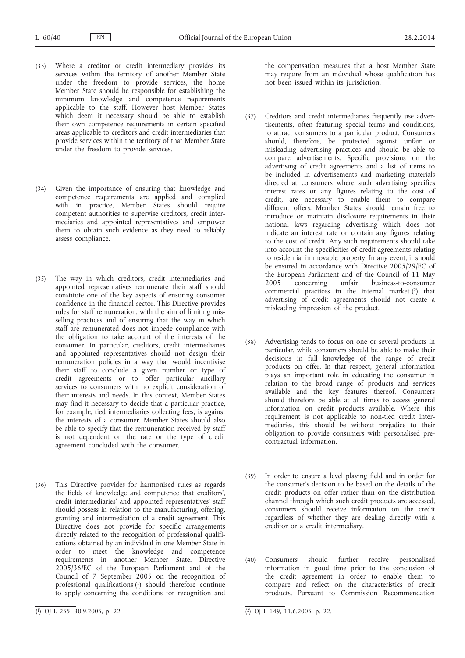- (33) Where a creditor or credit intermediary provides its services within the territory of another Member State under the freedom to provide services, the home Member State should be responsible for establishing the minimum knowledge and competence requirements applicable to the staff. However host Member States which deem it necessary should be able to establish their own competence requirements in certain specified areas applicable to creditors and credit intermediaries that provide services within the territory of that Member State under the freedom to provide services.
- (34) Given the importance of ensuring that knowledge and competence requirements are applied and complied with in practice, Member States should require competent authorities to supervise creditors, credit intermediaries and appointed representatives and empower them to obtain such evidence as they need to reliably assess compliance.
- (35) The way in which creditors, credit intermediaries and appointed representatives remunerate their staff should constitute one of the key aspects of ensuring consumer confidence in the financial sector. This Directive provides rules for staff remuneration, with the aim of limiting misselling practices and of ensuring that the way in which staff are remunerated does not impede compliance with the obligation to take account of the interests of the consumer. In particular, creditors, credit intermediaries and appointed representatives should not design their remuneration policies in a way that would incentivise their staff to conclude a given number or type of credit agreements or to offer particular ancillary services to consumers with no explicit consideration of their interests and needs. In this context, Member States may find it necessary to decide that a particular practice, for example, tied intermediaries collecting fees, is against the interests of a consumer. Member States should also be able to specify that the remuneration received by staff is not dependent on the rate or the type of credit agreement concluded with the consumer.
- (36) This Directive provides for harmonised rules as regards the fields of knowledge and competence that creditors', credit intermediaries' and appointed representatives' staff should possess in relation to the manufacturing, offering, granting and intermediation of a credit agreement. This Directive does not provide for specific arrangements directly related to the recognition of professional qualifications obtained by an individual in one Member State in order to meet the knowledge and competence requirements in another Member State. Directive 2005/36/EC of the European Parliament and of the Council of 7 September 2005 on the recognition of professional qualifications (1) should therefore continue to apply concerning the conditions for recognition and

the compensation measures that a host Member State may require from an individual whose qualification has not been issued within its jurisdiction.

- (37) Creditors and credit intermediaries frequently use advertisements, often featuring special terms and conditions, to attract consumers to a particular product. Consumers should, therefore, be protected against unfair or misleading advertising practices and should be able to compare advertisements. Specific provisions on the advertising of credit agreements and a list of items to be included in advertisements and marketing materials directed at consumers where such advertising specifies interest rates or any figures relating to the cost of credit, are necessary to enable them to compare different offers. Member States should remain free to introduce or maintain disclosure requirements in their national laws regarding advertising which does not indicate an interest rate or contain any figures relating to the cost of credit. Any such requirements should take into account the specificities of credit agreements relating to residential immovable property. In any event, it should be ensured in accordance with Directive 2005/29/EC of the European Parliament and of the Council of 11 May 2005 concerning unfair business-to-consumer commercial practices in the internal market  $(2)$  that advertising of credit agreements should not create a misleading impression of the product.
- (38) Advertising tends to focus on one or several products in particular, while consumers should be able to make their decisions in full knowledge of the range of credit products on offer. In that respect, general information plays an important role in educating the consumer in relation to the broad range of products and services available and the key features thereof. Consumers should therefore be able at all times to access general information on credit products available. Where this requirement is not applicable to non-tied credit intermediaries, this should be without prejudice to their obligation to provide consumers with personalised precontractual information.
- (39) In order to ensure a level playing field and in order for the consumer's decision to be based on the details of the credit products on offer rather than on the distribution channel through which such credit products are accessed, consumers should receive information on the credit regardless of whether they are dealing directly with a creditor or a credit intermediary.
- (40) Consumers should further receive personalised information in good time prior to the conclusion of the credit agreement in order to enable them to compare and reflect on the characteristics of credit products. Pursuant to Commission Recommendation

 $\overline{(^1)}$  OJ L 255, 30.9.2005, p. 22.

 $\overline{(^2)}$  OJ L 149, 11.6.2005, p. 22.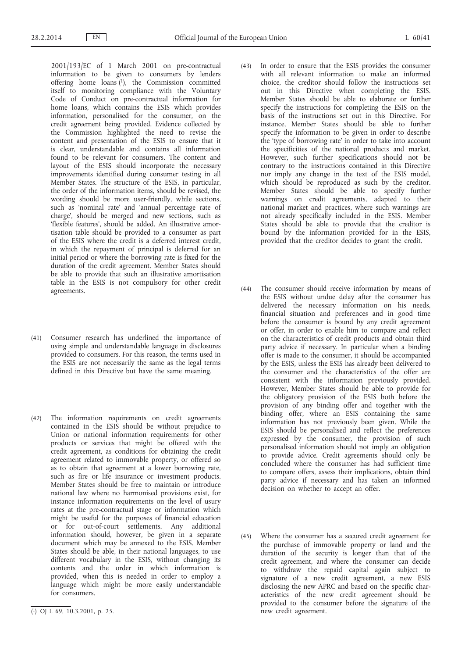2001/193/EC of 1 March 2001 on pre-contractual information to be given to consumers by lenders offering home loans (1), the Commission committed itself to monitoring compliance with the Voluntary Code of Conduct on pre-contractual information for home loans, which contains the ESIS which provides information, personalised for the consumer, on the credit agreement being provided. Evidence collected by the Commission highlighted the need to revise the content and presentation of the ESIS to ensure that it is clear, understandable and contains all information found to be relevant for consumers. The content and layout of the ESIS should incorporate the necessary improvements identified during consumer testing in all Member States. The structure of the ESIS, in particular, the order of the information items, should be revised, the wording should be more user-friendly, while sections, such as 'nominal rate' and 'annual percentage rate of charge', should be merged and new sections, such as 'flexible features', should be added. An illustrative amortisation table should be provided to a consumer as part of the ESIS where the credit is a deferred interest credit, in which the repayment of principal is deferred for an initial period or where the borrowing rate is fixed for the duration of the credit agreement. Member States should be able to provide that such an illustrative amortisation table in the ESIS is not compulsory for other credit agreements.

- (41) Consumer research has underlined the importance of using simple and understandable language in disclosures provided to consumers. For this reason, the terms used in the ESIS are not necessarily the same as the legal terms defined in this Directive but have the same meaning.
- (42) The information requirements on credit agreements contained in the ESIS should be without prejudice to Union or national information requirements for other products or services that might be offered with the credit agreement, as conditions for obtaining the credit agreement related to immovable property, or offered so as to obtain that agreement at a lower borrowing rate, such as fire or life insurance or investment products. Member States should be free to maintain or introduce national law where no harmonised provisions exist, for instance information requirements on the level of usury rates at the pre-contractual stage or information which might be useful for the purposes of financial education or for out-of-court settlements. Any additional information should, however, be given in a separate document which may be annexed to the ESIS. Member States should be able, in their national languages, to use different vocabulary in the ESIS, without changing its contents and the order in which information is provided, when this is needed in order to employ a language which might be more easily understandable for consumers.
- (43) In order to ensure that the ESIS provides the consumer with all relevant information to make an informed choice, the creditor should follow the instructions set out in this Directive when completing the ESIS. Member States should be able to elaborate or further specify the instructions for completing the ESIS on the basis of the instructions set out in this Directive. For instance, Member States should be able to further specify the information to be given in order to describe the 'type of borrowing rate' in order to take into account the specificities of the national products and market. However, such further specifications should not be contrary to the instructions contained in this Directive nor imply any change in the text of the ESIS model, which should be reproduced as such by the creditor. Member States should be able to specify further warnings on credit agreements, adapted to their national market and practices, where such warnings are not already specifically included in the ESIS. Member States should be able to provide that the creditor is bound by the information provided for in the ESIS, provided that the creditor decides to grant the credit.
- (44) The consumer should receive information by means of the ESIS without undue delay after the consumer has delivered the necessary information on his needs, financial situation and preferences and in good time before the consumer is bound by any credit agreement or offer, in order to enable him to compare and reflect on the characteristics of credit products and obtain third party advice if necessary. In particular when a binding offer is made to the consumer, it should be accompanied by the ESIS, unless the ESIS has already been delivered to the consumer and the characteristics of the offer are consistent with the information previously provided. However, Member States should be able to provide for the obligatory provision of the ESIS both before the provision of any binding offer and together with the binding offer, where an ESIS containing the same information has not previously been given. While the ESIS should be personalised and reflect the preferences expressed by the consumer, the provision of such personalised information should not imply an obligation to provide advice. Credit agreements should only be concluded where the consumer has had sufficient time to compare offers, assess their implications, obtain third party advice if necessary and has taken an informed decision on whether to accept an offer.
- (45) Where the consumer has a secured credit agreement for the purchase of immovable property or land and the duration of the security is longer than that of the credit agreement, and where the consumer can decide to withdraw the repaid capital again subject to signature of a new credit agreement, a new ESIS disclosing the new APRC and based on the specific characteristics of the new credit agreement should be provided to the consumer before the signature of the new credit agreement.

<sup>(</sup> 1) OJ L 69, 10.3.2001, p. 25.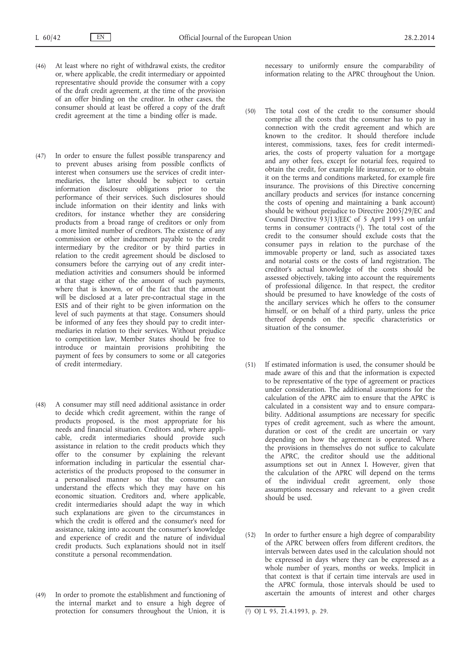- (46) At least where no right of withdrawal exists, the creditor or, where applicable, the credit intermediary or appointed representative should provide the consumer with a copy of the draft credit agreement, at the time of the provision of an offer binding on the creditor. In other cases, the consumer should at least be offered a copy of the draft credit agreement at the time a binding offer is made.
- (47) In order to ensure the fullest possible transparency and to prevent abuses arising from possible conflicts of interest when consumers use the services of credit intermediaries, the latter should be subject to certain information disclosure obligations prior to the performance of their services. Such disclosures should include information on their identity and links with creditors, for instance whether they are considering products from a broad range of creditors or only from a more limited number of creditors. The existence of any commission or other inducement payable to the credit intermediary by the creditor or by third parties in relation to the credit agreement should be disclosed to consumers before the carrying out of any credit intermediation activities and consumers should be informed at that stage either of the amount of such payments, where that is known, or of the fact that the amount will be disclosed at a later pre-contractual stage in the ESIS and of their right to be given information on the level of such payments at that stage. Consumers should be informed of any fees they should pay to credit intermediaries in relation to their services. Without prejudice to competition law, Member States should be free to introduce or maintain provisions prohibiting the payment of fees by consumers to some or all categories of credit intermediary.
- (48) A consumer may still need additional assistance in order to decide which credit agreement, within the range of products proposed, is the most appropriate for his needs and financial situation. Creditors and, where applicable, credit intermediaries should provide such assistance in relation to the credit products which they offer to the consumer by explaining the relevant information including in particular the essential characteristics of the products proposed to the consumer in a personalised manner so that the consumer can understand the effects which they may have on his economic situation. Creditors and, where applicable, credit intermediaries should adapt the way in which such explanations are given to the circumstances in which the credit is offered and the consumer's need for assistance, taking into account the consumer's knowledge and experience of credit and the nature of individual credit products. Such explanations should not in itself constitute a personal recommendation.
- (49) In order to promote the establishment and functioning of the internal market and to ensure a high degree of protection for consumers throughout the Union, it is

necessary to uniformly ensure the comparability of information relating to the APRC throughout the Union.

- (50) The total cost of the credit to the consumer should comprise all the costs that the consumer has to pay in connection with the credit agreement and which are known to the creditor. It should therefore include interest, commissions, taxes, fees for credit intermediaries, the costs of property valuation for a mortgage and any other fees, except for notarial fees, required to obtain the credit, for example life insurance, or to obtain it on the terms and conditions marketed, for example fire insurance. The provisions of this Directive concerning ancillary products and services (for instance concerning the costs of opening and maintaining a bank account) should be without prejudice to Directive 2005/29/EC and Council Directive 93/13/EEC of 5 April 1993 on unfair terms in consumer contracts  $(1)$ . The total cost of the credit to the consumer should exclude costs that the consumer pays in relation to the purchase of the immovable property or land, such as associated taxes and notarial costs or the costs of land registration. The creditor's actual knowledge of the costs should be assessed objectively, taking into account the requirements of professional diligence. In that respect, the creditor should be presumed to have knowledge of the costs of the ancillary services which he offers to the consumer himself, or on behalf of a third party, unless the price thereof depends on the specific characteristics or situation of the consumer.
- (51) If estimated information is used, the consumer should be made aware of this and that the information is expected to be representative of the type of agreement or practices under consideration. The additional assumptions for the calculation of the APRC aim to ensure that the APRC is calculated in a consistent way and to ensure comparability. Additional assumptions are necessary for specific types of credit agreement, such as where the amount, duration or cost of the credit are uncertain or vary depending on how the agreement is operated. Where the provisions in themselves do not suffice to calculate the APRC, the creditor should use the additional assumptions set out in Annex I. However, given that the calculation of the APRC will depend on the terms of the individual credit agreement, only those assumptions necessary and relevant to a given credit should be used.
- (52) In order to further ensure a high degree of comparability of the APRC between offers from different creditors, the intervals between dates used in the calculation should not be expressed in days where they can be expressed as a whole number of years, months or weeks. Implicit in that context is that if certain time intervals are used in the APRC formula, those intervals should be used to ascertain the amounts of interest and other charges

<sup>(</sup> 1) OJ L 95, 21.4.1993, p. 29.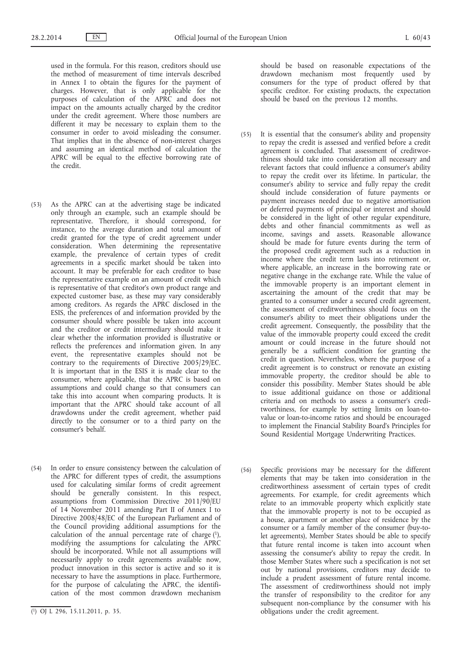used in the formula. For this reason, creditors should use the method of measurement of time intervals described in Annex I to obtain the figures for the payment of charges. However, that is only applicable for the purposes of calculation of the APRC and does not impact on the amounts actually charged by the creditor under the credit agreement. Where those numbers are different it may be necessary to explain them to the consumer in order to avoid misleading the consumer. That implies that in the absence of non-interest charges and assuming an identical method of calculation the APRC will be equal to the effective borrowing rate of the credit.

- (53) As the APRC can at the advertising stage be indicated only through an example, such an example should be representative. Therefore, it should correspond, for instance, to the average duration and total amount of credit granted for the type of credit agreement under consideration. When determining the representative example, the prevalence of certain types of credit agreements in a specific market should be taken into account. It may be preferable for each creditor to base the representative example on an amount of credit which is representative of that creditor's own product range and expected customer base, as these may vary considerably among creditors. As regards the APRC disclosed in the ESIS, the preferences of and information provided by the consumer should where possible be taken into account and the creditor or credit intermediary should make it clear whether the information provided is illustrative or reflects the preferences and information given. In any event, the representative examples should not be contrary to the requirements of Directive 2005/29/EC. It is important that in the ESIS it is made clear to the consumer, where applicable, that the APRC is based on assumptions and could change so that consumers can take this into account when comparing products. It is important that the APRC should take account of all drawdowns under the credit agreement, whether paid directly to the consumer or to a third party on the consumer's behalf.
- (54) In order to ensure consistency between the calculation of the APRC for different types of credit, the assumptions used for calculating similar forms of credit agreement should be generally consistent. In this respect, assumptions from Commission Directive 2011/90/EU of 14 November 2011 amending Part II of Annex I to Directive 2008/48/EC of the European Parliament and of the Council providing additional assumptions for the calculation of the annual percentage rate of charge  $(1)$ , modifying the assumptions for calculating the APRC should be incorporated. While not all assumptions will necessarily apply to credit agreements available now, product innovation in this sector is active and so it is necessary to have the assumptions in place. Furthermore, for the purpose of calculating the APRC, the identification of the most common drawdown mechanism

should be based on reasonable expectations of the drawdown mechanism most frequently used by consumers for the type of product offered by that specific creditor. For existing products, the expectation should be based on the previous 12 months.

- (55) It is essential that the consumer's ability and propensity to repay the credit is assessed and verified before a credit agreement is concluded. That assessment of creditworthiness should take into consideration all necessary and relevant factors that could influence a consumer's ability to repay the credit over its lifetime. In particular, the consumer's ability to service and fully repay the credit should include consideration of future payments or payment increases needed due to negative amortisation or deferred payments of principal or interest and should be considered in the light of other regular expenditure, debts and other financial commitments as well as income, savings and assets. Reasonable allowance should be made for future events during the term of the proposed credit agreement such as a reduction in income where the credit term lasts into retirement or, where applicable, an increase in the borrowing rate or negative change in the exchange rate. While the value of the immovable property is an important element in ascertaining the amount of the credit that may be granted to a consumer under a secured credit agreement, the assessment of creditworthiness should focus on the consumer's ability to meet their obligations under the credit agreement. Consequently, the possibility that the value of the immovable property could exceed the credit amount or could increase in the future should not generally be a sufficient condition for granting the credit in question. Nevertheless, where the purpose of a credit agreement is to construct or renovate an existing immovable property, the creditor should be able to consider this possibility. Member States should be able to issue additional guidance on those or additional criteria and on methods to assess a consumer's creditworthiness, for example by setting limits on loan-tovalue or loan-to-income ratios and should be encouraged to implement the Financial Stability Board's Principles for Sound Residential Mortgage Underwriting Practices.
- (56) Specific provisions may be necessary for the different elements that may be taken into consideration in the creditworthiness assessment of certain types of credit agreements. For example, for credit agreements which relate to an immovable property which explicitly state that the immovable property is not to be occupied as a house, apartment or another place of residence by the consumer or a family member of the consumer (buy-tolet agreements), Member States should be able to specify that future rental income is taken into account when assessing the consumer's ability to repay the credit. In those Member States where such a specification is not set out by national provisions, creditors may decide to include a prudent assessment of future rental income. The assessment of creditworthiness should not imply the transfer of responsibility to the creditor for any subsequent non-compliance by the consumer with his obligations under the credit agreement.

<sup>(</sup> 1) OJ L 296, 15.11.2011, p. 35.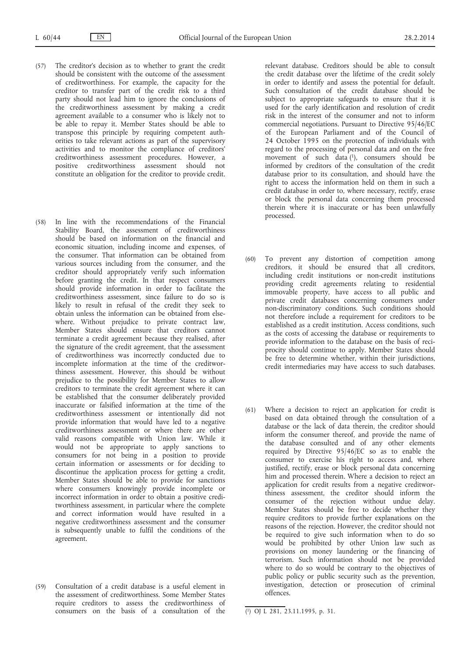- (57) The creditor's decision as to whether to grant the credit should be consistent with the outcome of the assessment of creditworthiness. For example, the capacity for the creditor to transfer part of the credit risk to a third party should not lead him to ignore the conclusions of the creditworthiness assessment by making a credit agreement available to a consumer who is likely not to be able to repay it. Member States should be able to transpose this principle by requiring competent authorities to take relevant actions as part of the supervisory activities and to monitor the compliance of creditors' creditworthiness assessment procedures. However, a positive creditworthiness assessment should not constitute an obligation for the creditor to provide credit.
- (58) In line with the recommendations of the Financial Stability Board, the assessment of creditworthiness should be based on information on the financial and economic situation, including income and expenses, of the consumer. That information can be obtained from various sources including from the consumer, and the creditor should appropriately verify such information before granting the credit. In that respect consumers should provide information in order to facilitate the creditworthiness assessment, since failure to do so is likely to result in refusal of the credit they seek to obtain unless the information can be obtained from elsewhere. Without prejudice to private contract law, Member States should ensure that creditors cannot terminate a credit agreement because they realised, after the signature of the credit agreement, that the assessment of creditworthiness was incorrectly conducted due to incomplete information at the time of the creditworthiness assessment. However, this should be without prejudice to the possibility for Member States to allow creditors to terminate the credit agreement where it can be established that the consumer deliberately provided inaccurate or falsified information at the time of the creditworthiness assessment or intentionally did not provide information that would have led to a negative creditworthiness assessment or where there are other valid reasons compatible with Union law. While it would not be appropriate to apply sanctions to consumers for not being in a position to provide certain information or assessments or for deciding to discontinue the application process for getting a credit, Member States should be able to provide for sanctions where consumers knowingly provide incomplete or incorrect information in order to obtain a positive creditworthiness assessment, in particular where the complete and correct information would have resulted in a negative creditworthiness assessment and the consumer is subsequently unable to fulfil the conditions of the agreement.
- (59) Consultation of a credit database is a useful element in the assessment of creditworthiness. Some Member States require creditors to assess the creditworthiness of consumers on the basis of a consultation of the

relevant database. Creditors should be able to consult the credit database over the lifetime of the credit solely in order to identify and assess the potential for default. Such consultation of the credit database should be subject to appropriate safeguards to ensure that it is used for the early identification and resolution of credit risk in the interest of the consumer and not to inform commercial negotiations. Pursuant to Directive 95/46/EC of the European Parliament and of the Council of 24 October 1995 on the protection of individuals with regard to the processing of personal data and on the free movement of such data  $(1)$ , consumers should be informed by creditors of the consultation of the credit database prior to its consultation, and should have the right to access the information held on them in such a credit database in order to, where necessary, rectify, erase or block the personal data concerning them processed therein where it is inaccurate or has been unlawfully processed.

- (60) To prevent any distortion of competition among creditors, it should be ensured that all creditors, including credit institutions or non-credit institutions providing credit agreements relating to residential immovable property, have access to all public and private credit databases concerning consumers under non-discriminatory conditions. Such conditions should not therefore include a requirement for creditors to be established as a credit institution. Access conditions, such as the costs of accessing the database or requirements to provide information to the database on the basis of reciprocity should continue to apply. Member States should be free to determine whether, within their jurisdictions, credit intermediaries may have access to such databases.
- (61) Where a decision to reject an application for credit is based on data obtained through the consultation of a database or the lack of data therein, the creditor should inform the consumer thereof, and provide the name of the database consulted and of any other elements required by Directive 95/46/EC so as to enable the consumer to exercise his right to access and, where justified, rectify, erase or block personal data concerning him and processed therein. Where a decision to reject an application for credit results from a negative creditworthiness assessment, the creditor should inform the consumer of the rejection without undue delay. Member States should be free to decide whether they require creditors to provide further explanations on the reasons of the rejection. However, the creditor should not be required to give such information when to do so would be prohibited by other Union law such as provisions on money laundering or the financing of terrorism. Such information should not be provided where to do so would be contrary to the objectives of public policy or public security such as the prevention, investigation, detection or prosecution of criminal offences.

<sup>(</sup> 1) OJ L 281, 23.11.1995, p. 31.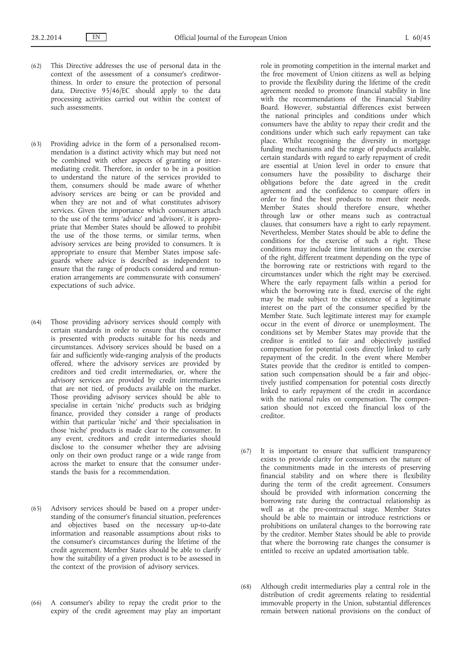- (62) This Directive addresses the use of personal data in the context of the assessment of a consumer's creditworthiness. In order to ensure the protection of personal data, Directive 95/46/EC should apply to the data processing activities carried out within the context of such assessments.
- (63) Providing advice in the form of a personalised recommendation is a distinct activity which may but need not be combined with other aspects of granting or intermediating credit. Therefore, in order to be in a position to understand the nature of the services provided to them, consumers should be made aware of whether advisory services are being or can be provided and when they are not and of what constitutes advisory services. Given the importance which consumers attach to the use of the terms 'advice' and 'advisors', it is appropriate that Member States should be allowed to prohibit the use of the those terms, or similar terms, when advisory services are being provided to consumers. It is appropriate to ensure that Member States impose safeguards where advice is described as independent to ensure that the range of products considered and remuneration arrangements are commensurate with consumers' expectations of such advice.
- (64) Those providing advisory services should comply with certain standards in order to ensure that the consumer is presented with products suitable for his needs and circumstances. Advisory services should be based on a fair and sufficiently wide-ranging analysis of the products offered, where the advisory services are provided by creditors and tied credit intermediaries, or, where the advisory services are provided by credit intermediaries that are not tied, of products available on the market. Those providing advisory services should be able to specialise in certain 'niche' products such as bridging finance, provided they consider a range of products within that particular 'niche' and 'their specialisation in those 'niche' products is made clear to the consumer. In any event, creditors and credit intermediaries should disclose to the consumer whether they are advising only on their own product range or a wide range from across the market to ensure that the consumer understands the basis for a recommendation.
- (65) Advisory services should be based on a proper understanding of the consumer's financial situation, preferences and objectives based on the necessary up-to-date information and reasonable assumptions about risks to the consumer's circumstances during the lifetime of the credit agreement. Member States should be able to clarify how the suitability of a given product is to be assessed in the context of the provision of advisory services.
- (66) A consumer's ability to repay the credit prior to the expiry of the credit agreement may play an important

role in promoting competition in the internal market and the free movement of Union citizens as well as helping to provide the flexibility during the lifetime of the credit agreement needed to promote financial stability in line with the recommendations of the Financial Stability Board. However, substantial differences exist between the national principles and conditions under which consumers have the ability to repay their credit and the conditions under which such early repayment can take place. Whilst recognising the diversity in mortgage funding mechanisms and the range of products available, certain standards with regard to early repayment of credit are essential at Union level in order to ensure that consumers have the possibility to discharge their obligations before the date agreed in the credit agreement and the confidence to compare offers in order to find the best products to meet their needs. Member States should therefore ensure, whether through law or other means such as contractual clauses, that consumers have a right to early repayment. Nevertheless, Member States should be able to define the conditions for the exercise of such a right. These conditions may include time limitations on the exercise of the right, different treatment depending on the type of the borrowing rate or restrictions with regard to the circumstances under which the right may be exercised. Where the early repayment falls within a period for which the borrowing rate is fixed, exercise of the right may be made subject to the existence of a legitimate interest on the part of the consumer specified by the Member State. Such legitimate interest may for example occur in the event of divorce or unemployment. The conditions set by Member States may provide that the creditor is entitled to fair and objectively justified compensation for potential costs directly linked to early repayment of the credit. In the event where Member States provide that the creditor is entitled to compensation such compensation should be a fair and objectively justified compensation for potential costs directly linked to early repayment of the credit in accordance with the national rules on compensation. The compensation should not exceed the financial loss of the creditor.

- (67) It is important to ensure that sufficient transparency exists to provide clarity for consumers on the nature of the commitments made in the interests of preserving financial stability and on where there is flexibility during the term of the credit agreement. Consumers should be provided with information concerning the borrowing rate during the contractual relationship as well as at the pre-contractual stage. Member States should be able to maintain or introduce restrictions or prohibitions on unilateral changes to the borrowing rate by the creditor. Member States should be able to provide that where the borrowing rate changes the consumer is entitled to receive an updated amortisation table.
- (68) Although credit intermediaries play a central role in the distribution of credit agreements relating to residential immovable property in the Union, substantial differences remain between national provisions on the conduct of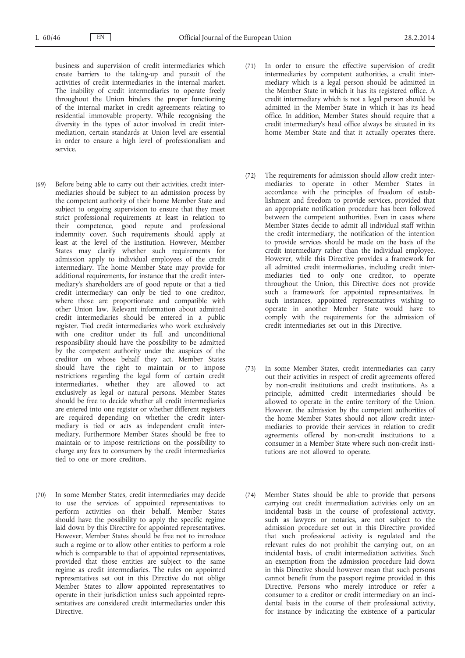business and supervision of credit intermediaries which create barriers to the taking-up and pursuit of the activities of credit intermediaries in the internal market. The inability of credit intermediaries to operate freely throughout the Union hinders the proper functioning of the internal market in credit agreements relating to residential immovable property. While recognising the diversity in the types of actor involved in credit intermediation, certain standards at Union level are essential in order to ensure a high level of professionalism and service.

- (69) Before being able to carry out their activities, credit intermediaries should be subject to an admission process by the competent authority of their home Member State and subject to ongoing supervision to ensure that they meet strict professional requirements at least in relation to their competence, good repute and professional indemnity cover. Such requirements should apply at least at the level of the institution. However, Member States may clarify whether such requirements for admission apply to individual employees of the credit intermediary. The home Member State may provide for additional requirements, for instance that the credit intermediary's shareholders are of good repute or that a tied credit intermediary can only be tied to one creditor, where those are proportionate and compatible with other Union law. Relevant information about admitted credit intermediaries should be entered in a public register. Tied credit intermediaries who work exclusively with one creditor under its full and unconditional responsibility should have the possibility to be admitted by the competent authority under the auspices of the creditor on whose behalf they act. Member States should have the right to maintain or to impose restrictions regarding the legal form of certain credit intermediaries, whether they are allowed to act exclusively as legal or natural persons. Member States should be free to decide whether all credit intermediaries are entered into one register or whether different registers are required depending on whether the credit intermediary is tied or acts as independent credit intermediary. Furthermore Member States should be free to maintain or to impose restrictions on the possibility to charge any fees to consumers by the credit intermediaries tied to one or more creditors.
- (70) In some Member States, credit intermediaries may decide to use the services of appointed representatives to perform activities on their behalf. Member States should have the possibility to apply the specific regime laid down by this Directive for appointed representatives. However, Member States should be free not to introduce such a regime or to allow other entities to perform a role which is comparable to that of appointed representatives, provided that those entities are subject to the same regime as credit intermediaries. The rules on appointed representatives set out in this Directive do not oblige Member States to allow appointed representatives to operate in their jurisdiction unless such appointed representatives are considered credit intermediaries under this **Directive**
- (71) In order to ensure the effective supervision of credit intermediaries by competent authorities, a credit intermediary which is a legal person should be admitted in the Member State in which it has its registered office. A credit intermediary which is not a legal person should be admitted in the Member State in which it has its head office. In addition, Member States should require that a credit intermediary's head office always be situated in its home Member State and that it actually operates there.
- (72) The requirements for admission should allow credit intermediaries to operate in other Member States in accordance with the principles of freedom of establishment and freedom to provide services, provided that an appropriate notification procedure has been followed between the competent authorities. Even in cases where Member States decide to admit all individual staff within the credit intermediary, the notification of the intention to provide services should be made on the basis of the credit intermediary rather than the individual employee. However, while this Directive provides a framework for all admitted credit intermediaries, including credit intermediaries tied to only one creditor, to operate throughout the Union, this Directive does not provide such a framework for appointed representatives. In such instances, appointed representatives wishing to operate in another Member State would have to comply with the requirements for the admission of credit intermediaries set out in this Directive.
- (73) In some Member States, credit intermediaries can carry out their activities in respect of credit agreements offered by non-credit institutions and credit institutions. As a principle, admitted credit intermediaries should be allowed to operate in the entire territory of the Union. However, the admission by the competent authorities of the home Member States should not allow credit intermediaries to provide their services in relation to credit agreements offered by non-credit institutions to a consumer in a Member State where such non-credit institutions are not allowed to operate.
- (74) Member States should be able to provide that persons carrying out credit intermediation activities only on an incidental basis in the course of professional activity, such as lawyers or notaries, are not subject to the admission procedure set out in this Directive provided that such professional activity is regulated and the relevant rules do not prohibit the carrying out, on an incidental basis, of credit intermediation activities. Such an exemption from the admission procedure laid down in this Directive should however mean that such persons cannot benefit from the passport regime provided in this Directive. Persons who merely introduce or refer a consumer to a creditor or credit intermediary on an incidental basis in the course of their professional activity, for instance by indicating the existence of a particular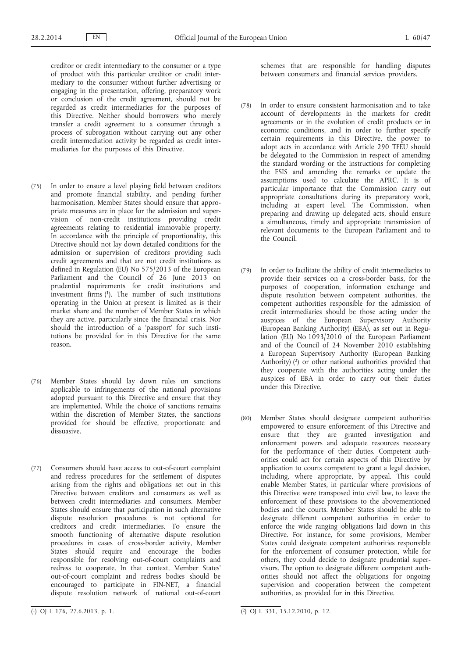creditor or credit intermediary to the consumer or a type of product with this particular creditor or credit intermediary to the consumer without further advertising or engaging in the presentation, offering, preparatory work or conclusion of the credit agreement, should not be regarded as credit intermediaries for the purposes of this Directive. Neither should borrowers who merely transfer a credit agreement to a consumer through a process of subrogation without carrying out any other credit intermediation activity be regarded as credit intermediaries for the purposes of this Directive.

- (75) In order to ensure a level playing field between creditors and promote financial stability, and pending further harmonisation, Member States should ensure that appropriate measures are in place for the admission and supervision of non-credit institutions providing credit agreements relating to residential immovable property. In accordance with the principle of proportionality, this Directive should not lay down detailed conditions for the admission or supervision of creditors providing such credit agreements and that are not credit institutions as defined in Regulation (EU) No 575/2013 of the European Parliament and the Council of 26 June 2013 on prudential requirements for credit institutions and investment firms  $(1)$ . The number of such institutions operating in the Union at present is limited as is their market share and the number of Member States in which they are active, particularly since the financial crisis. Nor should the introduction of a 'passport' for such institutions be provided for in this Directive for the same reason.
- (76) Member States should lay down rules on sanctions applicable to infringements of the national provisions adopted pursuant to this Directive and ensure that they are implemented. While the choice of sanctions remains within the discretion of Member States, the sanctions provided for should be effective, proportionate and dissuasive.
- (77) Consumers should have access to out-of-court complaint and redress procedures for the settlement of disputes arising from the rights and obligations set out in this Directive between creditors and consumers as well as between credit intermediaries and consumers. Member States should ensure that participation in such alternative dispute resolution procedures is not optional for creditors and credit intermediaries. To ensure the smooth functioning of alternative dispute resolution procedures in cases of cross-border activity, Member States should require and encourage the bodies responsible for resolving out-of-court complaints and redress to cooperate. In that context, Member States' out-of-court complaint and redress bodies should be encouraged to participate in FIN-NET, a financial dispute resolution network of national out-of-court

schemes that are responsible for handling disputes between consumers and financial services providers.

- (78) In order to ensure consistent harmonisation and to take account of developments in the markets for credit agreements or in the evolution of credit products or in economic conditions, and in order to further specify certain requirements in this Directive, the power to adopt acts in accordance with Article 290 TFEU should be delegated to the Commission in respect of amending the standard wording or the instructions for completing the ESIS and amending the remarks or update the assumptions used to calculate the APRC. It is of particular importance that the Commission carry out appropriate consultations during its preparatory work, including at expert level. The Commission, when preparing and drawing up delegated acts, should ensure a simultaneous, timely and appropriate transmission of relevant documents to the European Parliament and to the Council.
- (79) In order to facilitate the ability of credit intermediaries to provide their services on a cross-border basis, for the purposes of cooperation, information exchange and dispute resolution between competent authorities, the competent authorities responsible for the admission of credit intermediaries should be those acting under the auspices of the European Supervisory Authority (European Banking Authority) (EBA), as set out in Regulation (EU) No 1093/2010 of the European Parliament and of the Council of 24 November 2010 establishing a European Supervisory Authority (European Banking Authority) (2) or other national authorities provided that they cooperate with the authorities acting under the auspices of EBA in order to carry out their duties under this Directive.
- (80) Member States should designate competent authorities empowered to ensure enforcement of this Directive and ensure that they are granted investigation and enforcement powers and adequate resources necessary for the performance of their duties. Competent authorities could act for certain aspects of this Directive by application to courts competent to grant a legal decision, including, where appropriate, by appeal. This could enable Member States, in particular where provisions of this Directive were transposed into civil law, to leave the enforcement of these provisions to the abovementioned bodies and the courts. Member States should be able to designate different competent authorities in order to enforce the wide ranging obligations laid down in this Directive. For instance, for some provisions, Member States could designate competent authorities responsible for the enforcement of consumer protection, while for others, they could decide to designate prudential supervisors. The option to designate different competent authorities should not affect the obligations for ongoing supervision and cooperation between the competent authorities, as provided for in this Directive.

 $(1)$  OJ L 176, 27.6.2013, p. 1.

 $\overline{(^2)}$  OJ L 331, 15.12.2010, p. 12.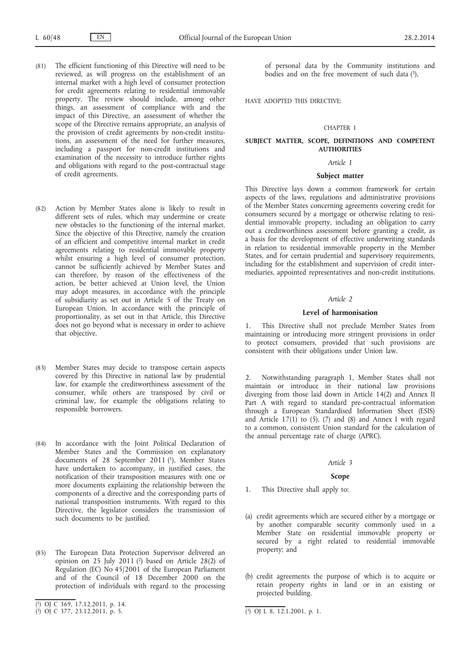- (81) The efficient functioning of this Directive will need to be reviewed, as will progress on the establishment of an internal market with a high level of consumer protection for credit agreements relating to residential immovable property. The review should include, among other things, an assessment of compliance with and the impact of this Directive, an assessment of whether the scope of the Directive remains appropriate, an analysis of the provision of credit agreements by non-credit institutions, an assessment of the need for further measures, including a passport for non-credit institutions and examination of the necessity to introduce further rights and obligations with regard to the post-contractual stage of credit agreements.
- (82) Action by Member States alone is likely to result in different sets of rules, which may undermine or create new obstacles to the functioning of the internal market. Since the objective of this Directive, namely the creation of an efficient and competitive internal market in credit agreements relating to residential immovable property whilst ensuring a high level of consumer protection, cannot be sufficiently achieved by Member States and can therefore, by reason of the effectiveness of the action, be better achieved at Union level, the Union may adopt measures, in accordance with the principle of subsidiarity as set out in Article 5 of the Treaty on European Union. In accordance with the principle of proportionality, as set out in that Article, this Directive does not go beyond what is necessary in order to achieve that objective.
- (83) Member States may decide to transpose certain aspects covered by this Directive in national law by prudential law, for example the creditworthiness assessment of the consumer, while others are transposed by civil or criminal law, for example the obligations relating to responsible borrowers.
- (84) In accordance with the Joint Political Declaration of Member States and the Commission on explanatory documents of 28 September 2011 (1), Member States have undertaken to accompany, in justified cases, the notification of their transposition measures with one or more documents explaining the relationship between the components of a directive and the corresponding parts of national transposition instruments. With regard to this Directive, the legislator considers the transmission of such documents to be justified.
- (85) The European Data Protection Supervisor delivered an opinion on 25 July 2011 (2) based on Article 28(2) of Regulation (EC) No 45/2001 of the European Parliament and of the Council of 18 December 2000 on the protection of individuals with regard to the processing

of personal data by the Community institutions and bodies and on the free movement of such data  $(3)$ ,

HAVE ADOPTED THIS DIRECTIVE:

# CHAPTER 1

# **SUBJECT MATTER, SCOPE, DEFINITIONS AND COMPETENT AUTHORITIES**

#### *Article 1*

### **Subject matter**

This Directive lays down a common framework for certain aspects of the laws, regulations and administrative provisions of the Member States concerning agreements covering credit for consumers secured by a mortgage or otherwise relating to residential immovable property, including an obligation to carry out a creditworthiness assessment before granting a credit, as a basis for the development of effective underwriting standards in relation to residential immovable property in the Member States, and for certain prudential and supervisory requirements, including for the establishment and supervision of credit intermediaries, appointed representatives and non-credit institutions.

### *Article 2*

# **Level of harmonisation**

This Directive shall not preclude Member States from maintaining or introducing more stringent provisions in order to protect consumers, provided that such provisions are consistent with their obligations under Union law.

2. Notwithstanding paragraph 1, Member States shall not maintain or introduce in their national law provisions diverging from those laid down in Article 14(2) and Annex II Part A with regard to standard pre-contractual information through a European Standardised Information Sheet (ESIS) and Article  $17(1)$  to (5), (7) and (8) and Annex I with regard to a common, consistent Union standard for the calculation of the annual percentage rate of charge (APRC).

#### *Article 3*

#### **Scope**

- 1. This Directive shall apply to:
- (a) credit agreements which are secured either by a mortgage or by another comparable security commonly used in a Member State on residential immovable property or secured by a right related to residential immovable property; and
- (b) credit agreements the purpose of which is to acquire or retain property rights in land or in an existing or projected building.

<sup>(</sup> 1) OJ C 369, 17.12.2011, p. 14.

<sup>(</sup> 2) OJ C 377, 23.12.2011, p. 5. (3) OJ L 8, 12.1.2001, p. 1.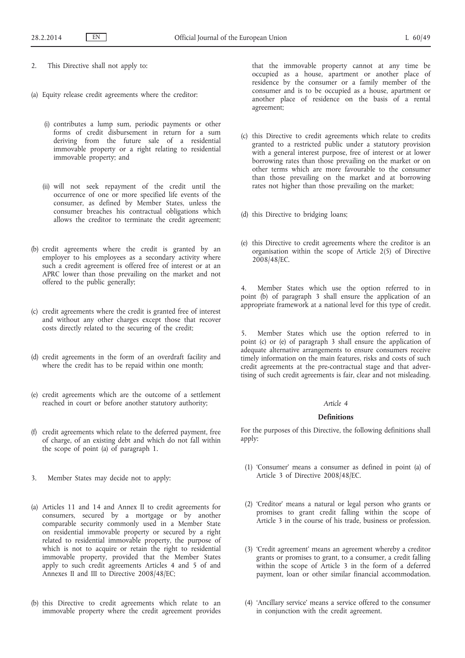- 2. This Directive shall not apply to:
- (a) Equity release credit agreements where the creditor:
	- (i) contributes a lump sum, periodic payments or other forms of credit disbursement in return for a sum deriving from the future sale of a residential immovable property or a right relating to residential immovable property; and
	- (ii) will not seek repayment of the credit until the occurrence of one or more specified life events of the consumer, as defined by Member States, unless the consumer breaches his contractual obligations which allows the creditor to terminate the credit agreement;
- (b) credit agreements where the credit is granted by an employer to his employees as a secondary activity where such a credit agreement is offered free of interest or at an APRC lower than those prevailing on the market and not offered to the public generally;
- (c) credit agreements where the credit is granted free of interest and without any other charges except those that recover costs directly related to the securing of the credit;
- (d) credit agreements in the form of an overdraft facility and where the credit has to be repaid within one month;
- (e) credit agreements which are the outcome of a settlement reached in court or before another statutory authority;
- (f) credit agreements which relate to the deferred payment, free of charge, of an existing debt and which do not fall within the scope of point (a) of paragraph 1.
- 3. Member States may decide not to apply:
- (a) Articles 11 and 14 and Annex II to credit agreements for consumers, secured by a mortgage or by another comparable security commonly used in a Member State on residential immovable property or secured by a right related to residential immovable property, the purpose of which is not to acquire or retain the right to residential immovable property, provided that the Member States apply to such credit agreements Articles 4 and 5 of and Annexes II and III to Directive 2008/48/EC;
- (b) this Directive to credit agreements which relate to an immovable property where the credit agreement provides

that the immovable property cannot at any time be occupied as a house, apartment or another place of residence by the consumer or a family member of the consumer and is to be occupied as a house, apartment or another place of residence on the basis of a rental agreement;

- (c) this Directive to credit agreements which relate to credits granted to a restricted public under a statutory provision with a general interest purpose, free of interest or at lower borrowing rates than those prevailing on the market or on other terms which are more favourable to the consumer than those prevailing on the market and at borrowing rates not higher than those prevailing on the market;
- (d) this Directive to bridging loans;
- (e) this Directive to credit agreements where the creditor is an organisation within the scope of Article 2(5) of Directive 2008/48/EC.

4. Member States which use the option referred to in point (b) of paragraph 3 shall ensure the application of an appropriate framework at a national level for this type of credit.

5. Member States which use the option referred to in point (c) or (e) of paragraph 3 shall ensure the application of adequate alternative arrangements to ensure consumers receive timely information on the main features, risks and costs of such credit agreements at the pre-contractual stage and that advertising of such credit agreements is fair, clear and not misleading.

# *Article 4*

# **Definitions**

For the purposes of this Directive, the following definitions shall apply:

- (1) 'Consumer' means a consumer as defined in point (a) of Article 3 of Directive 2008/48/EC.
- (2) 'Creditor' means a natural or legal person who grants or promises to grant credit falling within the scope of Article 3 in the course of his trade, business or profession.
- (3) 'Credit agreement' means an agreement whereby a creditor grants or promises to grant, to a consumer, a credit falling within the scope of Article 3 in the form of a deferred payment, loan or other similar financial accommodation.
- (4) 'Ancillary service' means a service offered to the consumer in conjunction with the credit agreement.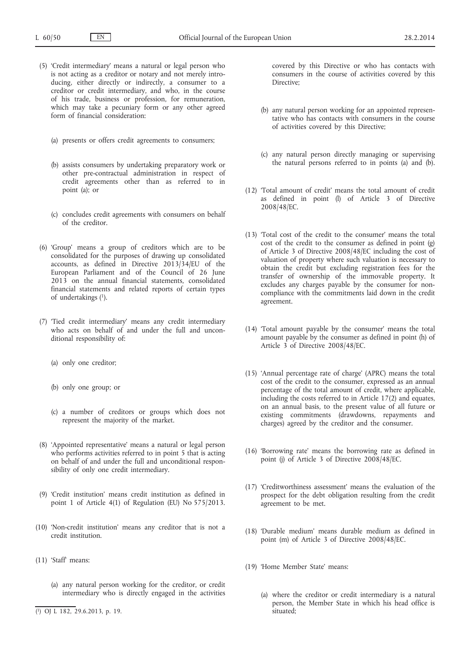- (5) 'Credit intermediary' means a natural or legal person who is not acting as a creditor or notary and not merely introducing, either directly or indirectly, a consumer to a creditor or credit intermediary, and who, in the course of his trade, business or profession, for remuneration, which may take a pecuniary form or any other agreed form of financial consideration:
	- (a) presents or offers credit agreements to consumers;
	- (b) assists consumers by undertaking preparatory work or other pre-contractual administration in respect of credit agreements other than as referred to in point (a); or
	- (c) concludes credit agreements with consumers on behalf of the creditor.
- (6) 'Group' means a group of creditors which are to be consolidated for the purposes of drawing up consolidated accounts, as defined in Directive  $2013/34/EU$  of the European Parliament and of the Council of 26 June 2013 on the annual financial statements, consolidated financial statements and related reports of certain types of undertakings (1).
- (7) 'Tied credit intermediary' means any credit intermediary who acts on behalf of and under the full and unconditional responsibility of:
	- (a) only one creditor;
	- (b) only one group; or
	- (c) a number of creditors or groups which does not represent the majority of the market.
- (8) 'Appointed representative' means a natural or legal person who performs activities referred to in point 5 that is acting on behalf of and under the full and unconditional responsibility of only one credit intermediary.
- (9) 'Credit institution' means credit institution as defined in point 1 of Article 4(1) of Regulation (EU) No 575/2013.
- (10) 'Non-credit institution' means any creditor that is not a credit institution.
- (11) 'Staff' means:
	- (a) any natural person working for the creditor, or credit intermediary who is directly engaged in the activities
- ( 1) OJ L 182, 29.6.2013, p. 19.

covered by this Directive or who has contacts with consumers in the course of activities covered by this Directive;

- (b) any natural person working for an appointed representative who has contacts with consumers in the course of activities covered by this Directive;
- (c) any natural person directly managing or supervising the natural persons referred to in points (a) and (b).
- (12) 'Total amount of credit' means the total amount of credit as defined in point (l) of Article 3 of Directive 2008/48/EC.
- (13) 'Total cost of the credit to the consumer' means the total cost of the credit to the consumer as defined in point (g) of Article 3 of Directive 2008/48/EC including the cost of valuation of property where such valuation is necessary to obtain the credit but excluding registration fees for the transfer of ownership of the immovable property. It excludes any charges payable by the consumer for noncompliance with the commitments laid down in the credit agreement.
- (14) 'Total amount payable by the consumer' means the total amount payable by the consumer as defined in point (h) of Article 3 of Directive 2008/48/EC.
- (15) 'Annual percentage rate of charge' (APRC) means the total cost of the credit to the consumer, expressed as an annual percentage of the total amount of credit, where applicable, including the costs referred to in Article 17(2) and equates, on an annual basis, to the present value of all future or existing commitments (drawdowns, repayments and charges) agreed by the creditor and the consumer.
- (16) 'Borrowing rate' means the borrowing rate as defined in point (j) of Article 3 of Directive 2008/48/EC.
- (17) 'Creditworthiness assessment' means the evaluation of the prospect for the debt obligation resulting from the credit agreement to be met.
- (18) 'Durable medium' means durable medium as defined in point (m) of Article 3 of Directive 2008/48/EC.
- (19) 'Home Member State' means:
	- (a) where the creditor or credit intermediary is a natural person, the Member State in which his head office is situated;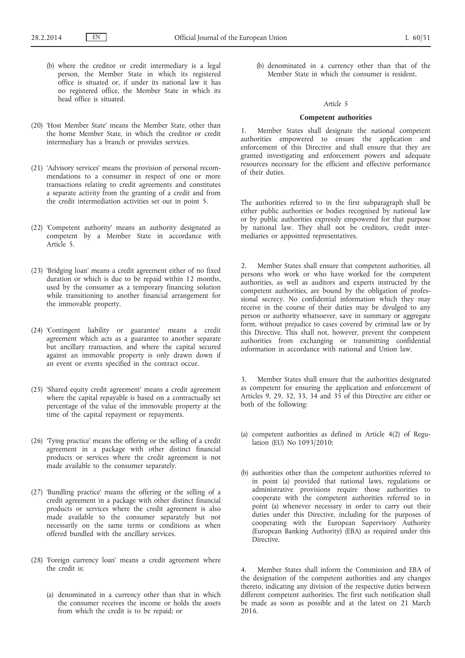- (b) where the creditor or credit intermediary is a legal person, the Member State in which its registered office is situated or, if under its national law it has no registered office, the Member State in which its head office is situated.
- (20) 'Host Member State' means the Member State, other than the home Member State, in which the creditor or credit intermediary has a branch or provides services.
- (21) 'Advisory services' means the provision of personal recommendations to a consumer in respect of one or more transactions relating to credit agreements and constitutes a separate activity from the granting of a credit and from the credit intermediation activities set out in point 5.
- (22) 'Competent authority' means an authority designated as competent by a Member State in accordance with Article 5.
- (23) 'Bridging loan' means a credit agreement either of no fixed duration or which is due to be repaid within 12 months, used by the consumer as a temporary financing solution while transitioning to another financial arrangement for the immovable property.
- (24) 'Contingent liability or guarantee' means a credit agreement which acts as a guarantee to another separate but ancillary transaction, and where the capital secured against an immovable property is only drawn down if an event or events specified in the contract occur.
- (25) 'Shared equity credit agreement' means a credit agreement where the capital repayable is based on a contractually set percentage of the value of the immovable property at the time of the capital repayment or repayments.
- (26) 'Tying practice' means the offering or the selling of a credit agreement in a package with other distinct financial products or services where the credit agreement is not made available to the consumer separately.
- (27) 'Bundling practice' means the offering or the selling of a credit agreement in a package with other distinct financial products or services where the credit agreement is also made available to the consumer separately but not necessarily on the same terms or conditions as when offered bundled with the ancillary services.
- (28) 'Foreign currency loan' means a credit agreement where the credit is:
	- (a) denominated in a currency other than that in which the consumer receives the income or holds the assets from which the credit is to be repaid; or

(b) denominated in a currency other than that of the Member State in which the consumer is resident.

#### *Article 5*

#### **Competent authorities**

1. Member States shall designate the national competent authorities empowered to ensure the application and enforcement of this Directive and shall ensure that they are granted investigating and enforcement powers and adequate resources necessary for the efficient and effective performance of their duties.

The authorities referred to in the first subparagraph shall be either public authorities or bodies recognised by national law or by public authorities expressly empowered for that purpose by national law. They shall not be creditors, credit intermediaries or appointed representatives.

2. Member States shall ensure that competent authorities, all persons who work or who have worked for the competent authorities, as well as auditors and experts instructed by the competent authorities, are bound by the obligation of professional secrecy. No confidential information which they may receive in the course of their duties may be divulged to any person or authority whatsoever, save in summary or aggregate form, without prejudice to cases covered by criminal law or by this Directive. This shall not, however, prevent the competent authorities from exchanging or transmitting confidential information in accordance with national and Union law.

3. Member States shall ensure that the authorities designated as competent for ensuring the application and enforcement of Articles 9, 29, 32, 33, 34 and 35 of this Directive are either or both of the following:

- (a) competent authorities as defined in Article 4(2) of Regulation (EU) No 1093/2010;
- (b) authorities other than the competent authorities referred to in point (a) provided that national laws, regulations or administrative provisions require those authorities to cooperate with the competent authorities referred to in point (a) whenever necessary in order to carry out their duties under this Directive, including for the purposes of cooperating with the European Supervisory Authority (European Banking Authority) (EBA) as required under this Directive.

4. Member States shall inform the Commission and EBA of the designation of the competent authorities and any changes thereto, indicating any division of the respective duties between different competent authorities. The first such notification shall be made as soon as possible and at the latest on 21 March 2016.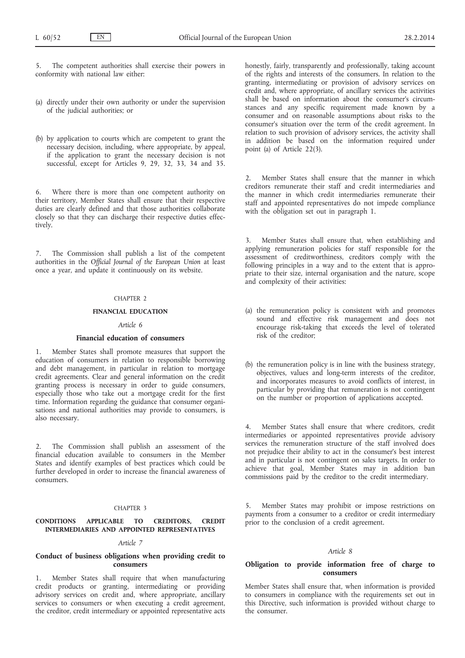The competent authorities shall exercise their powers in conformity with national law either:

- (a) directly under their own authority or under the supervision of the judicial authorities; or
- (b) by application to courts which are competent to grant the necessary decision, including, where appropriate, by appeal, if the application to grant the necessary decision is not successful, except for Articles 9, 29, 32, 33, 34 and 35.

6. Where there is more than one competent authority on their territory, Member States shall ensure that their respective duties are clearly defined and that those authorities collaborate closely so that they can discharge their respective duties effectively.

7. The Commission shall publish a list of the competent authorities in the *Official Journal of the European Union* at least once a year, and update it continuously on its website.

### CHAPTER 2

# **FINANCIAL EDUCATION**

### *Article 6*

### **Financial education of consumers**

1. Member States shall promote measures that support the education of consumers in relation to responsible borrowing and debt management, in particular in relation to mortgage credit agreements. Clear and general information on the credit granting process is necessary in order to guide consumers, especially those who take out a mortgage credit for the first time. Information regarding the guidance that consumer organisations and national authorities may provide to consumers, is also necessary.

2. The Commission shall publish an assessment of the financial education available to consumers in the Member States and identify examples of best practices which could be further developed in order to increase the financial awareness of consumers.

#### CHAPTER 3

# **CONDITIONS APPLICABLE TO CREDITORS, CREDIT INTERMEDIARIES AND APPOINTED REPRESENTATIVES**

#### *Article 7*

# **Conduct of business obligations when providing credit to consumers**

Member States shall require that when manufacturing credit products or granting, intermediating or providing advisory services on credit and, where appropriate, ancillary services to consumers or when executing a credit agreement, the creditor, credit intermediary or appointed representative acts

honestly, fairly, transparently and professionally, taking account of the rights and interests of the consumers. In relation to the granting, intermediating or provision of advisory services on credit and, where appropriate, of ancillary services the activities shall be based on information about the consumer's circumstances and any specific requirement made known by a consumer and on reasonable assumptions about risks to the consumer's situation over the term of the credit agreement. In relation to such provision of advisory services, the activity shall in addition be based on the information required under point (a) of Article 22(3).

2. Member States shall ensure that the manner in which creditors remunerate their staff and credit intermediaries and the manner in which credit intermediaries remunerate their staff and appointed representatives do not impede compliance with the obligation set out in paragraph 1.

Member States shall ensure that, when establishing and applying remuneration policies for staff responsible for the assessment of creditworthiness, creditors comply with the following principles in a way and to the extent that is appropriate to their size, internal organisation and the nature, scope and complexity of their activities:

- (a) the remuneration policy is consistent with and promotes sound and effective risk management and does not encourage risk-taking that exceeds the level of tolerated risk of the creditor;
- (b) the remuneration policy is in line with the business strategy, objectives, values and long-term interests of the creditor, and incorporates measures to avoid conflicts of interest, in particular by providing that remuneration is not contingent on the number or proportion of applications accepted.

4. Member States shall ensure that where creditors, credit intermediaries or appointed representatives provide advisory services the remuneration structure of the staff involved does not prejudice their ability to act in the consumer's best interest and in particular is not contingent on sales targets. In order to achieve that goal, Member States may in addition ban commissions paid by the creditor to the credit intermediary.

5. Member States may prohibit or impose restrictions on payments from a consumer to a creditor or credit intermediary prior to the conclusion of a credit agreement.

# *Article 8*

# **Obligation to provide information free of charge to consumers**

Member States shall ensure that, when information is provided to consumers in compliance with the requirements set out in this Directive, such information is provided without charge to the consumer.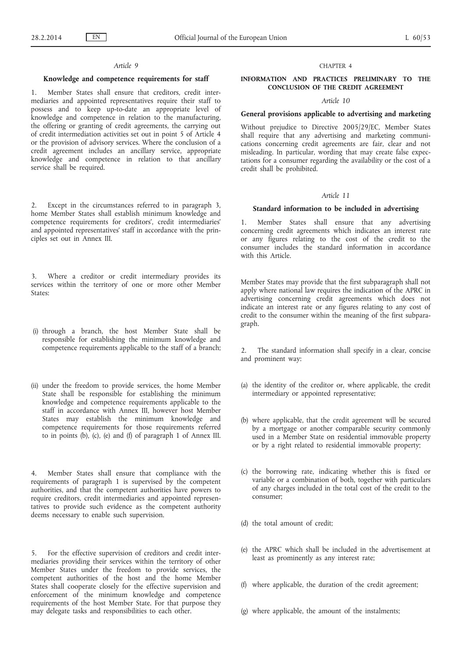#### *Article 9*

### **Knowledge and competence requirements for staff**

1. Member States shall ensure that creditors, credit intermediaries and appointed representatives require their staff to possess and to keep up-to-date an appropriate level of knowledge and competence in relation to the manufacturing, the offering or granting of credit agreements, the carrying out of credit intermediation activities set out in point 5 of Article 4 or the provision of advisory services. Where the conclusion of a credit agreement includes an ancillary service, appropriate knowledge and competence in relation to that ancillary service shall be required.

2. Except in the circumstances referred to in paragraph 3, home Member States shall establish minimum knowledge and competence requirements for creditors', credit intermediaries' and appointed representatives' staff in accordance with the principles set out in Annex III.

3. Where a creditor or credit intermediary provides its services within the territory of one or more other Member States:

- (i) through a branch, the host Member State shall be responsible for establishing the minimum knowledge and competence requirements applicable to the staff of a branch;
- (ii) under the freedom to provide services, the home Member State shall be responsible for establishing the minimum knowledge and competence requirements applicable to the staff in accordance with Annex III, however host Member States may establish the minimum knowledge and competence requirements for those requirements referred to in points  $(b)$ ,  $(c)$ ,  $(e)$  and  $(f)$  of paragraph 1 of Annex III.

Member States shall ensure that compliance with the requirements of paragraph 1 is supervised by the competent authorities, and that the competent authorities have powers to require creditors, credit intermediaries and appointed representatives to provide such evidence as the competent authority deems necessary to enable such supervision.

5. For the effective supervision of creditors and credit intermediaries providing their services within the territory of other Member States under the freedom to provide services, the competent authorities of the host and the home Member States shall cooperate closely for the effective supervision and enforcement of the minimum knowledge and competence requirements of the host Member State. For that purpose they may delegate tasks and responsibilities to each other.

### CHAPTER 4

# **INFORMATION AND PRACTICES PRELIMINARY TO THE CONCLUSION OF THE CREDIT AGREEMENT**

# *Article 10*

# **General provisions applicable to advertising and marketing**

Without prejudice to Directive 2005/29/EC, Member States shall require that any advertising and marketing communications concerning credit agreements are fair, clear and not misleading. In particular, wording that may create false expectations for a consumer regarding the availability or the cost of a credit shall be prohibited.

### *Article 11*

# **Standard information to be included in advertising**

1. Member States shall ensure that any advertising concerning credit agreements which indicates an interest rate or any figures relating to the cost of the credit to the consumer includes the standard information in accordance with this Article.

Member States may provide that the first subparagraph shall not apply where national law requires the indication of the APRC in advertising concerning credit agreements which does not indicate an interest rate or any figures relating to any cost of credit to the consumer within the meaning of the first subparagraph.

2. The standard information shall specify in a clear, concise and prominent way:

- (a) the identity of the creditor or, where applicable, the credit intermediary or appointed representative;
- (b) where applicable, that the credit agreement will be secured by a mortgage or another comparable security commonly used in a Member State on residential immovable property or by a right related to residential immovable property;
- (c) the borrowing rate, indicating whether this is fixed or variable or a combination of both, together with particulars of any charges included in the total cost of the credit to the consumer;
- (d) the total amount of credit;
- (e) the APRC which shall be included in the advertisement at least as prominently as any interest rate;
- (f) where applicable, the duration of the credit agreement;
- (g) where applicable, the amount of the instalments;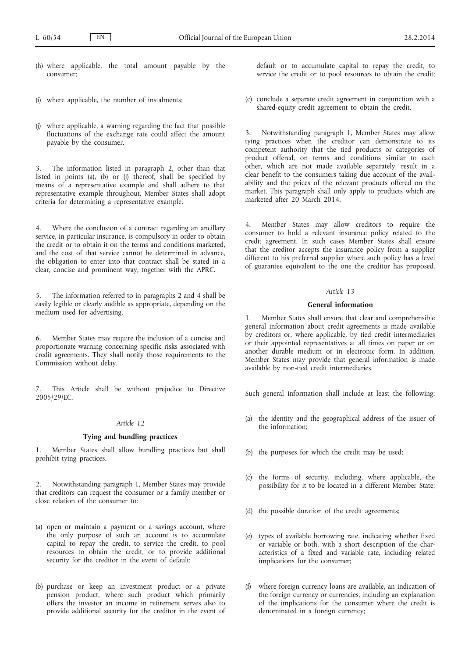- (h) where applicable, the total amount payable by the consumer;
- (i) where applicable, the number of instalments;
- (j) where applicable, a warning regarding the fact that possible fluctuations of the exchange rate could affect the amount payable by the consumer.

3. The information listed in paragraph 2, other than that listed in points (a), (b) or (j) thereof, shall be specified by means of a representative example and shall adhere to that representative example throughout. Member States shall adopt criteria for determining a representative example.

4. Where the conclusion of a contract regarding an ancillary service, in particular insurance, is compulsory in order to obtain the credit or to obtain it on the terms and conditions marketed, and the cost of that service cannot be determined in advance, the obligation to enter into that contract shall be stated in a clear, concise and prominent way, together with the APRC.

5. The information referred to in paragraphs 2 and 4 shall be easily legible or clearly audible as appropriate, depending on the medium used for advertising.

6. Member States may require the inclusion of a concise and proportionate warning concerning specific risks associated with credit agreements. They shall notify those requirements to the Commission without delay.

This Article shall be without prejudice to Directive 2005/29/EC.

# *Article 12*

### **Tying and bundling practices**

1. Member States shall allow bundling practices but shall prohibit tying practices.

2. Notwithstanding paragraph 1, Member States may provide that creditors can request the consumer or a family member or close relation of the consumer to:

- (a) open or maintain a payment or a savings account, where the only purpose of such an account is to accumulate capital to repay the credit, to service the credit, to pool resources to obtain the credit, or to provide additional security for the creditor in the event of default;
- (b) purchase or keep an investment product or a private pension product, where such product which primarily offers the investor an income in retirement serves also to provide additional security for the creditor in the event of

default or to accumulate capital to repay the credit, to service the credit or to pool resources to obtain the credit;

(c) conclude a separate credit agreement in conjunction with a shared-equity credit agreement to obtain the credit.

3. Notwithstanding paragraph 1, Member States may allow tying practices when the creditor can demonstrate to its competent authority that the tied products or categories of product offered, on terms and conditions similar to each other, which are not made available separately, result in a clear benefit to the consumers taking due account of the availability and the prices of the relevant products offered on the market. This paragraph shall only apply to products which are marketed after 20 March 2014.

4. Member States may allow creditors to require the consumer to hold a relevant insurance policy related to the credit agreement. In such cases Member States shall ensure that the creditor accepts the insurance policy from a supplier different to his preferred supplier where such policy has a level of guarantee equivalent to the one the creditor has proposed.

### *Article 13*

### **General information**

1. Member States shall ensure that clear and comprehensible general information about credit agreements is made available by creditors or, where applicable, by tied credit intermediaries or their appointed representatives at all times on paper or on another durable medium or in electronic form. In addition, Member States may provide that general information is made available by non-tied credit intermediaries.

Such general information shall include at least the following:

- (a) the identity and the geographical address of the issuer of the information;
- (b) the purposes for which the credit may be used;
- (c) the forms of security, including, where applicable, the possibility for it to be located in a different Member State;
- (d) the possible duration of the credit agreements;
- (e) types of available borrowing rate, indicating whether fixed or variable or both, with a short description of the characteristics of a fixed and variable rate, including related implications for the consumer;
- (f) where foreign currency loans are available, an indication of the foreign currency or currencies, including an explanation of the implications for the consumer where the credit is denominated in a foreign currency;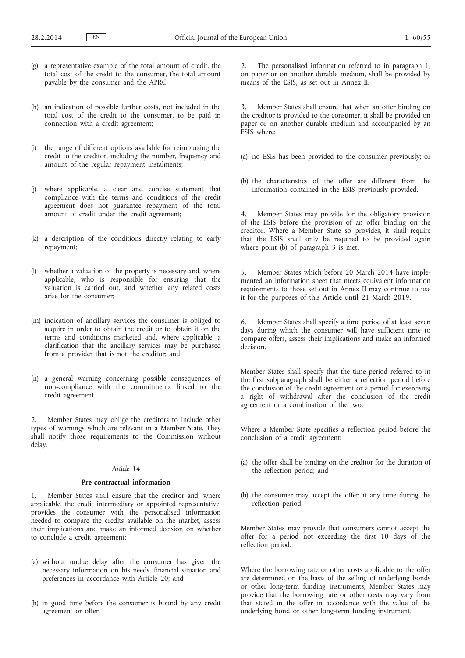- (g) a representative example of the total amount of credit, the total cost of the credit to the consumer, the total amount payable by the consumer and the APRC;
- (h) an indication of possible further costs, not included in the total cost of the credit to the consumer, to be paid in connection with a credit agreement;
- (i) the range of different options available for reimbursing the credit to the creditor, including the number, frequency and amount of the regular repayment instalments;
- (j) where applicable, a clear and concise statement that compliance with the terms and conditions of the credit agreement does not guarantee repayment of the total amount of credit under the credit agreement;
- (k) a description of the conditions directly relating to early repayment;
- (l) whether a valuation of the property is necessary and, where applicable, who is responsible for ensuring that the valuation is carried out, and whether any related costs arise for the consumer;
- (m) indication of ancillary services the consumer is obliged to acquire in order to obtain the credit or to obtain it on the terms and conditions marketed and, where applicable, a clarification that the ancillary services may be purchased from a provider that is not the creditor; and
- (n) a general warning concerning possible consequences of non-compliance with the commitments linked to the credit agreement.

2. Member States may oblige the creditors to include other types of warnings which are relevant in a Member State. They shall notify those requirements to the Commission without delay.

### *Article 14*

### **Pre-contractual information**

1. Member States shall ensure that the creditor and, where applicable, the credit intermediary or appointed representative, provides the consumer with the personalised information needed to compare the credits available on the market, assess their implications and make an informed decision on whether to conclude a credit agreement:

- (a) without undue delay after the consumer has given the necessary information on his needs, financial situation and preferences in accordance with Article 20; and
- (b) in good time before the consumer is bound by any credit agreement or offer.

2. The personalised information referred to in paragraph 1, on paper or on another durable medium, shall be provided by means of the ESIS, as set out in Annex II.

3. Member States shall ensure that when an offer binding on the creditor is provided to the consumer, it shall be provided on paper or on another durable medium and accompanied by an ESIS where:

(a) no ESIS has been provided to the consumer previously; or

(b) the characteristics of the offer are different from the information contained in the ESIS previously provided.

Member States may provide for the obligatory provision of the ESIS before the provision of an offer binding on the creditor. Where a Member State so provides, it shall require that the ESIS shall only be required to be provided again where point (b) of paragraph 3 is met.

5. Member States which before 20 March 2014 have implemented an information sheet that meets equivalent information requirements to those set out in Annex II may continue to use it for the purposes of this Article until 21 March 2019.

6. Member States shall specify a time period of at least seven days during which the consumer will have sufficient time to compare offers, assess their implications and make an informed decision.

Member States shall specify that the time period referred to in the first subparagraph shall be either a reflection period before the conclusion of the credit agreement or a period for exercising a right of withdrawal after the conclusion of the credit agreement or a combination of the two.

Where a Member State specifies a reflection period before the conclusion of a credit agreement:

- (a) the offer shall be binding on the creditor for the duration of the reflection period; and
- (b) the consumer may accept the offer at any time during the reflection period.

Member States may provide that consumers cannot accept the offer for a period not exceeding the first 10 days of the reflection period.

Where the borrowing rate or other costs applicable to the offer are determined on the basis of the selling of underlying bonds or other long-term funding instruments, Member States may provide that the borrowing rate or other costs may vary from that stated in the offer in accordance with the value of the underlying bond or other long-term funding instrument.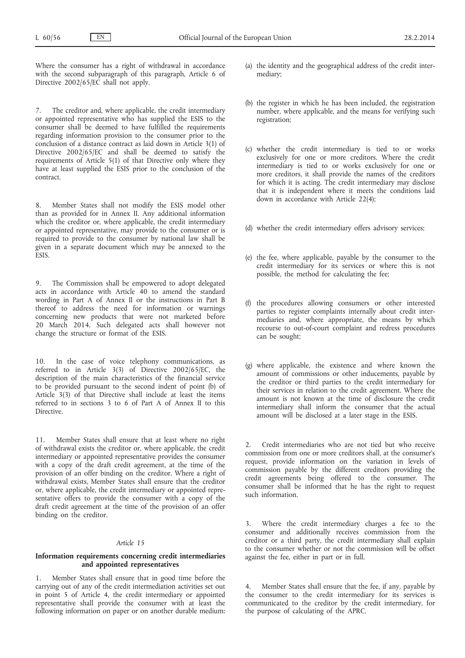Where the consumer has a right of withdrawal in accordance with the second subparagraph of this paragraph, Article 6 of Directive 2002/65/EC shall not apply.

7. The creditor and, where applicable, the credit intermediary or appointed representative who has supplied the ESIS to the consumer shall be deemed to have fulfilled the requirements regarding information provision to the consumer prior to the conclusion of a distance contract as laid down in Article 3(1) of Directive 2002/65/EC and shall be deemed to satisfy the requirements of Article 5(1) of that Directive only where they have at least supplied the ESIS prior to the conclusion of the contract.

8. Member States shall not modify the ESIS model other than as provided for in Annex II. Any additional information which the creditor or, where applicable, the credit intermediary or appointed representative, may provide to the consumer or is required to provide to the consumer by national law shall be given in a separate document which may be annexed to the ESIS.

9. The Commission shall be empowered to adopt delegated acts in accordance with Article 40 to amend the standard wording in Part A of Annex II or the instructions in Part B thereof to address the need for information or warnings concerning new products that were not marketed before 20 March 2014. Such delegated acts shall however not change the structure or format of the ESIS.

10. In the case of voice telephony communications, as referred to in Article 3(3) of Directive 2002/65/EC, the description of the main characteristics of the financial service to be provided pursuant to the second indent of point (b) of Article 3(3) of that Directive shall include at least the items referred to in sections 3 to 6 of Part A of Annex II to this Directive.

11. Member States shall ensure that at least where no right of withdrawal exists the creditor or, where applicable, the credit intermediary or appointed representative provides the consumer with a copy of the draft credit agreement, at the time of the provision of an offer binding on the creditor. Where a right of withdrawal exists, Member States shall ensure that the creditor or, where applicable, the credit intermediary or appointed representative offers to provide the consumer with a copy of the draft credit agreement at the time of the provision of an offer binding on the creditor.

# *Article 15*

# **Information requirements concerning credit intermediaries and appointed representatives**

1. Member States shall ensure that in good time before the carrying out of any of the credit intermediation activities set out in point 5 of Article 4, the credit intermediary or appointed representative shall provide the consumer with at least the following information on paper or on another durable medium:

- (a) the identity and the geographical address of the credit intermediary;
- (b) the register in which he has been included, the registration number, where applicable, and the means for verifying such registration;
- (c) whether the credit intermediary is tied to or works exclusively for one or more creditors. Where the credit intermediary is tied to or works exclusively for one or more creditors, it shall provide the names of the creditors for which it is acting. The credit intermediary may disclose that it is independent where it meets the conditions laid down in accordance with Article 22(4);
- (d) whether the credit intermediary offers advisory services;
- (e) the fee, where applicable, payable by the consumer to the credit intermediary for its services or where this is not possible, the method for calculating the fee;
- (f) the procedures allowing consumers or other interested parties to register complaints internally about credit intermediaries and, where appropriate, the means by which recourse to out-of-court complaint and redress procedures can be sought;
- (g) where applicable, the existence and where known the amount of commissions or other inducements, payable by the creditor or third parties to the credit intermediary for their services in relation to the credit agreement. Where the amount is not known at the time of disclosure the credit intermediary shall inform the consumer that the actual amount will be disclosed at a later stage in the ESIS.

2. Credit intermediaries who are not tied but who receive commission from one or more creditors shall, at the consumer's request, provide information on the variation in levels of commission payable by the different creditors providing the credit agreements being offered to the consumer. The consumer shall be informed that he has the right to request such information.

3. Where the credit intermediary charges a fee to the consumer and additionally receives commission from the creditor or a third party, the credit intermediary shall explain to the consumer whether or not the commission will be offset against the fee, either in part or in full.

4. Member States shall ensure that the fee, if any, payable by the consumer to the credit intermediary for its services is communicated to the creditor by the credit intermediary, for the purpose of calculating of the APRC.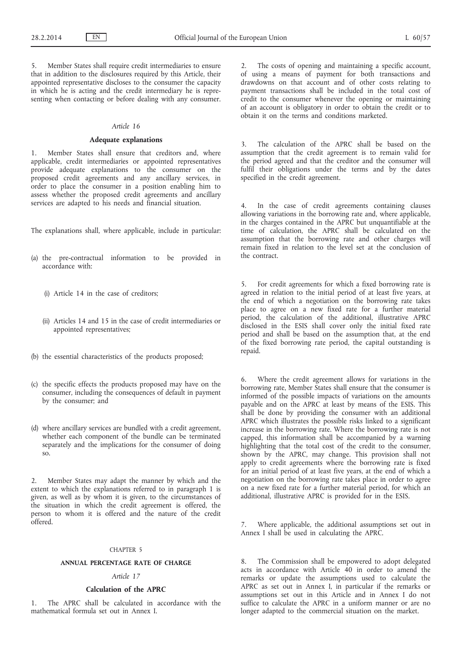Member States shall require credit intermediaries to ensure that in addition to the disclosures required by this Article, their appointed representative discloses to the consumer the capacity in which he is acting and the credit intermediary he is representing when contacting or before dealing with any consumer.

# *Article 16*

### **Adequate explanations**

1. Member States shall ensure that creditors and, where applicable, credit intermediaries or appointed representatives provide adequate explanations to the consumer on the proposed credit agreements and any ancillary services, in order to place the consumer in a position enabling him to assess whether the proposed credit agreements and ancillary services are adapted to his needs and financial situation.

The explanations shall, where applicable, include in particular:

- (a) the pre-contractual information to be provided in accordance with:
	- (i) Article 14 in the case of creditors;
	- (ii) Articles 14 and 15 in the case of credit intermediaries or appointed representatives;
- (b) the essential characteristics of the products proposed;
- (c) the specific effects the products proposed may have on the consumer, including the consequences of default in payment by the consumer; and
- (d) where ancillary services are bundled with a credit agreement, whether each component of the bundle can be terminated separately and the implications for the consumer of doing so.

2. Member States may adapt the manner by which and the extent to which the explanations referred to in paragraph 1 is given, as well as by whom it is given, to the circumstances of the situation in which the credit agreement is offered, the person to whom it is offered and the nature of the credit offered.

#### CHAPTER 5

# **ANNUAL PERCENTAGE RATE OF CHARGE**

#### *Article 17*

# **Calculation of the APRC**

1. The APRC shall be calculated in accordance with the mathematical formula set out in Annex I.

The costs of opening and maintaining a specific account, of using a means of payment for both transactions and drawdowns on that account and of other costs relating to payment transactions shall be included in the total cost of credit to the consumer whenever the opening or maintaining of an account is obligatory in order to obtain the credit or to obtain it on the terms and conditions marketed.

3. The calculation of the APRC shall be based on the assumption that the credit agreement is to remain valid for the period agreed and that the creditor and the consumer will fulfil their obligations under the terms and by the dates specified in the credit agreement.

4. In the case of credit agreements containing clauses allowing variations in the borrowing rate and, where applicable, in the charges contained in the APRC but unquantifiable at the time of calculation, the APRC shall be calculated on the assumption that the borrowing rate and other charges will remain fixed in relation to the level set at the conclusion of the contract.

5. For credit agreements for which a fixed borrowing rate is agreed in relation to the initial period of at least five years, at the end of which a negotiation on the borrowing rate takes place to agree on a new fixed rate for a further material period, the calculation of the additional, illustrative APRC disclosed in the ESIS shall cover only the initial fixed rate period and shall be based on the assumption that, at the end of the fixed borrowing rate period, the capital outstanding is repaid.

6. Where the credit agreement allows for variations in the borrowing rate, Member States shall ensure that the consumer is informed of the possible impacts of variations on the amounts payable and on the APRC at least by means of the ESIS. This shall be done by providing the consumer with an additional APRC which illustrates the possible risks linked to a significant increase in the borrowing rate. Where the borrowing rate is not capped, this information shall be accompanied by a warning highlighting that the total cost of the credit to the consumer, shown by the APRC, may change. This provision shall not apply to credit agreements where the borrowing rate is fixed for an initial period of at least five years, at the end of which a negotiation on the borrowing rate takes place in order to agree on a new fixed rate for a further material period, for which an additional, illustrative APRC is provided for in the ESIS.

7. Where applicable, the additional assumptions set out in Annex I shall be used in calculating the APRC.

8. The Commission shall be empowered to adopt delegated acts in accordance with Article 40 in order to amend the remarks or update the assumptions used to calculate the APRC as set out in Annex I, in particular if the remarks or assumptions set out in this Article and in Annex I do not suffice to calculate the APRC in a uniform manner or are no longer adapted to the commercial situation on the market.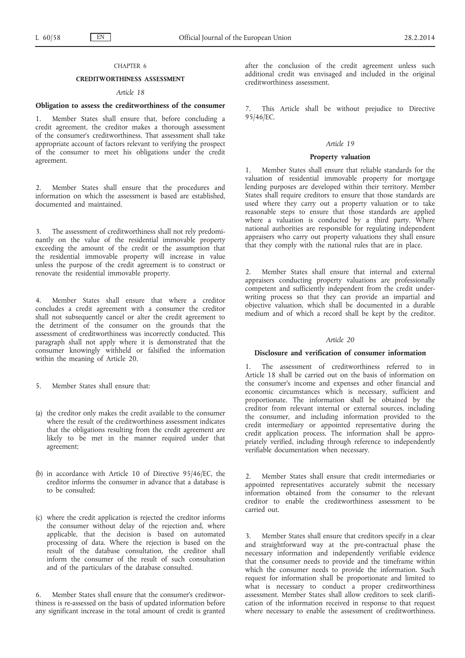# CHAPTER 6

# **CREDITWORTHINESS ASSESSMENT**

# *Article 18*

# **Obligation to assess the creditworthiness of the consumer**

1. Member States shall ensure that, before concluding a credit agreement, the creditor makes a thorough assessment of the consumer's creditworthiness. That assessment shall take appropriate account of factors relevant to verifying the prospect of the consumer to meet his obligations under the credit agreement.

2. Member States shall ensure that the procedures and information on which the assessment is based are established. documented and maintained.

The assessment of creditworthiness shall not rely predominantly on the value of the residential immovable property exceeding the amount of the credit or the assumption that the residential immovable property will increase in value unless the purpose of the credit agreement is to construct or renovate the residential immovable property.

4. Member States shall ensure that where a creditor concludes a credit agreement with a consumer the creditor shall not subsequently cancel or alter the credit agreement to the detriment of the consumer on the grounds that the assessment of creditworthiness was incorrectly conducted. This paragraph shall not apply where it is demonstrated that the consumer knowingly withheld or falsified the information within the meaning of Article 20.

5. Member States shall ensure that:

- (a) the creditor only makes the credit available to the consumer where the result of the creditworthiness assessment indicates that the obligations resulting from the credit agreement are likely to be met in the manner required under that agreement;
- (b) in accordance with Article 10 of Directive 95/46/EC, the creditor informs the consumer in advance that a database is to be consulted;
- (c) where the credit application is rejected the creditor informs the consumer without delay of the rejection and, where applicable, that the decision is based on automated processing of data. Where the rejection is based on the result of the database consultation, the creditor shall inform the consumer of the result of such consultation and of the particulars of the database consulted.

6. Member States shall ensure that the consumer's creditworthiness is re-assessed on the basis of updated information before any significant increase in the total amount of credit is granted after the conclusion of the credit agreement unless such additional credit was envisaged and included in the original creditworthiness assessment.

7. This Article shall be without prejudice to Directive 95/46/EC.

### *Article 19*

### **Property valuation**

Member States shall ensure that reliable standards for the valuation of residential immovable property for mortgage lending purposes are developed within their territory. Member States shall require creditors to ensure that those standards are used where they carry out a property valuation or to take reasonable steps to ensure that those standards are applied where a valuation is conducted by a third party. Where national authorities are responsible for regulating independent appraisers who carry out property valuations they shall ensure that they comply with the national rules that are in place.

Member States shall ensure that internal and external appraisers conducting property valuations are professionally competent and sufficiently independent from the credit underwriting process so that they can provide an impartial and objective valuation, which shall be documented in a durable medium and of which a record shall be kept by the creditor.

#### *Article 20*

#### **Disclosure and verification of consumer information**

1. The assessment of creditworthiness referred to in Article 18 shall be carried out on the basis of information on the consumer's income and expenses and other financial and economic circumstances which is necessary, sufficient and proportionate. The information shall be obtained by the creditor from relevant internal or external sources, including the consumer, and including information provided to the credit intermediary or appointed representative during the credit application process. The information shall be appropriately verified, including through reference to independently verifiable documentation when necessary.

2. Member States shall ensure that credit intermediaries or appointed representatives accurately submit the necessary information obtained from the consumer to the relevant creditor to enable the creditworthiness assessment to be carried out.

3. Member States shall ensure that creditors specify in a clear and straightforward way at the pre-contractual phase the necessary information and independently verifiable evidence that the consumer needs to provide and the timeframe within which the consumer needs to provide the information. Such request for information shall be proportionate and limited to what is necessary to conduct a proper creditworthiness assessment. Member States shall allow creditors to seek clarification of the information received in response to that request where necessary to enable the assessment of creditworthiness.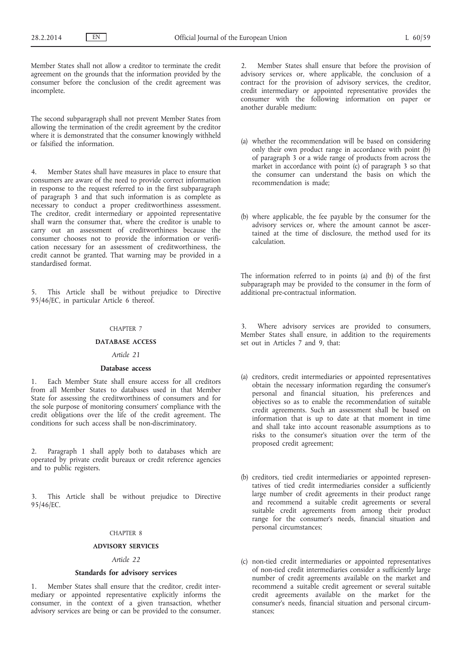Member States shall not allow a creditor to terminate the credit agreement on the grounds that the information provided by the consumer before the conclusion of the credit agreement was incomplete.

The second subparagraph shall not prevent Member States from allowing the termination of the credit agreement by the creditor where it is demonstrated that the consumer knowingly withheld or falsified the information.

4. Member States shall have measures in place to ensure that consumers are aware of the need to provide correct information in response to the request referred to in the first subparagraph of paragraph 3 and that such information is as complete as necessary to conduct a proper creditworthiness assessment. The creditor, credit intermediary or appointed representative shall warn the consumer that, where the creditor is unable to carry out an assessment of creditworthiness because the consumer chooses not to provide the information or verification necessary for an assessment of creditworthiness, the credit cannot be granted. That warning may be provided in a standardised format.

5. This Article shall be without prejudice to Directive 95/46/EC, in particular Article 6 thereof.

### CHAPTER 7

# **DATABASE ACCESS**

### *Article 21*

# **Database access**

1. Each Member State shall ensure access for all creditors from all Member States to databases used in that Member State for assessing the creditworthiness of consumers and for the sole purpose of monitoring consumers' compliance with the credit obligations over the life of the credit agreement. The conditions for such access shall be non-discriminatory.

2. Paragraph 1 shall apply both to databases which are operated by private credit bureaux or credit reference agencies and to public registers.

3. This Article shall be without prejudice to Directive 95/46/EC.

### CHAPTER 8

#### **ADVISORY SERVICES**

# *Article 22*

# **Standards for advisory services**

1. Member States shall ensure that the creditor, credit intermediary or appointed representative explicitly informs the consumer, in the context of a given transaction, whether advisory services are being or can be provided to the consumer.

Member States shall ensure that before the provision of advisory services or, where applicable, the conclusion of a contract for the provision of advisory services, the creditor, credit intermediary or appointed representative provides the consumer with the following information on paper or another durable medium:

- (a) whether the recommendation will be based on considering only their own product range in accordance with point  $(b)$ of paragraph 3 or a wide range of products from across the market in accordance with point (c) of paragraph 3 so that the consumer can understand the basis on which the recommendation is made;
- (b) where applicable, the fee payable by the consumer for the advisory services or, where the amount cannot be ascertained at the time of disclosure, the method used for its calculation.

The information referred to in points (a) and (b) of the first subparagraph may be provided to the consumer in the form of additional pre-contractual information.

Where advisory services are provided to consumers, Member States shall ensure, in addition to the requirements set out in Articles 7 and 9, that:

- (a) creditors, credit intermediaries or appointed representatives obtain the necessary information regarding the consumer's personal and financial situation, his preferences and objectives so as to enable the recommendation of suitable credit agreements. Such an assessment shall be based on information that is up to date at that moment in time and shall take into account reasonable assumptions as to risks to the consumer's situation over the term of the proposed credit agreement;
- (b) creditors, tied credit intermediaries or appointed representatives of tied credit intermediaries consider a sufficiently large number of credit agreements in their product range and recommend a suitable credit agreements or several suitable credit agreements from among their product range for the consumer's needs, financial situation and personal circumstances;
- (c) non-tied credit intermediaries or appointed representatives of non-tied credit intermediaries consider a sufficiently large number of credit agreements available on the market and recommend a suitable credit agreement or several suitable credit agreements available on the market for the consumer's needs, financial situation and personal circumstances;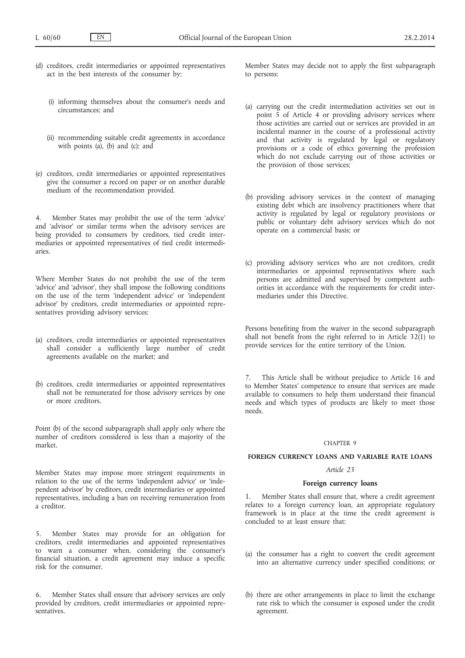- (d) creditors, credit intermediaries or appointed representatives act in the best interests of the consumer by:
	- (i) informing themselves about the consumer's needs and circumstances; and
	- (ii) recommending suitable credit agreements in accordance with points (a), (b) and (c); and
- (e) creditors, credit intermediaries or appointed representatives give the consumer a record on paper or on another durable medium of the recommendation provided.

4. Member States may prohibit the use of the term 'advice' and 'advisor' or similar terms when the advisory services are being provided to consumers by creditors, tied credit intermediaries or appointed representatives of tied credit intermediaries.

Where Member States do not prohibit the use of the term 'advice' and 'advisor', they shall impose the following conditions on the use of the term 'independent advice' or 'independent advisor' by creditors, credit intermediaries or appointed representatives providing advisory services:

- (a) creditors, credit intermediaries or appointed representatives shall consider a sufficiently large number of credit agreements available on the market; and
- (b) creditors, credit intermediaries or appointed representatives shall not be remunerated for those advisory services by one or more creditors.

Point (b) of the second subparagraph shall apply only where the number of creditors considered is less than a majority of the market.

Member States may impose more stringent requirements in relation to the use of the terms 'independent advice' or 'independent advisor' by creditors, credit intermediaries or appointed representatives, including a ban on receiving remuneration from a creditor.

5. Member States may provide for an obligation for creditors, credit intermediaries and appointed representatives to warn a consumer when, considering the consumer's financial situation, a credit agreement may induce a specific risk for the consumer.

6. Member States shall ensure that advisory services are only provided by creditors, credit intermediaries or appointed representatives.

Member States may decide not to apply the first subparagraph to persons:

- (a) carrying out the credit intermediation activities set out in point 5 of Article 4 or providing advisory services where those activities are carried out or services are provided in an incidental manner in the course of a professional activity and that activity is regulated by legal or regulatory provisions or a code of ethics governing the profession which do not exclude carrying out of those activities or the provision of those services;
- (b) providing advisory services in the context of managing existing debt which are insolvency practitioners where that activity is regulated by legal or regulatory provisions or public or voluntary debt advisory services which do not operate on a commercial basis; or
- (c) providing advisory services who are not creditors, credit intermediaries or appointed representatives where such persons are admitted and supervised by competent authorities in accordance with the requirements for credit intermediaries under this Directive.

Persons benefiting from the waiver in the second subparagraph shall not benefit from the right referred to in Article 32(1) to provide services for the entire territory of the Union.

This Article shall be without prejudice to Article 16 and to Member States' competence to ensure that services are made available to consumers to help them understand their financial needs and which types of products are likely to meet those needs.

### CHAPTER 9

# **FOREIGN CURRENCY LOANS AND VARIABLE RATE LOANS**

#### *Article 23*

# **Foreign currency loans**

1. Member States shall ensure that, where a credit agreement relates to a foreign currency loan, an appropriate regulatory framework is in place at the time the credit agreement is concluded to at least ensure that:

- (a) the consumer has a right to convert the credit agreement into an alternative currency under specified conditions; or
- (b) there are other arrangements in place to limit the exchange rate risk to which the consumer is exposed under the credit agreement.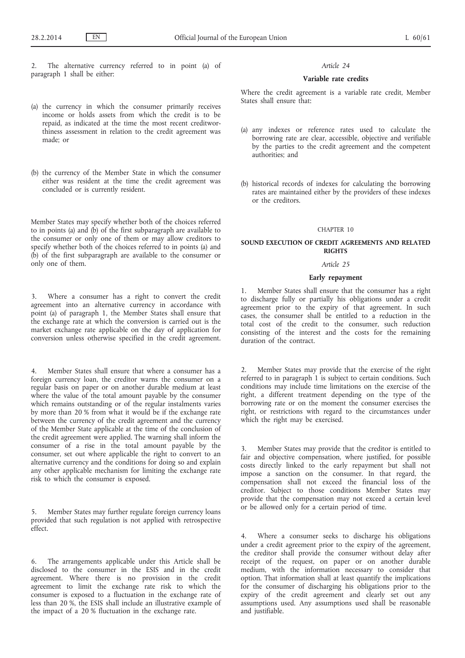The alternative currency referred to in point (a) of paragraph 1 shall be either:

- (a) the currency in which the consumer primarily receives income or holds assets from which the credit is to be repaid, as indicated at the time the most recent creditworthiness assessment in relation to the credit agreement was made; or
- (b) the currency of the Member State in which the consumer either was resident at the time the credit agreement was concluded or is currently resident.

Member States may specify whether both of the choices referred to in points (a) and  $(b)$  of the first subparagraph are available to the consumer or only one of them or may allow creditors to specify whether both of the choices referred to in points (a) and (b) of the first subparagraph are available to the consumer or only one of them.

Where a consumer has a right to convert the credit agreement into an alternative currency in accordance with point (a) of paragraph 1, the Member States shall ensure that the exchange rate at which the conversion is carried out is the market exchange rate applicable on the day of application for conversion unless otherwise specified in the credit agreement.

4. Member States shall ensure that where a consumer has a foreign currency loan, the creditor warns the consumer on a regular basis on paper or on another durable medium at least where the value of the total amount payable by the consumer which remains outstanding or of the regular instalments varies by more than 20 % from what it would be if the exchange rate between the currency of the credit agreement and the currency of the Member State applicable at the time of the conclusion of the credit agreement were applied. The warning shall inform the consumer of a rise in the total amount payable by the consumer, set out where applicable the right to convert to an alternative currency and the conditions for doing so and explain any other applicable mechanism for limiting the exchange rate risk to which the consumer is exposed.

5. Member States may further regulate foreign currency loans provided that such regulation is not applied with retrospective effect.

6. The arrangements applicable under this Article shall be disclosed to the consumer in the ESIS and in the credit agreement. Where there is no provision in the credit agreement to limit the exchange rate risk to which the consumer is exposed to a fluctuation in the exchange rate of less than 20 %, the ESIS shall include an illustrative example of the impact of a 20 % fluctuation in the exchange rate.

### *Article 24*

# **Variable rate credits**

Where the credit agreement is a variable rate credit, Member States shall ensure that:

- (a) any indexes or reference rates used to calculate the borrowing rate are clear, accessible, objective and verifiable by the parties to the credit agreement and the competent authorities; and
- (b) historical records of indexes for calculating the borrowing rates are maintained either by the providers of these indexes or the creditors.

#### CHAPTER 10

# **SOUND EXECUTION OF CREDIT AGREEMENTS AND RELATED RIGHTS**

#### *Article 25*

# **Early repayment**

1. Member States shall ensure that the consumer has a right to discharge fully or partially his obligations under a credit agreement prior to the expiry of that agreement. In such cases, the consumer shall be entitled to a reduction in the total cost of the credit to the consumer, such reduction consisting of the interest and the costs for the remaining duration of the contract.

2. Member States may provide that the exercise of the right referred to in paragraph 1 is subject to certain conditions. Such conditions may include time limitations on the exercise of the right, a different treatment depending on the type of the borrowing rate or on the moment the consumer exercises the right, or restrictions with regard to the circumstances under which the right may be exercised.

3. Member States may provide that the creditor is entitled to fair and objective compensation, where justified, for possible costs directly linked to the early repayment but shall not impose a sanction on the consumer. In that regard, the compensation shall not exceed the financial loss of the creditor. Subject to those conditions Member States may provide that the compensation may not exceed a certain level or be allowed only for a certain period of time.

4. Where a consumer seeks to discharge his obligations under a credit agreement prior to the expiry of the agreement, the creditor shall provide the consumer without delay after receipt of the request, on paper or on another durable medium, with the information necessary to consider that option. That information shall at least quantify the implications for the consumer of discharging his obligations prior to the expiry of the credit agreement and clearly set out any assumptions used. Any assumptions used shall be reasonable and justifiable.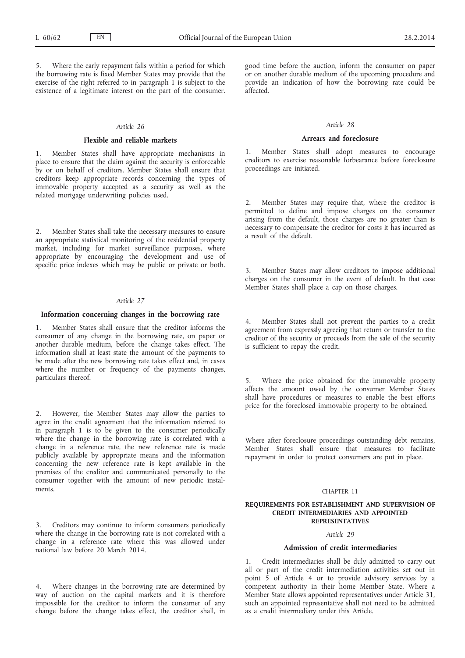Where the early repayment falls within a period for which the borrowing rate is fixed Member States may provide that the exercise of the right referred to in paragraph 1 is subject to the existence of a legitimate interest on the part of the consumer.

# *Article 26*

# **Flexible and reliable markets**

1. Member States shall have appropriate mechanisms in place to ensure that the claim against the security is enforceable by or on behalf of creditors. Member States shall ensure that creditors keep appropriate records concerning the types of immovable property accepted as a security as well as the related mortgage underwriting policies used.

2. Member States shall take the necessary measures to ensure an appropriate statistical monitoring of the residential property market, including for market surveillance purposes, where appropriate by encouraging the development and use of specific price indexes which may be public or private or both.

# *Article 27*

### **Information concerning changes in the borrowing rate**

1. Member States shall ensure that the creditor informs the consumer of any change in the borrowing rate, on paper or another durable medium, before the change takes effect. The information shall at least state the amount of the payments to be made after the new borrowing rate takes effect and, in cases where the number or frequency of the payments changes, particulars thereof.

2. However, the Member States may allow the parties to agree in the credit agreement that the information referred to in paragraph 1 is to be given to the consumer periodically where the change in the borrowing rate is correlated with a change in a reference rate, the new reference rate is made publicly available by appropriate means and the information concerning the new reference rate is kept available in the premises of the creditor and communicated personally to the consumer together with the amount of new periodic instalments.

Creditors may continue to inform consumers periodically where the change in the borrowing rate is not correlated with a change in a reference rate where this was allowed under national law before 20 March 2014.

4. Where changes in the borrowing rate are determined by way of auction on the capital markets and it is therefore impossible for the creditor to inform the consumer of any change before the change takes effect, the creditor shall, in good time before the auction, inform the consumer on paper or on another durable medium of the upcoming procedure and provide an indication of how the borrowing rate could be affected.

# *Article 28*

### **Arrears and foreclosure**

1. Member States shall adopt measures to encourage creditors to exercise reasonable forbearance before foreclosure proceedings are initiated.

2. Member States may require that, where the creditor is permitted to define and impose charges on the consumer arising from the default, those charges are no greater than is necessary to compensate the creditor for costs it has incurred as a result of the default.

Member States may allow creditors to impose additional charges on the consumer in the event of default. In that case Member States shall place a cap on those charges.

4. Member States shall not prevent the parties to a credit agreement from expressly agreeing that return or transfer to the creditor of the security or proceeds from the sale of the security is sufficient to repay the credit.

Where the price obtained for the immovable property affects the amount owed by the consumer Member States shall have procedures or measures to enable the best efforts price for the foreclosed immovable property to be obtained.

Where after foreclosure proceedings outstanding debt remains, Member States shall ensure that measures to facilitate repayment in order to protect consumers are put in place.

### CHAPTER 11

# **REQUIREMENTS FOR ESTABLISHMENT AND SUPERVISION OF CREDIT INTERMEDIARIES AND APPOINTED REPRESENTATIVES**

#### *Article 29*

### **Admission of credit intermediaries**

1. Credit intermediaries shall be duly admitted to carry out all or part of the credit intermediation activities set out in point  $\frac{1}{5}$  of Article 4 or to provide advisory services by a competent authority in their home Member State. Where a Member State allows appointed representatives under Article 31, such an appointed representative shall not need to be admitted as a credit intermediary under this Article.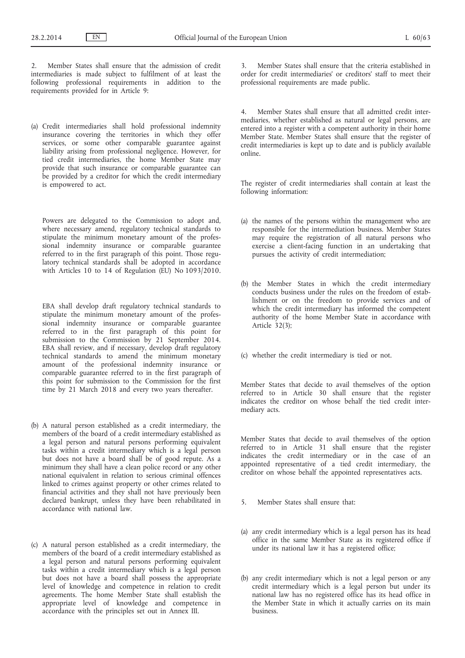2. Member States shall ensure that the admission of credit intermediaries is made subject to fulfilment of at least the following professional requirements in addition to the requirements provided for in Article 9:

(a) Credit intermediaries shall hold professional indemnity insurance covering the territories in which they offer services, or some other comparable guarantee against liability arising from professional negligence. However, for tied credit intermediaries, the home Member State may provide that such insurance or comparable guarantee can be provided by a creditor for which the credit intermediary is empowered to act.

Powers are delegated to the Commission to adopt and, where necessary amend, regulatory technical standards to stipulate the minimum monetary amount of the professional indemnity insurance or comparable guarantee referred to in the first paragraph of this point. Those regulatory technical standards shall be adopted in accordance with Articles 10 to 14 of Regulation (EU) No 1093/2010.

EBA shall develop draft regulatory technical standards to stipulate the minimum monetary amount of the professional indemnity insurance or comparable guarantee referred to in the first paragraph of this point for submission to the Commission by 21 September 2014. EBA shall review, and if necessary, develop draft regulatory technical standards to amend the minimum monetary amount of the professional indemnity insurance or comparable guarantee referred to in the first paragraph of this point for submission to the Commission for the first time by 21 March 2018 and every two years thereafter.

- (b) A natural person established as a credit intermediary, the members of the board of a credit intermediary established as a legal person and natural persons performing equivalent tasks within a credit intermediary which is a legal person but does not have a board shall be of good repute. As a minimum they shall have a clean police record or any other national equivalent in relation to serious criminal offences linked to crimes against property or other crimes related to financial activities and they shall not have previously been declared bankrupt, unless they have been rehabilitated in accordance with national law.
- (c) A natural person established as a credit intermediary, the members of the board of a credit intermediary established as a legal person and natural persons performing equivalent tasks within a credit intermediary which is a legal person but does not have a board shall possess the appropriate level of knowledge and competence in relation to credit agreements. The home Member State shall establish the appropriate level of knowledge and competence in accordance with the principles set out in Annex III.

3. Member States shall ensure that the criteria established in order for credit intermediaries' or creditors' staff to meet their professional requirements are made public.

4. Member States shall ensure that all admitted credit intermediaries, whether established as natural or legal persons, are entered into a register with a competent authority in their home Member State. Member States shall ensure that the register of credit intermediaries is kept up to date and is publicly available online.

The register of credit intermediaries shall contain at least the following information:

- (a) the names of the persons within the management who are responsible for the intermediation business. Member States may require the registration of all natural persons who exercise a client-facing function in an undertaking that pursues the activity of credit intermediation;
- (b) the Member States in which the credit intermediary conducts business under the rules on the freedom of establishment or on the freedom to provide services and of which the credit intermediary has informed the competent authority of the home Member State in accordance with Article  $32(3)$ ;
- (c) whether the credit intermediary is tied or not.

Member States that decide to avail themselves of the option referred to in Article 30 shall ensure that the register indicates the creditor on whose behalf the tied credit intermediary acts.

Member States that decide to avail themselves of the option referred to in Article 31 shall ensure that the register indicates the credit intermediary or in the case of an appointed representative of a tied credit intermediary, the creditor on whose behalf the appointed representatives acts.

- 5. Member States shall ensure that:
- (a) any credit intermediary which is a legal person has its head office in the same Member State as its registered office if under its national law it has a registered office;
- (b) any credit intermediary which is not a legal person or any credit intermediary which is a legal person but under its national law has no registered office has its head office in the Member State in which it actually carries on its main business.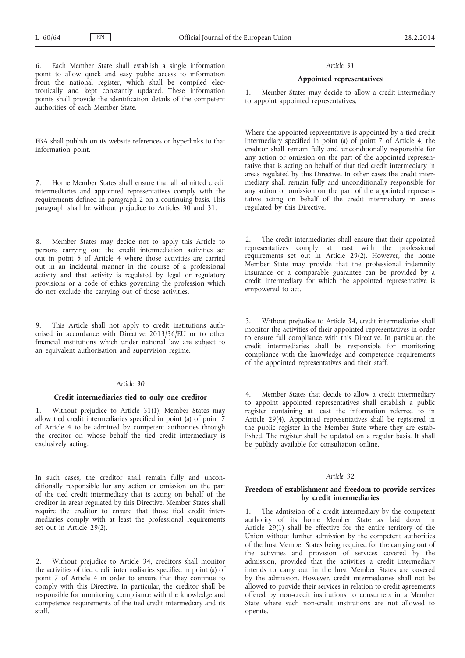6. Each Member State shall establish a single information point to allow quick and easy public access to information from the national register, which shall be compiled electronically and kept constantly updated. These information points shall provide the identification details of the competent authorities of each Member State.

EBA shall publish on its website references or hyperlinks to that information point.

7. Home Member States shall ensure that all admitted credit intermediaries and appointed representatives comply with the requirements defined in paragraph 2 on a continuing basis. This paragraph shall be without prejudice to Articles 30 and 31.

8. Member States may decide not to apply this Article to persons carrying out the credit intermediation activities set out in point 5 of Article 4 where those activities are carried out in an incidental manner in the course of a professional activity and that activity is regulated by legal or regulatory provisions or a code of ethics governing the profession which do not exclude the carrying out of those activities.

9. This Article shall not apply to credit institutions authorised in accordance with Directive 2013/36/EU or to other financial institutions which under national law are subject to an equivalent authorisation and supervision regime.

#### *Article 30*

# **Credit intermediaries tied to only one creditor**

1. Without prejudice to Article 31(1), Member States may allow tied credit intermediaries specified in point (a) of point 7 of Article 4 to be admitted by competent authorities through the creditor on whose behalf the tied credit intermediary is exclusively acting.

In such cases, the creditor shall remain fully and unconditionally responsible for any action or omission on the part of the tied credit intermediary that is acting on behalf of the creditor in areas regulated by this Directive. Member States shall require the creditor to ensure that those tied credit intermediaries comply with at least the professional requirements set out in Article 29(2).

2. Without prejudice to Article 34, creditors shall monitor the activities of tied credit intermediaries specified in point (a) of point 7 of Article 4 in order to ensure that they continue to comply with this Directive. In particular, the creditor shall be responsible for monitoring compliance with the knowledge and competence requirements of the tied credit intermediary and its staff.

### *Article 31*

# **Appointed representatives**

1. Member States may decide to allow a credit intermediary to appoint appointed representatives.

Where the appointed representative is appointed by a tied credit intermediary specified in point (a) of point 7 of Article 4, the creditor shall remain fully and unconditionally responsible for any action or omission on the part of the appointed representative that is acting on behalf of that tied credit intermediary in areas regulated by this Directive. In other cases the credit intermediary shall remain fully and unconditionally responsible for any action or omission on the part of the appointed representative acting on behalf of the credit intermediary in areas regulated by this Directive.

The credit intermediaries shall ensure that their appointed representatives comply at least with the professional requirements set out in Article 29(2). However, the home Member State may provide that the professional indemnity insurance or a comparable guarantee can be provided by a credit intermediary for which the appointed representative is empowered to act.

3. Without prejudice to Article 34, credit intermediaries shall monitor the activities of their appointed representatives in order to ensure full compliance with this Directive. In particular, the credit intermediaries shall be responsible for monitoring compliance with the knowledge and competence requirements of the appointed representatives and their staff.

4. Member States that decide to allow a credit intermediary to appoint appointed representatives shall establish a public register containing at least the information referred to in Article 29(4). Appointed representatives shall be registered in the public register in the Member State where they are established. The register shall be updated on a regular basis. It shall be publicly available for consultation online.

# *Article 32*

# **Freedom of establishment and freedom to provide services by credit intermediaries**

1. The admission of a credit intermediary by the competent authority of its home Member State as laid down in Article 29(1) shall be effective for the entire territory of the Union without further admission by the competent authorities of the host Member States being required for the carrying out of the activities and provision of services covered by the admission, provided that the activities a credit intermediary intends to carry out in the host Member States are covered by the admission. However, credit intermediaries shall not be allowed to provide their services in relation to credit agreements offered by non-credit institutions to consumers in a Member State where such non-credit institutions are not allowed to operate.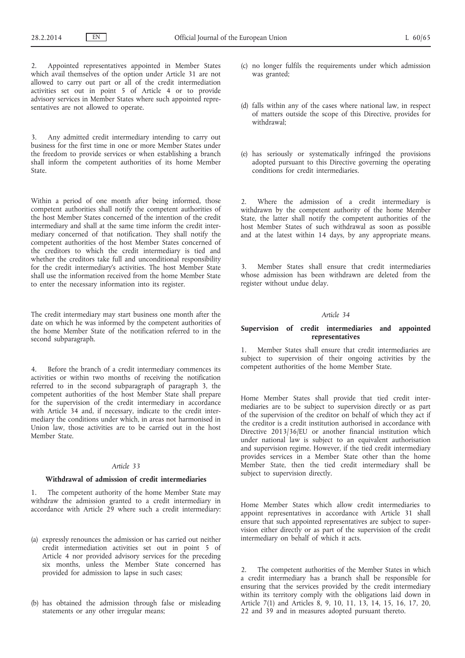2. Appointed representatives appointed in Member States which avail themselves of the option under Article 31 are not allowed to carry out part or all of the credit intermediation activities set out in point 5 of Article 4 or to provide advisory services in Member States where such appointed representatives are not allowed to operate.

3. Any admitted credit intermediary intending to carry out business for the first time in one or more Member States under the freedom to provide services or when establishing a branch shall inform the competent authorities of its home Member State.

Within a period of one month after being informed, those competent authorities shall notify the competent authorities of the host Member States concerned of the intention of the credit intermediary and shall at the same time inform the credit intermediary concerned of that notification. They shall notify the competent authorities of the host Member States concerned of the creditors to which the credit intermediary is tied and whether the creditors take full and unconditional responsibility for the credit intermediary's activities. The host Member State shall use the information received from the home Member State to enter the necessary information into its register.

The credit intermediary may start business one month after the date on which he was informed by the competent authorities of the home Member State of the notification referred to in the second subparagraph.

4. Before the branch of a credit intermediary commences its activities or within two months of receiving the notification referred to in the second subparagraph of paragraph 3, the competent authorities of the host Member State shall prepare for the supervision of the credit intermediary in accordance with Article 34 and, if necessary, indicate to the credit intermediary the conditions under which, in areas not harmonised in Union law, those activities are to be carried out in the host Member State.

# *Article 33*

# **Withdrawal of admission of credit intermediaries**

1. The competent authority of the home Member State may withdraw the admission granted to a credit intermediary in accordance with Article 29 where such a credit intermediary:

- (a) expressly renounces the admission or has carried out neither credit intermediation activities set out in point 5 of Article 4 nor provided advisory services for the preceding six months, unless the Member State concerned has provided for admission to lapse in such cases;
- (b) has obtained the admission through false or misleading statements or any other irregular means;
- (c) no longer fulfils the requirements under which admission was granted;
- (d) falls within any of the cases where national law, in respect of matters outside the scope of this Directive, provides for withdrawal;
- (e) has seriously or systematically infringed the provisions adopted pursuant to this Directive governing the operating conditions for credit intermediaries.

2. Where the admission of a credit intermediary is withdrawn by the competent authority of the home Member State, the latter shall notify the competent authorities of the host Member States of such withdrawal as soon as possible and at the latest within 14 days, by any appropriate means.

Member States shall ensure that credit intermediaries whose admission has been withdrawn are deleted from the register without undue delay.

# *Article 34*

# **Supervision of credit intermediaries and appointed representatives**

1. Member States shall ensure that credit intermediaries are subject to supervision of their ongoing activities by the competent authorities of the home Member State.

Home Member States shall provide that tied credit intermediaries are to be subject to supervision directly or as part of the supervision of the creditor on behalf of which they act if the creditor is a credit institution authorised in accordance with Directive 2013/36/EU or another financial institution which under national law is subject to an equivalent authorisation and supervision regime. However, if the tied credit intermediary provides services in a Member State other than the home Member State, then the tied credit intermediary shall be subject to supervision directly.

Home Member States which allow credit intermediaries to appoint representatives in accordance with Article 31 shall ensure that such appointed representatives are subject to supervision either directly or as part of the supervision of the credit intermediary on behalf of which it acts.

2. The competent authorities of the Member States in which a credit intermediary has a branch shall be responsible for ensuring that the services provided by the credit intermediary within its territory comply with the obligations laid down in Article 7(1) and Articles 8, 9, 10, 11, 13, 14, 15, 16, 17, 20, 22 and 39 and in measures adopted pursuant thereto.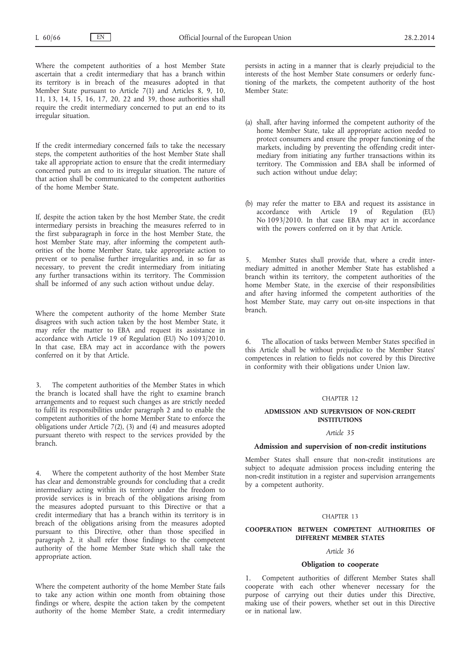Where the competent authorities of a host Member State ascertain that a credit intermediary that has a branch within its territory is in breach of the measures adopted in that Member State pursuant to Article 7(1) and Articles 8, 9, 10, 11, 13, 14, 15, 16, 17, 20, 22 and 39, those authorities shall require the credit intermediary concerned to put an end to its irregular situation.

If the credit intermediary concerned fails to take the necessary steps, the competent authorities of the host Member State shall take all appropriate action to ensure that the credit intermediary concerned puts an end to its irregular situation. The nature of that action shall be communicated to the competent authorities of the home Member State.

If, despite the action taken by the host Member State, the credit intermediary persists in breaching the measures referred to in the first subparagraph in force in the host Member State, the host Member State may, after informing the competent authorities of the home Member State, take appropriate action to prevent or to penalise further irregularities and, in so far as necessary, to prevent the credit intermediary from initiating any further transactions within its territory. The Commission shall be informed of any such action without undue delay.

Where the competent authority of the home Member State disagrees with such action taken by the host Member State, it may refer the matter to EBA and request its assistance in accordance with Article 19 of Regulation (EU) No 1093/2010. In that case, EBA may act in accordance with the powers conferred on it by that Article.

The competent authorities of the Member States in which the branch is located shall have the right to examine branch arrangements and to request such changes as are strictly needed to fulfil its responsibilities under paragraph 2 and to enable the competent authorities of the home Member State to enforce the obligations under Article 7(2), (3) and (4) and measures adopted pursuant thereto with respect to the services provided by the branch.

4. Where the competent authority of the host Member State has clear and demonstrable grounds for concluding that a credit intermediary acting within its territory under the freedom to provide services is in breach of the obligations arising from the measures adopted pursuant to this Directive or that a credit intermediary that has a branch within its territory is in breach of the obligations arising from the measures adopted pursuant to this Directive, other than those specified in paragraph 2, it shall refer those findings to the competent authority of the home Member State which shall take the appropriate action.

Where the competent authority of the home Member State fails to take any action within one month from obtaining those findings or where, despite the action taken by the competent authority of the home Member State, a credit intermediary persists in acting in a manner that is clearly prejudicial to the interests of the host Member State consumers or orderly functioning of the markets, the competent authority of the host Member State:

- (a) shall, after having informed the competent authority of the home Member State, take all appropriate action needed to protect consumers and ensure the proper functioning of the markets, including by preventing the offending credit intermediary from initiating any further transactions within its territory. The Commission and EBA shall be informed of such action without undue delay;
- (b) may refer the matter to EBA and request its assistance in accordance with Article 19 of Regulation (EU) No 1093/2010. In that case EBA may act in accordance with the powers conferred on it by that Article.

5. Member States shall provide that, where a credit intermediary admitted in another Member State has established a branch within its territory, the competent authorities of the home Member State, in the exercise of their responsibilities and after having informed the competent authorities of the host Member State, may carry out on-site inspections in that branch.

The allocation of tasks between Member States specified in this Article shall be without prejudice to the Member States' competences in relation to fields not covered by this Directive in conformity with their obligations under Union law.

# CHAPTER 12

# **ADMISSION AND SUPERVISION OF NON-CREDIT INSTITUTIONS**

### *Article 35*

#### **Admission and supervision of non-credit institutions**

Member States shall ensure that non-credit institutions are subject to adequate admission process including entering the non-credit institution in a register and supervision arrangements by a competent authority.

#### CHAPTER 13

# **COOPERATION BETWEEN COMPETENT AUTHORITIES OF DIFFERENT MEMBER STATES**

# *Article 36*

#### **Obligation to cooperate**

Competent authorities of different Member States shall cooperate with each other whenever necessary for the purpose of carrying out their duties under this Directive, making use of their powers, whether set out in this Directive or in national law.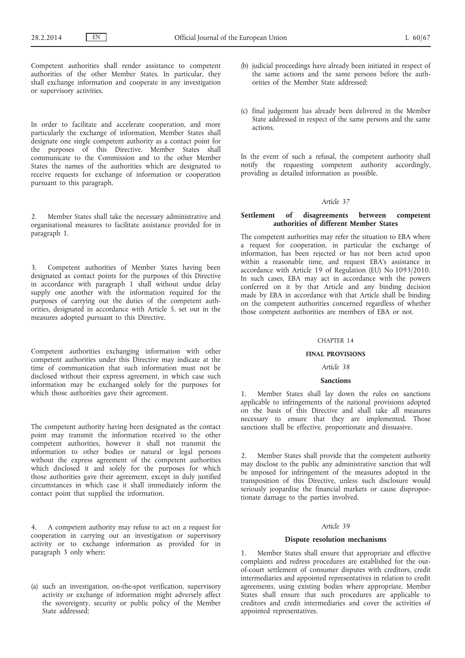Competent authorities shall render assistance to competent authorities of the other Member States. In particular, they shall exchange information and cooperate in any investigation or supervisory activities.

In order to facilitate and accelerate cooperation, and more particularly the exchange of information, Member States shall designate one single competent authority as a contact point for the purposes of this Directive. Member States shall communicate to the Commission and to the other Member States the names of the authorities which are designated to receive requests for exchange of information or cooperation pursuant to this paragraph.

2. Member States shall take the necessary administrative and organisational measures to facilitate assistance provided for in paragraph 1.

3. Competent authorities of Member States having been designated as contact points for the purposes of this Directive in accordance with paragraph 1 shall without undue delay supply one another with the information required for the purposes of carrying out the duties of the competent authorities, designated in accordance with Article 5, set out in the measures adopted pursuant to this Directive.

Competent authorities exchanging information with other competent authorities under this Directive may indicate at the time of communication that such information must not be disclosed without their express agreement, in which case such information may be exchanged solely for the purposes for which those authorities gave their agreement.

The competent authority having been designated as the contact point may transmit the information received to the other competent authorities, however it shall not transmit the information to other bodies or natural or legal persons without the express agreement of the competent authorities which disclosed it and solely for the purposes for which those authorities gave their agreement, except in duly justified circumstances in which case it shall immediately inform the contact point that supplied the information.

4. A competent authority may refuse to act on a request for cooperation in carrying out an investigation or supervisory activity or to exchange information as provided for in paragraph 3 only where:

(a) such an investigation, on-the-spot verification, supervisory activity or exchange of information might adversely affect the sovereignty, security or public policy of the Member State addressed;

- (b) judicial proceedings have already been initiated in respect of the same actions and the same persons before the authorities of the Member State addressed;
- (c) final judgement has already been delivered in the Member State addressed in respect of the same persons and the same actions.

In the event of such a refusal, the competent authority shall notify the requesting competent authority accordingly, providing as detailed information as possible.

# *Article 37*

# **Settlement of disagreements between competent authorities of different Member States**

The competent authorities may refer the situation to EBA where a request for cooperation, in particular the exchange of information, has been rejected or has not been acted upon within a reasonable time, and request EBA's assistance in accordance with Article 19 of Regulation (EU) No 1093/2010. In such cases, EBA may act in accordance with the powers conferred on it by that Article and any binding decision made by EBA in accordance with that Article shall be binding on the competent authorities concerned regardless of whether those competent authorities are members of EBA or not.

#### CHAPTER 14

### **FINAL PROVISIONS**

#### *Article 38*

# **Sanctions**

1. Member States shall lay down the rules on sanctions applicable to infringements of the national provisions adopted on the basis of this Directive and shall take all measures necessary to ensure that they are implemented. Those sanctions shall be effective, proportionate and dissuasive.

Member States shall provide that the competent authority may disclose to the public any administrative sanction that will be imposed for infringement of the measures adopted in the transposition of this Directive, unless such disclosure would seriously jeopardise the financial markets or cause disproportionate damage to the parties involved.

#### *Article 39*

### **Dispute resolution mechanisms**

1. Member States shall ensure that appropriate and effective complaints and redress procedures are established for the outof-court settlement of consumer disputes with creditors, credit intermediaries and appointed representatives in relation to credit agreements, using existing bodies where appropriate. Member States shall ensure that such procedures are applicable to creditors and credit intermediaries and cover the activities of appointed representatives.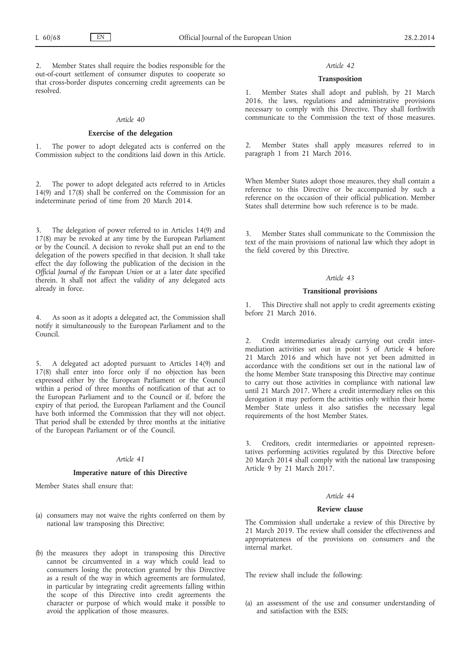2. Member States shall require the bodies responsible for the out-of-court settlement of consumer disputes to cooperate so that cross-border disputes concerning credit agreements can be resolved.

#### *Article 40*

# **Exercise of the delegation**

The power to adopt delegated acts is conferred on the Commission subject to the conditions laid down in this Article.

2. The power to adopt delegated acts referred to in Articles 14(9) and 17(8) shall be conferred on the Commission for an indeterminate period of time from 20 March 2014.

The delegation of power referred to in Articles 14(9) and 17(8) may be revoked at any time by the European Parliament or by the Council. A decision to revoke shall put an end to the delegation of the powers specified in that decision. It shall take effect the day following the publication of the decision in the *Official Journal of the European Union* or at a later date specified therein. It shall not affect the validity of any delegated acts already in force.

4. As soon as it adopts a delegated act, the Commission shall notify it simultaneously to the European Parliament and to the Council.

5. A delegated act adopted pursuant to Articles 14(9) and 17(8) shall enter into force only if no objection has been expressed either by the European Parliament or the Council within a period of three months of notification of that act to the European Parliament and to the Council or if, before the expiry of that period, the European Parliament and the Council have both informed the Commission that they will not object. That period shall be extended by three months at the initiative of the European Parliament or of the Council.

# *Article 41*

### **Imperative nature of this Directive**

Member States shall ensure that:

- (a) consumers may not waive the rights conferred on them by national law transposing this Directive;
- (b) the measures they adopt in transposing this Directive cannot be circumvented in a way which could lead to consumers losing the protection granted by this Directive as a result of the way in which agreements are formulated, in particular by integrating credit agreements falling within the scope of this Directive into credit agreements the character or purpose of which would make it possible to avoid the application of those measures.

### *Article 42*

# **Transposition**

1. Member States shall adopt and publish, by 21 March 2016, the laws, regulations and administrative provisions necessary to comply with this Directive. They shall forthwith communicate to the Commission the text of those measures.

2. Member States shall apply measures referred to in paragraph 1 from 21 March 2016.

When Member States adopt those measures, they shall contain a reference to this Directive or be accompanied by such a reference on the occasion of their official publication. Member States shall determine how such reference is to be made.

3. Member States shall communicate to the Commission the text of the main provisions of national law which they adopt in the field covered by this Directive.

### *Article 43*

# **Transitional provisions**

This Directive shall not apply to credit agreements existing before 21 March 2016.

2. Credit intermediaries already carrying out credit intermediation activities set out in point 5 of Article 4 before 21 March 2016 and which have not yet been admitted in accordance with the conditions set out in the national law of the home Member State transposing this Directive may continue to carry out those activities in compliance with national law until 21 March 2017. Where a credit intermediary relies on this derogation it may perform the activities only within their home Member State unless it also satisfies the necessary legal requirements of the host Member States.

3. Creditors, credit intermediaries or appointed representatives performing activities regulated by this Directive before 20 March 2014 shall comply with the national law transposing Article 9 by 21 March 2017.

### *Article 44*

# **Review clause**

The Commission shall undertake a review of this Directive by 21 March 2019. The review shall consider the effectiveness and appropriateness of the provisions on consumers and the internal market.

The review shall include the following:

(a) an assessment of the use and consumer understanding of and satisfaction with the ESIS;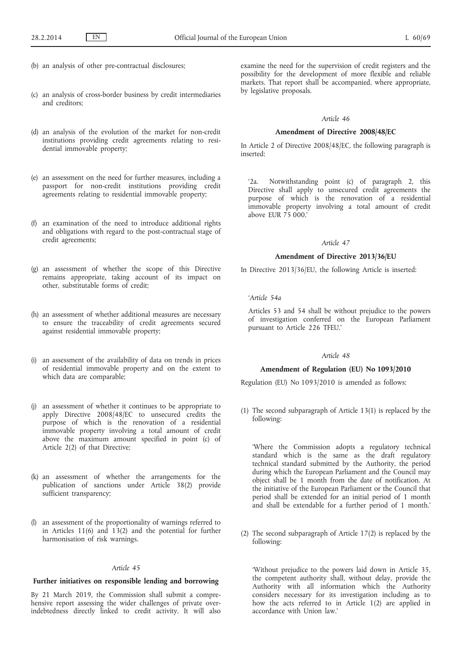- (b) an analysis of other pre-contractual disclosures;
- (c) an analysis of cross-border business by credit intermediaries and creditors;
- (d) an analysis of the evolution of the market for non-credit institutions providing credit agreements relating to residential immovable property;
- (e) an assessment on the need for further measures, including a passport for non-credit institutions providing credit agreements relating to residential immovable property;
- (f) an examination of the need to introduce additional rights and obligations with regard to the post-contractual stage of credit agreements;
- (g) an assessment of whether the scope of this Directive remains appropriate, taking account of its impact on other, substitutable forms of credit;
- (h) an assessment of whether additional measures are necessary to ensure the traceability of credit agreements secured against residential immovable property;
- (i) an assessment of the availability of data on trends in prices of residential immovable property and on the extent to which data are comparable;
- (j) an assessment of whether it continues to be appropriate to apply Directive  $2008/48$ /EC to unsecured credits the purpose of which is the renovation of a residential immovable property involving a total amount of credit above the maximum amount specified in point (c) of Article 2(2) of that Directive;
- (k) an assessment of whether the arrangements for the publication of sanctions under Article 38(2) provide sufficient transparency;
- (l) an assessment of the proportionality of warnings referred to in Articles  $11(6)$  and  $13(2)$  and the potential for further harmonisation of risk warnings.

# *Article 45*

### **Further initiatives on responsible lending and borrowing**

By 21 March 2019, the Commission shall submit a comprehensive report assessing the wider challenges of private overindebtedness directly linked to credit activity. It will also examine the need for the supervision of credit registers and the possibility for the development of more flexible and reliable markets. That report shall be accompanied, where appropriate, by legislative proposals.

### *Article 46*

# **Amendment of Directive 2008/48/EC**

In Article 2 of Directive 2008/48/EC, the following paragraph is inserted:

'2a. Notwithstanding point (c) of paragraph 2, this Directive shall apply to unsecured credit agreements the purpose of which is the renovation of a residential immovable property involving a total amount of credit above EUR 75 000.'

### *Article 47*

### **Amendment of Directive 2013/36/EU**

In Directive 2013/36/EU, the following Article is inserted:

*'Article 54a*

Articles 53 and 54 shall be without prejudice to the powers of investigation conferred on the European Parliament pursuant to Article 226 TFEU.'

# *Article 48*

### **Amendment of Regulation (EU) No 1093/2010**

Regulation (EU) No 1093/2010 is amended as follows:

(1) The second subparagraph of Article 13(1) is replaced by the following:

'Where the Commission adopts a regulatory technical standard which is the same as the draft regulatory technical standard submitted by the Authority, the period during which the European Parliament and the Council may object shall be 1 month from the date of notification. At the initiative of the European Parliament or the Council that period shall be extended for an initial period of 1 month and shall be extendable for a further period of 1 month.'

(2) The second subparagraph of Article 17(2) is replaced by the following:

'Without prejudice to the powers laid down in Article 35, the competent authority shall, without delay, provide the Authority with all information which the Authority considers necessary for its investigation including as to how the acts referred to in Article 1(2) are applied in accordance with Union law.'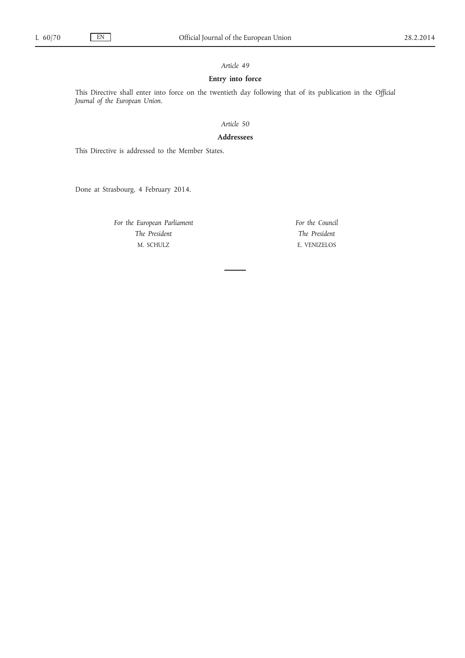# *Article 49*

# **Entry into force**

This Directive shall enter into force on the twentieth day following that of its publication in the *Official Journal of the European Union*.

# *Article 50*

# **Addressees**

This Directive is addressed to the Member States.

Done at Strasbourg, 4 February 2014.

*For the European Parliament The President* M. SCHULZ

*For the Council The President* E. VENIZELOS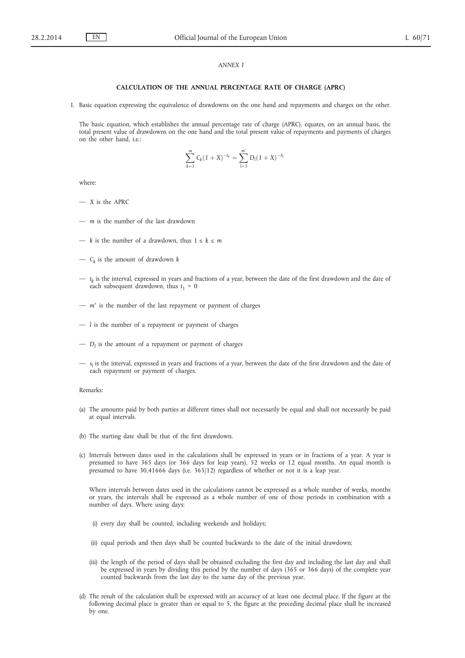#### *ANNEX I*

#### **CALCULATION OF THE ANNUAL PERCENTAGE RATE OF CHARGE (APRC)**

I. Basic equation expressing the equivalence of drawdowns on the one hand and repayments and charges on the other.

The basic equation, which establishes the annual percentage rate of charge (APRC), equates, on an annual basis, the total present value of drawdowns on the one hand and the total present value of repayments and payments of charges on the other hand, i.e.:

$$
\sum_{k=1}^{m} C_k (1+X)^{-t_k} = \sum_{l=1}^{m'} D_l (1+X)^{-S_l}
$$

where:

- — *X* is the APRC
- — *m* is the number of the last drawdown
- — *k* is the number of a drawdown, thus 1 ≤ *k* ≤ *m*
- — *Ck* is the amount of drawdown *k*
- — *tk* is the interval, expressed in years and fractions of a year, between the date of the first drawdown and the date of each subsequent drawdown, thus  $t_1 = 0$
- — *m′* is the number of the last repayment or payment of charges
- — *l* is the number of a repayment or payment of charges
- — *Dl* is the amount of a repayment or payment of charges
- — *sl* is the interval, expressed in years and fractions of a year, between the date of the first drawdown and the date of each repayment or payment of charges.

#### Remarks:

- (a) The amounts paid by both parties at different times shall not necessarily be equal and shall not necessarily be paid at equal intervals.
- (b) The starting date shall be that of the first drawdown.
- (c) Intervals between dates used in the calculations shall be expressed in years or in fractions of a year. A year is presumed to have 365 days (or 366 days for leap years), 52 weeks or 12 equal months. An equal month is presumed to have 30,41666 days (i.e. 365/12) regardless of whether or not it is a leap year.

Where intervals between dates used in the calculations cannot be expressed as a whole number of weeks, months or years, the intervals shall be expressed as a whole number of one of those periods in combination with a number of days. Where using days:

- (i) every day shall be counted, including weekends and holidays;
- (ii) equal periods and then days shall be counted backwards to the date of the initial drawdown;
- (iii) the length of the period of days shall be obtained excluding the first day and including the last day and shall be expressed in years by dividing this period by the number of days (365 or 366 days) of the complete year counted backwards from the last day to the same day of the previous year.
- (d) The result of the calculation shall be expressed with an accuracy of at least one decimal place. If the figure at the following decimal place is greater than or equal to 5, the figure at the preceding decimal place shall be increased by one.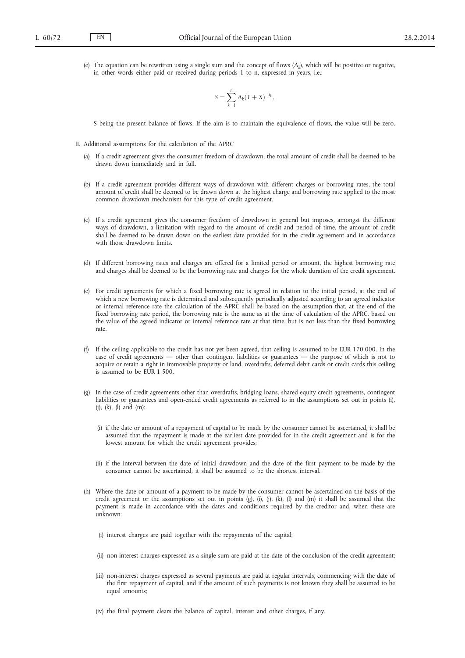(e) The equation can be rewritten using a single sum and the concept of flows (*Ak*), which will be positive or negative, in other words either paid or received during periods 1 to n, expressed in years, i.e.:

$$
S = \sum_{k=1}^{n} A_k (1+X)^{-t_k},
$$

S being the present balance of flows. If the aim is to maintain the equivalence of flows, the value will be zero.

- II. Additional assumptions for the calculation of the APRC
	- (a) If a credit agreement gives the consumer freedom of drawdown, the total amount of credit shall be deemed to be drawn down immediately and in full.
	- (b) If a credit agreement provides different ways of drawdown with different charges or borrowing rates, the total amount of credit shall be deemed to be drawn down at the highest charge and borrowing rate applied to the most common drawdown mechanism for this type of credit agreement.
	- (c) If a credit agreement gives the consumer freedom of drawdown in general but imposes, amongst the different ways of drawdown, a limitation with regard to the amount of credit and period of time, the amount of credit shall be deemed to be drawn down on the earliest date provided for in the credit agreement and in accordance with those drawdown limits.
	- (d) If different borrowing rates and charges are offered for a limited period or amount, the highest borrowing rate and charges shall be deemed to be the borrowing rate and charges for the whole duration of the credit agreement.
	- (e) For credit agreements for which a fixed borrowing rate is agreed in relation to the initial period, at the end of which a new borrowing rate is determined and subsequently periodically adjusted according to an agreed indicator or internal reference rate the calculation of the APRC shall be based on the assumption that, at the end of the fixed borrowing rate period, the borrowing rate is the same as at the time of calculation of the APRC, based on the value of the agreed indicator or internal reference rate at that time, but is not less than the fixed borrowing rate.
	- (f) If the ceiling applicable to the credit has not yet been agreed, that ceiling is assumed to be EUR 170 000. In the case of credit agreements — other than contingent liabilities or guarantees — the purpose of which is not to acquire or retain a right in immovable property or land, overdrafts, deferred debit cards or credit cards this ceiling is assumed to be EUR 1 500.
	- (g) In the case of credit agreements other than overdrafts, bridging loans, shared equity credit agreements, contingent liabilities or guarantees and open-ended credit agreements as referred to in the assumptions set out in points (i),  $(i)$ ,  $(k)$ ,  $(l)$  and  $(m)$ :
		- (i) if the date or amount of a repayment of capital to be made by the consumer cannot be ascertained, it shall be assumed that the repayment is made at the earliest date provided for in the credit agreement and is for the lowest amount for which the credit agreement provides;
		- (ii) if the interval between the date of initial drawdown and the date of the first payment to be made by the consumer cannot be ascertained, it shall be assumed to be the shortest interval.
	- (h) Where the date or amount of a payment to be made by the consumer cannot be ascertained on the basis of the credit agreement or the assumptions set out in points (g), (i), (j), (k), (l) and (m) it shall be assumed that the payment is made in accordance with the dates and conditions required by the creditor and, when these are unknown:
		- (i) interest charges are paid together with the repayments of the capital;
		- (ii) non-interest charges expressed as a single sum are paid at the date of the conclusion of the credit agreement;
		- (iii) non-interest charges expressed as several payments are paid at regular intervals, commencing with the date of the first repayment of capital, and if the amount of such payments is not known they shall be assumed to be equal amounts;
		- (iv) the final payment clears the balance of capital, interest and other charges, if any.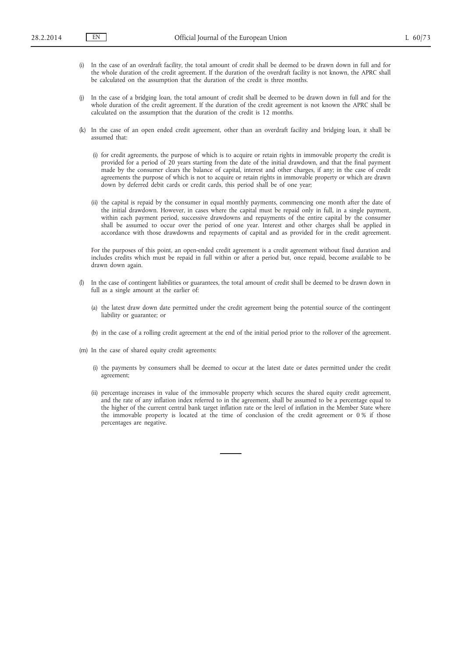- (i) In the case of an overdraft facility, the total amount of credit shall be deemed to be drawn down in full and for the whole duration of the credit agreement. If the duration of the overdraft facility is not known, the APRC shall be calculated on the assumption that the duration of the credit is three months.
- (j) In the case of a bridging loan, the total amount of credit shall be deemed to be drawn down in full and for the whole duration of the credit agreement. If the duration of the credit agreement is not known the APRC shall be calculated on the assumption that the duration of the credit is 12 months.
- (k) In the case of an open ended credit agreement, other than an overdraft facility and bridging loan, it shall be assumed that:
	- (i) for credit agreements, the purpose of which is to acquire or retain rights in immovable property the credit is provided for a period of 20 years starting from the date of the initial drawdown, and that the final payment made by the consumer clears the balance of capital, interest and other charges, if any; in the case of credit agreements the purpose of which is not to acquire or retain rights in immovable property or which are drawn down by deferred debit cards or credit cards, this period shall be of one year;
	- (ii) the capital is repaid by the consumer in equal monthly payments, commencing one month after the date of the initial drawdown. However, in cases where the capital must be repaid only in full, in a single payment, within each payment period, successive drawdowns and repayments of the entire capital by the consumer shall be assumed to occur over the period of one year. Interest and other charges shall be applied in accordance with those drawdowns and repayments of capital and as provided for in the credit agreement.

For the purposes of this point, an open-ended credit agreement is a credit agreement without fixed duration and includes credits which must be repaid in full within or after a period but, once repaid, become available to be drawn down again.

- (l) In the case of contingent liabilities or guarantees, the total amount of credit shall be deemed to be drawn down in full as a single amount at the earlier of:
	- (a) the latest draw down date permitted under the credit agreement being the potential source of the contingent liability or guarantee; or
	- (b) in the case of a rolling credit agreement at the end of the initial period prior to the rollover of the agreement.
- (m) In the case of shared equity credit agreements:
	- (i) the payments by consumers shall be deemed to occur at the latest date or dates permitted under the credit agreement;
	- (ii) percentage increases in value of the immovable property which secures the shared equity credit agreement, and the rate of any inflation index referred to in the agreement, shall be assumed to be a percentage equal to the higher of the current central bank target inflation rate or the level of inflation in the Member State where the immovable property is located at the time of conclusion of the credit agreement or 0 % if those percentages are negative.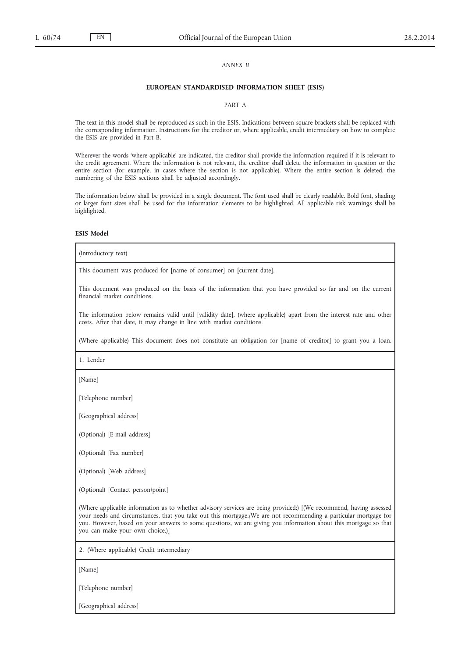### *ANNEX II*

#### **EUROPEAN STANDARDISED INFORMATION SHEET (ESIS)**

#### PART A

The text in this model shall be reproduced as such in the ESIS. Indications between square brackets shall be replaced with the corresponding information. Instructions for the creditor or, where applicable, credit intermediary on how to complete the ESIS are provided in Part B.

Wherever the words 'where applicable' are indicated, the creditor shall provide the information required if it is relevant to the credit agreement. Where the information is not relevant, the creditor shall delete the information in question or the entire section (for example, in cases where the section is not applicable). Where the entire section is deleted, the numbering of the ESIS sections shall be adjusted accordingly.

The information below shall be provided in a single document. The font used shall be clearly readable. Bold font, shading or larger font sizes shall be used for the information elements to be highlighted. All applicable risk warnings shall be highlighted.

#### **ESIS Model**

(Introductory text)

This document was produced for [name of consumer] on [current date].

This document was produced on the basis of the information that you have provided so far and on the current financial market conditions.

The information below remains valid until [validity date], (where applicable) apart from the interest rate and other costs. After that date, it may change in line with market conditions.

(Where applicable) This document does not constitute an obligation for [name of creditor] to grant you a loan.

1. Lender

[Name]

[Telephone number]

[Geographical address]

(Optional) [E-mail address]

(Optional) [Fax number]

(Optional) [Web address]

(Optional) [Contact person/point]

(Where applicable information as to whether advisory services are being provided:) [(We recommend, having assessed your needs and circumstances, that you take out this mortgage./We are not recommending a particular mortgage for you. However, based on your answers to some questions, we are giving you information about this mortgage so that you can make your own choice.)]

2. (Where applicable) Credit intermediary

[Name]

[Telephone number]

[Geographical address]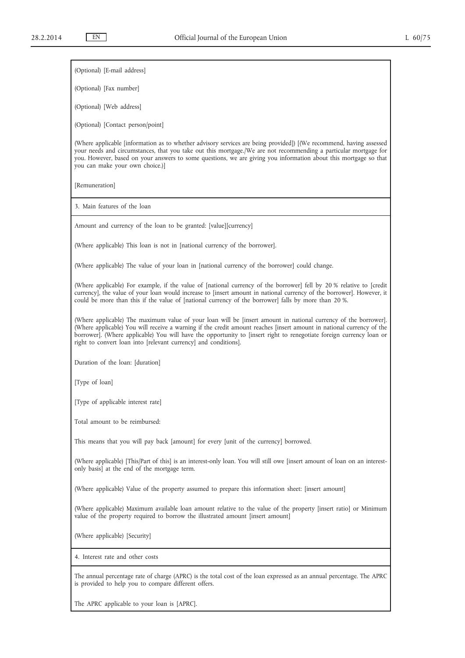(Optional) [E-mail address]

(Optional) [Fax number]

(Optional) [Web address]

(Optional) [Contact person/point]

(Where applicable [information as to whether advisory services are being provided]) [(We recommend, having assessed your needs and circumstances, that you take out this mortgage./We are not recommending a particular mortgage for you. However, based on your answers to some questions, we are giving you information about this mortgage so that you can make your own choice.)]

[Remuneration]

3. Main features of the loan

Amount and currency of the loan to be granted: [value][currency]

(Where applicable) This loan is not in [national currency of the borrower].

(Where applicable) The value of your loan in [national currency of the borrower] could change.

(Where applicable) For example, if the value of [national currency of the borrower] fell by 20 % relative to [credit currency], the value of your loan would increase to [insert amount in national currency of the borrower]. However, it could be more than this if the value of [national currency of the borrower] falls by more than 20 %.

(Where applicable) The maximum value of your loan will be [insert amount in national currency of the borrower]. (Where applicable) You will receive a warning if the credit amount reaches [insert amount in national currency of the borrower]. (Where applicable) You will have the opportunity to [insert right to renegotiate foreign currency loan or right to convert loan into [relevant currency] and conditions].

Duration of the loan: [duration]

[Type of loan]

[Type of applicable interest rate]

Total amount to be reimbursed:

This means that you will pay back [amount] for every [unit of the currency] borrowed.

(Where applicable) [This/Part of this] is an interest-only loan. You will still owe [insert amount of loan on an interestonly basis] at the end of the mortgage term.

(Where applicable) Value of the property assumed to prepare this information sheet: [insert amount]

(Where applicable) Maximum available loan amount relative to the value of the property [insert ratio] or Minimum value of the property required to borrow the illustrated amount [insert amount]

(Where applicable) [Security]

4. Interest rate and other costs

The annual percentage rate of charge (APRC) is the total cost of the loan expressed as an annual percentage. The APRC is provided to help you to compare different offers.

The APRC applicable to your loan is [APRC].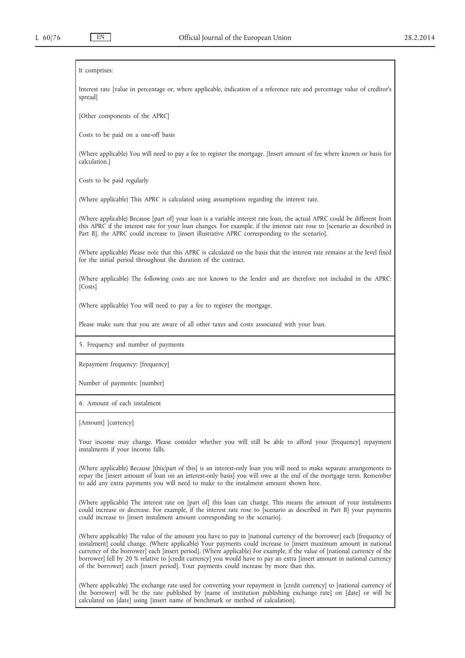#### It comprises:

Interest rate [value in percentage or, where applicable, indication of a reference rate and percentage value of creditor's spread]

[Other components of the APRC]

Costs to be paid on a one-off basis

(Where applicable) You will need to pay a fee to register the mortgage. [Insert amount of fee where known or basis for calculation.]

Costs to be paid regularly

(Where applicable) This APRC is calculated using assumptions regarding the interest rate.

(Where applicable) Because [part of] your loan is a variable interest rate loan, the actual APRC could be different from this APRC if the interest rate for your loan changes. For example, if the interest rate rose to [scenario as described in Part B], the APRC could increase to [insert illustrative APRC corresponding to the scenario].

(Where applicable) Please note that this APRC is calculated on the basis that the interest rate remains at the level fixed for the initial period throughout the duration of the contract.

(Where applicable) The following costs are not known to the lender and are therefore not included in the APRC: [Costs]

(Where applicable) You will need to pay a fee to register the mortgage.

Please make sure that you are aware of all other taxes and costs associated with your loan.

5. Frequency and number of payments

Repayment frequency: [frequency]

Number of payments: [number]

6. Amount of each instalment

[Amount] [currency]

Your income may change. Please consider whether you will still be able to afford your [frequency] repayment instalments if your income falls.

(Where applicable) Because [this/part of this] is an interest-only loan you will need to make separate arrangements to repay the [insert amount of loan on an interest-only basis] you will owe at the end of the mortgage term. Remember to add any extra payments you will need to make to the instalment amount shown here.

(Where applicable) The interest rate on [part of] this loan can change. This means the amount of your instalments could increase or decrease. For example, if the interest rate rose to [scenario as described in Part B] your payments could increase to [insert instalment amount corresponding to the scenario].

(Where applicable) The value of the amount you have to pay in [national currency of the borrower] each [frequency of instalment] could change. (Where applicable) Your payments could increase to [insert maximum amount in national currency of the borrower] each [insert period]. (Where applicable) For example, if the value of [national currency of the borrower] fell by 20 % relative to [credit currency] you would have to pay an extra [insert amount in national currency of the borrower] each [insert period]. Your payments could increase by more than this.

(Where applicable) The exchange rate used for converting your repayment in [credit currency] to [national currency of the borrower] will be the rate published by [name of institution publishing exchange rate] on [date] or will be calculated on [date] using [insert name of benchmark or method of calculation].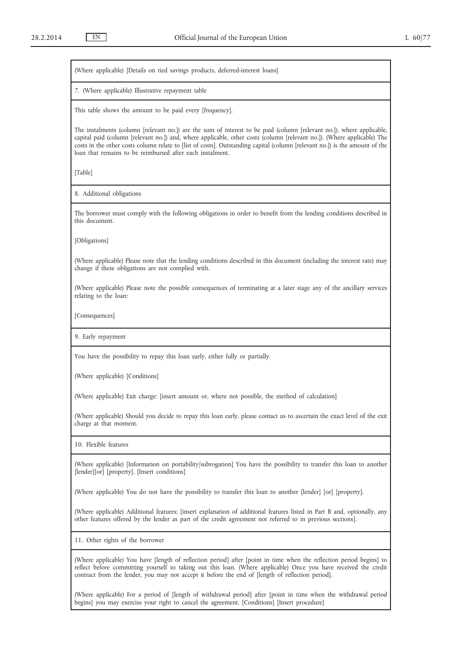(Where applicable) [Details on tied savings products, deferred-interest loans]

7. (Where applicable) Illustrative repayment table

This table shows the amount to be paid every [frequency].

The instalments (column [relevant no.]) are the sum of interest to be paid (column [relevant no.]), where applicable, capital paid (column [relevant no.]) and, where applicable, other costs (column [relevant no.]). (Where applicable) The costs in the other costs column relate to [list of costs]. Outstanding capital (column [relevant no.]) is the amount of the loan that remains to be reimbursed after each instalment.

[Table]

8. Additional obligations

The borrower must comply with the following obligations in order to benefit from the lending conditions described in this document.

[Obligations]

(Where applicable) Please note that the lending conditions described in this document (including the interest rate) may change if these obligations are not complied with.

(Where applicable) Please note the possible consequences of terminating at a later stage any of the ancillary services relating to the loan:

[Consequences]

9. Early repayment

You have the possibility to repay this loan early, either fully or partially.

(Where applicable) [Conditions]

(Where applicable) Exit charge: [insert amount or, where not possible, the method of calculation]

(Where applicable) Should you decide to repay this loan early, please contact us to ascertain the exact level of the exit charge at that moment.

10. Flexible features

(Where applicable) [Information on portability/subrogation] You have the possibility to transfer this loan to another [lender][or] [property]. [Insert conditions]

(Where applicable) You do not have the possibility to transfer this loan to another [lender] [or] [property].

(Where applicable) Additional features: [insert explanation of additional features listed in Part B and, optionally, any other features offered by the lender as part of the credit agreement not referred to in previous sections].

11. Other rights of the borrower

(Where applicable) You have [length of reflection period] after [point in time when the reflection period begins] to reflect before committing yourself to taking out this loan. (Where applicable) Once you have received the credit contract from the lender, you may not accept it before the end of [length of reflection period].

(Where applicable) For a period of [length of withdrawal period] after [point in time when the withdrawal period begins] you may exercise your right to cancel the agreement. [Conditions] [Insert procedure]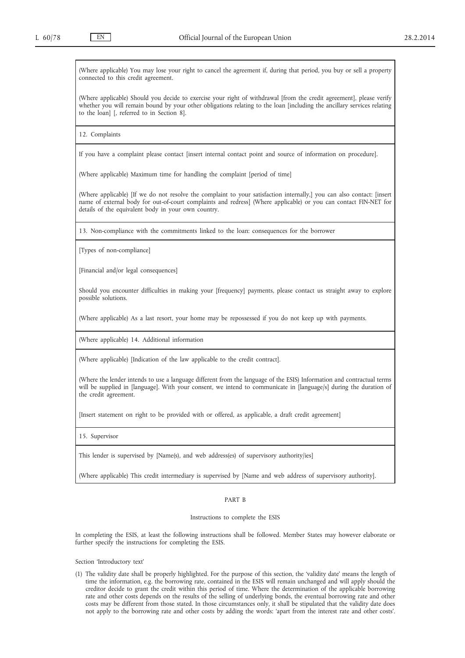(Where applicable) You may lose your right to cancel the agreement if, during that period, you buy or sell a property connected to this credit agreement.

(Where applicable) Should you decide to exercise your right of withdrawal [from the credit agreement], please verify whether you will remain bound by your other obligations relating to the loan [including the ancillary services relating to the loan] [, referred to in Section 8].

12. Complaints

If you have a complaint please contact [insert internal contact point and source of information on procedure].

(Where applicable) Maximum time for handling the complaint [period of time]

(Where applicable) [If we do not resolve the complaint to your satisfaction internally,] you can also contact: [insert name of external body for out-of-court complaints and redress] (Where applicable) or you can contact FIN-NET for details of the equivalent body in your own country.

13. Non-compliance with the commitments linked to the loan: consequences for the borrower

[Types of non-compliance]

[Financial and/or legal consequences]

Should you encounter difficulties in making your [frequency] payments, please contact us straight away to explore possible solutions.

(Where applicable) As a last resort, your home may be repossessed if you do not keep up with payments.

(Where applicable) 14. Additional information

(Where applicable) [Indication of the law applicable to the credit contract].

(Where the lender intends to use a language different from the language of the ESIS) Information and contractual terms will be supplied in [language]. With your consent, we intend to communicate in [language/s] during the duration of the credit agreement.

[Insert statement on right to be provided with or offered, as applicable, a draft credit agreement]

15. Supervisor

This lender is supervised by [Name(s), and web address(es) of supervisory authority/ies]

(Where applicable) This credit intermediary is supervised by [Name and web address of supervisory authority].

### PART B

# Instructions to complete the ESIS

In completing the ESIS, at least the following instructions shall be followed. Member States may however elaborate or further specify the instructions for completing the ESIS.

Section 'Introductory text'

(1) The validity date shall be properly highlighted. For the purpose of this section, the 'validity date' means the length of time the information, e.g. the borrowing rate, contained in the ESIS will remain unchanged and will apply should the creditor decide to grant the credit within this period of time. Where the determination of the applicable borrowing rate and other costs depends on the results of the selling of underlying bonds, the eventual borrowing rate and other costs may be different from those stated. In those circumstances only, it shall be stipulated that the validity date does not apply to the borrowing rate and other costs by adding the words: 'apart from the interest rate and other costs'.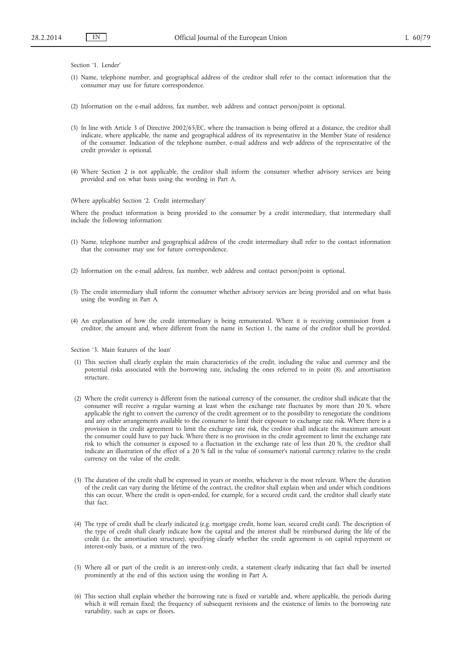#### Section '1. Lender'

- (1) Name, telephone number, and geographical address of the creditor shall refer to the contact information that the consumer may use for future correspondence.
- (2) Information on the e-mail address, fax number, web address and contact person/point is optional.
- (3) In line with Article 3 of Directive 2002/65/EC, where the transaction is being offered at a distance, the creditor shall indicate, where applicable, the name and geographical address of its representative in the Member State of residence of the consumer. Indication of the telephone number, e-mail address and web address of the representative of the credit provider is optional.
- (4) Where Section 2 is not applicable, the creditor shall inform the consumer whether advisory services are being provided and on what basis using the wording in Part A.

### (Where applicable) Section '2. Credit intermediary'

Where the product information is being provided to the consumer by a credit intermediary, that intermediary shall include the following information:

- (1) Name, telephone number and geographical address of the credit intermediary shall refer to the contact information that the consumer may use for future correspondence.
- (2) Information on the e-mail address, fax number, web address and contact person/point is optional.
- (3) The credit intermediary shall inform the consumer whether advisory services are being provided and on what basis using the wording in Part A.
- (4) An explanation of how the credit intermediary is being remunerated. Where it is receiving commission from a creditor, the amount and, where different from the name in Section 1, the name of the creditor shall be provided.

#### Section '3. Main features of the loan'

- (1) This section shall clearly explain the main characteristics of the credit, including the value and currency and the potential risks associated with the borrowing rate, including the ones referred to in point (8), and amortisation structure.
- (2) Where the credit currency is different from the national currency of the consumer, the creditor shall indicate that the consumer will receive a regular warning at least when the exchange rate fluctuates by more than 20 %, where applicable the right to convert the currency of the credit agreement or to the possibility to renegotiate the conditions and any other arrangements available to the consumer to limit their exposure to exchange rate risk. Where there is a provision in the credit agreement to limit the exchange rate risk, the creditor shall indicate the maximum amount the consumer could have to pay back. Where there is no provision in the credit agreement to limit the exchange rate risk to which the consumer is exposed to a fluctuation in the exchange rate of less than 20 %, the creditor shall indicate an illustration of the effect of a 20 % fall in the value of consumer's national currency relative to the credit currency on the value of the credit.
- (3) The duration of the credit shall be expressed in years or months, whichever is the most relevant. Where the duration of the credit can vary during the lifetime of the contract, the creditor shall explain when and under which conditions this can occur. Where the credit is open-ended, for example, for a secured credit card, the creditor shall clearly state that fact.
- (4) The type of credit shall be clearly indicated (e.g. mortgage credit, home loan, secured credit card). The description of the type of credit shall clearly indicate how the capital and the interest shall be reimbursed during the life of the credit (i.e. the amortisation structure), specifying clearly whether the credit agreement is on capital repayment or interest-only basis, or a mixture of the two.
- (5) Where all or part of the credit is an interest-only credit, a statement clearly indicating that fact shall be inserted prominently at the end of this section using the wording in Part A.
- (6) This section shall explain whether the borrowing rate is fixed or variable and, where applicable, the periods during which it will remain fixed; the frequency of subsequent revisions and the existence of limits to the borrowing rate variability, such as caps or floors.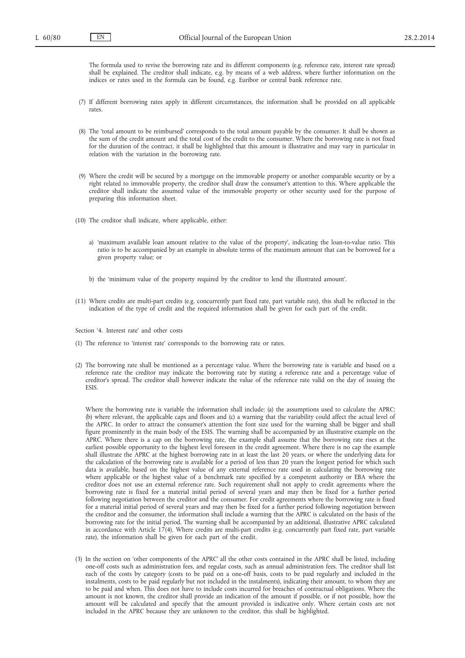The formula used to revise the borrowing rate and its different components (e.g. reference rate, interest rate spread) shall be explained. The creditor shall indicate, e.g. by means of a web address, where further information on the indices or rates used in the formula can be found, e.g. Euribor or central bank reference rate.

- (7) If different borrowing rates apply in different circumstances, the information shall be provided on all applicable rates.
- (8) The 'total amount to be reimbursed' corresponds to the total amount payable by the consumer. It shall be shown as the sum of the credit amount and the total cost of the credit to the consumer. Where the borrowing rate is not fixed for the duration of the contract, it shall be highlighted that this amount is illustrative and may vary in particular in relation with the variation in the borrowing rate.
- (9) Where the credit will be secured by a mortgage on the immovable property or another comparable security or by a right related to immovable property, the creditor shall draw the consumer's attention to this. Where applicable the creditor shall indicate the assumed value of the immovable property or other security used for the purpose of preparing this information sheet.
- (10) The creditor shall indicate, where applicable, either:
	- a) 'maximum available loan amount relative to the value of the property', indicating the loan-to-value ratio. This ratio is to be accompanied by an example in absolute terms of the maximum amount that can be borrowed for a given property value; or
	- b) the 'minimum value of the property required by the creditor to lend the illustrated amount'.
- (11) Where credits are multi-part credits (e.g. concurrently part fixed rate, part variable rate), this shall be reflected in the indication of the type of credit and the required information shall be given for each part of the credit.

Section '4. Interest rate' and other costs

- (1) The reference to 'interest rate' corresponds to the borrowing rate or rates.
- (2) The borrowing rate shall be mentioned as a percentage value. Where the borrowing rate is variable and based on a reference rate the creditor may indicate the borrowing rate by stating a reference rate and a percentage value of creditor's spread. The creditor shall however indicate the value of the reference rate valid on the day of issuing the ESIS.

Where the borrowing rate is variable the information shall include: (a) the assumptions used to calculate the APRC; (b) where relevant, the applicable caps and floors and (c) a warning that the variability could affect the actual level of the APRC. In order to attract the consumer's attention the font size used for the warning shall be bigger and shall figure prominently in the main body of the ESIS. The warning shall be accompanied by an illustrative example on the APRC. Where there is a cap on the borrowing rate, the example shall assume that the borrowing rate rises at the earliest possible opportunity to the highest level foreseen in the credit agreement. Where there is no cap the example shall illustrate the APRC at the highest borrowing rate in at least the last 20 years, or where the underlying data for the calculation of the borrowing rate is available for a period of less than 20 years the longest period for which such data is available, based on the highest value of any external reference rate used in calculating the borrowing rate where applicable or the highest value of a benchmark rate specified by a competent authority or EBA where the creditor does not use an external reference rate. Such requirement shall not apply to credit agreements where the borrowing rate is fixed for a material initial period of several years and may then be fixed for a further period following negotiation between the creditor and the consumer. For credit agreements where the borrowing rate is fixed for a material initial period of several years and may then be fixed for a further period following negotiation between the creditor and the consumer, the information shall include a warning that the APRC is calculated on the basis of the borrowing rate for the initial period. The warning shall be accompanied by an additional, illustrative APRC calculated in accordance with Article 17(4). Where credits are multi-part credits (e.g. concurrently part fixed rate, part variable rate), the information shall be given for each part of the credit.

(3) In the section on 'other components of the APRC' all the other costs contained in the APRC shall be listed, including one-off costs such as administration fees, and regular costs, such as annual administration fees. The creditor shall list each of the costs by category (costs to be paid on a one-off basis, costs to be paid regularly and included in the instalments, costs to be paid regularly but not included in the instalments), indicating their amount, to whom they are to be paid and when. This does not have to include costs incurred for breaches of contractual obligations. Where the amount is not known, the creditor shall provide an indication of the amount if possible, or if not possible, how the amount will be calculated and specify that the amount provided is indicative only. Where certain costs are not included in the APRC because they are unknown to the creditor, this shall be highlighted.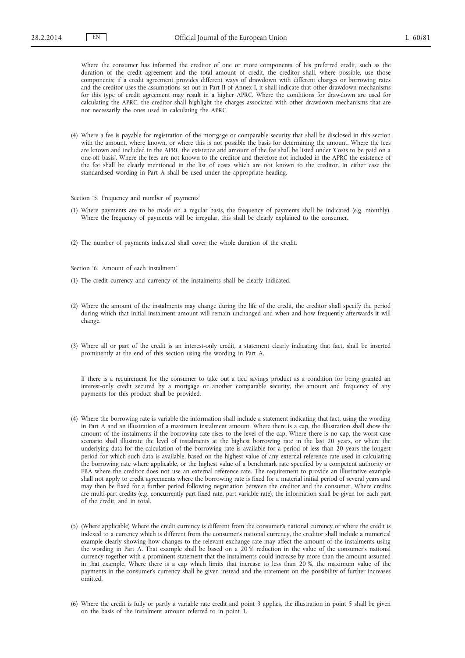Where the consumer has informed the creditor of one or more components of his preferred credit, such as the duration of the credit agreement and the total amount of credit, the creditor shall, where possible, use those components; if a credit agreement provides different ways of drawdown with different charges or borrowing rates and the creditor uses the assumptions set out in Part II of Annex I, it shall indicate that other drawdown mechanisms for this type of credit agreement may result in a higher APRC. Where the conditions for drawdown are used for calculating the APRC, the creditor shall highlight the charges associated with other drawdown mechanisms that are not necessarily the ones used in calculating the APRC.

(4) Where a fee is payable for registration of the mortgage or comparable security that shall be disclosed in this section with the amount, where known, or where this is not possible the basis for determining the amount. Where the fees are known and included in the APRC the existence and amount of the fee shall be listed under 'Costs to be paid on a one-off basis'. Where the fees are not known to the creditor and therefore not included in the APRC the existence of the fee shall be clearly mentioned in the list of costs which are not known to the creditor. In either case the standardised wording in Part A shall be used under the appropriate heading.

#### Section '5. Frequency and number of payments'

- (1) Where payments are to be made on a regular basis, the frequency of payments shall be indicated (e.g. monthly). Where the frequency of payments will be irregular, this shall be clearly explained to the consumer.
- (2) The number of payments indicated shall cover the whole duration of the credit.

Section '6. Amount of each instalment'

- (1) The credit currency and currency of the instalments shall be clearly indicated.
- (2) Where the amount of the instalments may change during the life of the credit, the creditor shall specify the period during which that initial instalment amount will remain unchanged and when and how frequently afterwards it will change.
- (3) Where all or part of the credit is an interest-only credit, a statement clearly indicating that fact, shall be inserted prominently at the end of this section using the wording in Part A.

If there is a requirement for the consumer to take out a tied savings product as a condition for being granted an interest-only credit secured by a mortgage or another comparable security, the amount and frequency of any payments for this product shall be provided.

- (4) Where the borrowing rate is variable the information shall include a statement indicating that fact, using the wording in Part A and an illustration of a maximum instalment amount. Where there is a cap, the illustration shall show the amount of the instalments if the borrowing rate rises to the level of the cap. Where there is no cap, the worst case scenario shall illustrate the level of instalments at the highest borrowing rate in the last 20 years, or where the underlying data for the calculation of the borrowing rate is available for a period of less than 20 years the longest period for which such data is available, based on the highest value of any external reference rate used in calculating the borrowing rate where applicable, or the highest value of a benchmark rate specified by a competent authority or EBA where the creditor does not use an external reference rate. The requirement to provide an illustrative example shall not apply to credit agreements where the borrowing rate is fixed for a material initial period of several years and may then be fixed for a further period following negotiation between the creditor and the consumer. Where credits are multi-part credits (e.g. concurrently part fixed rate, part variable rate), the information shall be given for each part of the credit, and in total.
- (5) (Where applicable) Where the credit currency is different from the consumer's national currency or where the credit is indexed to a currency which is different from the consumer's national currency, the creditor shall include a numerical example clearly showing how changes to the relevant exchange rate may affect the amount of the instalments using the wording in Part A. That example shall be based on a 20 % reduction in the value of the consumer's national currency together with a prominent statement that the instalments could increase by more than the amount assumed in that example. Where there is a cap which limits that increase to less than 20 %, the maximum value of the payments in the consumer's currency shall be given instead and the statement on the possibility of further increases omitted.
- (6) Where the credit is fully or partly a variable rate credit and point 3 applies, the illustration in point 5 shall be given on the basis of the instalment amount referred to in point 1.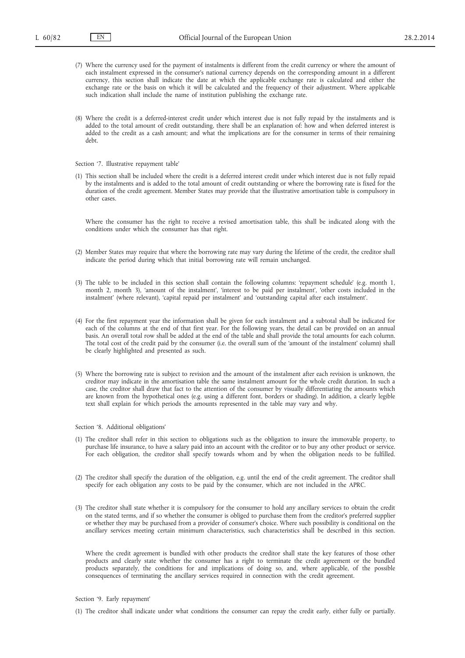- (7) Where the currency used for the payment of instalments is different from the credit currency or where the amount of each instalment expressed in the consumer's national currency depends on the corresponding amount in a different currency, this section shall indicate the date at which the applicable exchange rate is calculated and either the exchange rate or the basis on which it will be calculated and the frequency of their adjustment. Where applicable such indication shall include the name of institution publishing the exchange rate.
- (8) Where the credit is a deferred-interest credit under which interest due is not fully repaid by the instalments and is added to the total amount of credit outstanding, there shall be an explanation of: how and when deferred interest is added to the credit as a cash amount; and what the implications are for the consumer in terms of their remaining debt.

Section '7. Illustrative repayment table'

(1) This section shall be included where the credit is a deferred interest credit under which interest due is not fully repaid by the instalments and is added to the total amount of credit outstanding or where the borrowing rate is fixed for the duration of the credit agreement. Member States may provide that the illustrative amortisation table is compulsory in other cases.

Where the consumer has the right to receive a revised amortisation table, this shall be indicated along with the conditions under which the consumer has that right.

- (2) Member States may require that where the borrowing rate may vary during the lifetime of the credit, the creditor shall indicate the period during which that initial borrowing rate will remain unchanged.
- (3) The table to be included in this section shall contain the following columns: 'repayment schedule' (e.g. month 1, month 2, month 3), 'amount of the instalment', 'interest to be paid per instalment', 'other costs included in the instalment' (where relevant), 'capital repaid per instalment' and 'outstanding capital after each instalment'.
- (4) For the first repayment year the information shall be given for each instalment and a subtotal shall be indicated for each of the columns at the end of that first year. For the following years, the detail can be provided on an annual basis. An overall total row shall be added at the end of the table and shall provide the total amounts for each column. The total cost of the credit paid by the consumer (i.e. the overall sum of the 'amount of the instalment' column) shall be clearly highlighted and presented as such.
- (5) Where the borrowing rate is subject to revision and the amount of the instalment after each revision is unknown, the creditor may indicate in the amortisation table the same instalment amount for the whole credit duration. In such a case, the creditor shall draw that fact to the attention of the consumer by visually differentiating the amounts which are known from the hypothetical ones (e.g. using a different font, borders or shading). In addition, a clearly legible text shall explain for which periods the amounts represented in the table may vary and why.

#### Section '8. Additional obligations'

- (1) The creditor shall refer in this section to obligations such as the obligation to insure the immovable property, to purchase life insurance, to have a salary paid into an account with the creditor or to buy any other product or service. For each obligation, the creditor shall specify towards whom and by when the obligation needs to be fulfilled.
- (2) The creditor shall specify the duration of the obligation, e.g. until the end of the credit agreement. The creditor shall specify for each obligation any costs to be paid by the consumer, which are not included in the APRC.
- (3) The creditor shall state whether it is compulsory for the consumer to hold any ancillary services to obtain the credit on the stated terms, and if so whether the consumer is obliged to purchase them from the creditor's preferred supplier or whether they may be purchased from a provider of consumer's choice. Where such possibility is conditional on the ancillary services meeting certain minimum characteristics, such characteristics shall be described in this section.

Where the credit agreement is bundled with other products the creditor shall state the key features of those other products and clearly state whether the consumer has a right to terminate the credit agreement or the bundled products separately, the conditions for and implications of doing so, and, where applicable, of the possible consequences of terminating the ancillary services required in connection with the credit agreement.

Section '9. Early repayment'

(1) The creditor shall indicate under what conditions the consumer can repay the credit early, either fully or partially.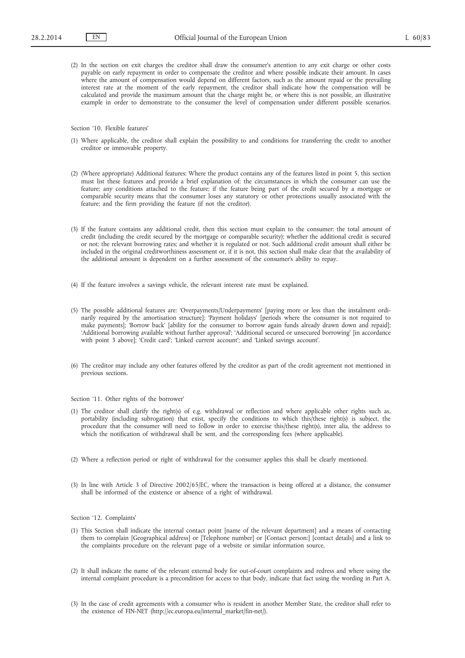(2) In the section on exit charges the creditor shall draw the consumer's attention to any exit charge or other costs payable on early repayment in order to compensate the creditor and where possible indicate their amount. In cases where the amount of compensation would depend on different factors, such as the amount repaid or the prevailing interest rate at the moment of the early repayment, the creditor shall indicate how the compensation will be calculated and provide the maximum amount that the charge might be, or where this is not possible, an illustrative example in order to demonstrate to the consumer the level of compensation under different possible scenarios.

Section '10. Flexible features'

- (1) Where applicable, the creditor shall explain the possibility to and conditions for transferring the credit to another creditor or immovable property.
- (2) (Where appropriate) Additional features: Where the product contains any of the features listed in point 5, this section must list these features and provide a brief explanation of: the circumstances in which the consumer can use the feature; any conditions attached to the feature; if the feature being part of the credit secured by a mortgage or comparable security means that the consumer loses any statutory or other protections usually associated with the feature; and the firm providing the feature (if not the creditor).
- (3) If the feature contains any additional credit, then this section must explain to the consumer: the total amount of credit (including the credit secured by the mortgage or comparable security); whether the additional credit is secured or not; the relevant borrowing rates; and whether it is regulated or not. Such additional credit amount shall either be included in the original creditworthiness assessment or, if it is not, this section shall make clear that the availability of the additional amount is dependent on a further assessment of the consumer's ability to repay.
- (4) If the feature involves a savings vehicle, the relevant interest rate must be explained.
- (5) The possible additional features are: 'Overpayments/Underpayments' [paying more or less than the instalment ordinarily required by the amortisation structure]; 'Payment holidays' [periods where the consumer is not required to make payments]; 'Borrow back' [ability for the consumer to borrow again funds already drawn down and repaid]; 'Additional borrowing available without further approval'; 'Additional secured or unsecured borrowing' [in accordance with point 3 above]; 'Credit card'; 'Linked current account'; and 'Linked savings account'.
- (6) The creditor may include any other features offered by the creditor as part of the credit agreement not mentioned in previous sections.

#### Section '11. Other rights of the borrower'

- (1) The creditor shall clarify the right(s) of e.g. withdrawal or reflection and where applicable other rights such as, portability (including subrogation) that exist, specify the conditions to which this/these right(s) is subject, the procedure that the consumer will need to follow in order to exercise this/these right(s), inter alia, the address to which the notification of withdrawal shall be sent, and the corresponding fees (where applicable).
- (2) Where a reflection period or right of withdrawal for the consumer applies this shall be clearly mentioned.
- (3) In line with Article 3 of Directive 2002/65/EC, where the transaction is being offered at a distance, the consumer shall be informed of the existence or absence of a right of withdrawal.

Section '12. Complaints'

- (1) This Section shall indicate the internal contact point [name of the relevant department] and a means of contacting them to complain [Geographical address] or [Telephone number] or [Contact person:] [contact details] and a link to the complaints procedure on the relevant page of a website or similar information source.
- (2) It shall indicate the name of the relevant external body for out-of-court complaints and redress and where using the internal complaint procedure is a precondition for access to that body, indicate that fact using the wording in Part A.
- (3) In the case of credit agreements with a consumer who is resident in another Member State, the creditor shall refer to the existence of FIN-NET [\(http://ec.europa.eu/internal\\_market/fin-net/](http://ec.europa.eu/internal_market/fin-net/)).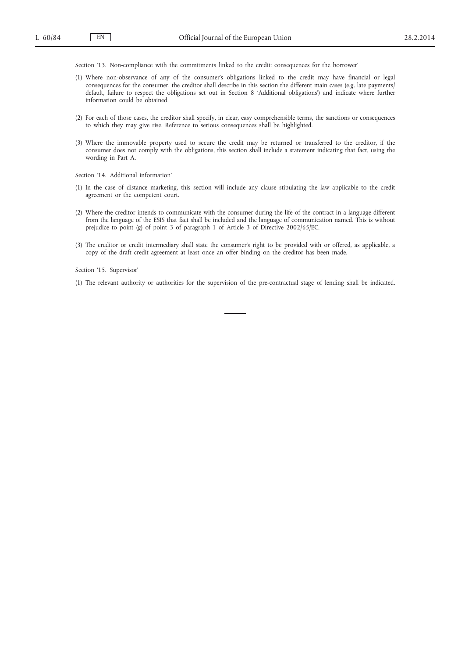Section '13. Non-compliance with the commitments linked to the credit: consequences for the borrower'

- (1) Where non-observance of any of the consumer's obligations linked to the credit may have financial or legal consequences for the consumer, the creditor shall describe in this section the different main cases (e.g. late payments/ default, failure to respect the obligations set out in Section 8 'Additional obligations') and indicate where further information could be obtained.
- (2) For each of those cases, the creditor shall specify, in clear, easy comprehensible terms, the sanctions or consequences to which they may give rise. Reference to serious consequences shall be highlighted.
- (3) Where the immovable property used to secure the credit may be returned or transferred to the creditor, if the consumer does not comply with the obligations, this section shall include a statement indicating that fact, using the wording in Part A.

Section '14. Additional information'

- (1) In the case of distance marketing, this section will include any clause stipulating the law applicable to the credit agreement or the competent court.
- (2) Where the creditor intends to communicate with the consumer during the life of the contract in a language different from the language of the ESIS that fact shall be included and the language of communication named. This is without prejudice to point (g) of point 3 of paragraph 1 of Article 3 of Directive 2002/65/EC.
- (3) The creditor or credit intermediary shall state the consumer's right to be provided with or offered, as applicable, a copy of the draft credit agreement at least once an offer binding on the creditor has been made.

Section '15. Supervisor'

(1) The relevant authority or authorities for the supervision of the pre-contractual stage of lending shall be indicated.